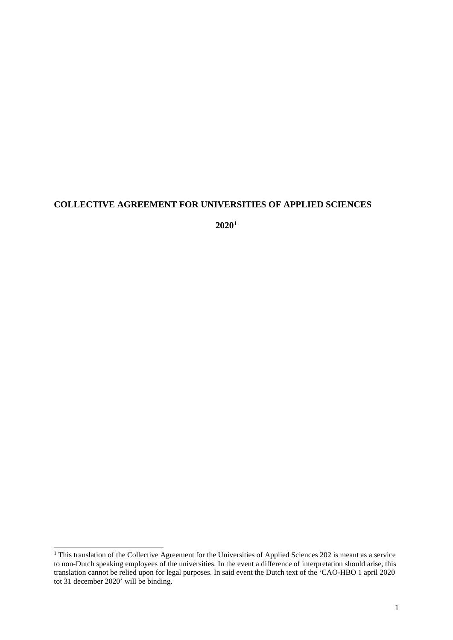# **COLLECTIVE AGREEMENT FOR UNIVERSITIES OF APPLIED SCIENCES**

**2020[1](#page-0-0)**

<span id="page-0-0"></span><sup>&</sup>lt;sup>1</sup> This translation of the Collective Agreement for the Universities of Applied Sciences 202 is meant as a service to non-Dutch speaking employees of the universities. In the event a difference of interpretation should arise, this translation cannot be relied upon for legal purposes. In said event the Dutch text of the 'CAO-HBO 1 april 2020 tot 31 december 2020' will be binding.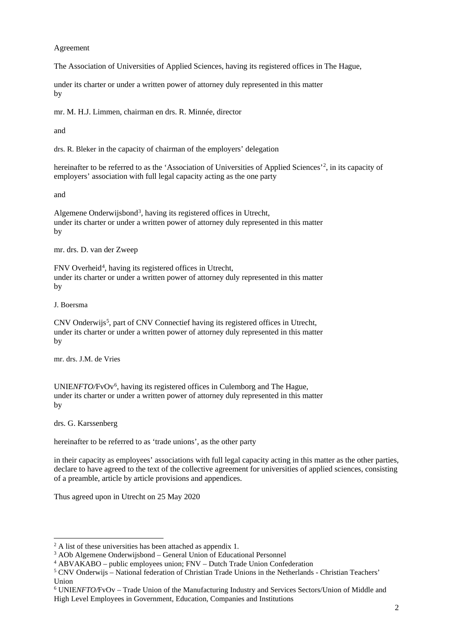### Agreement

The Association of Universities of Applied Sciences, having its registered offices in The Hague,

under its charter or under a written power of attorney duly represented in this matter by

mr. M. H.J. Limmen, chairman en drs. R. Minnée, director

and

drs. R. Bleker in the capacity of chairman of the employers' delegation

hereinafter to be referred to as the 'Association of Universities of Applied Sciences'<sup>[2](#page-1-0)</sup>, in its capacity of employers' association with full legal capacity acting as the one party

and

Algemene Onderwijsbond<sup>[3](#page-1-1)</sup>, having its registered offices in Utrecht, under its charter or under a written power of attorney duly represented in this matter by

mr. drs. D. van der Zweep

FNV Overheid<sup>4</sup>, having its registered offices in Utrecht, under its charter or under a written power of attorney duly represented in this matter by

J. Boersma

CNV Onderwijs<sup>[5](#page-1-3)</sup>, part of CNV Connectief having its registered offices in Utrecht, under its charter or under a written power of attorney duly represented in this matter by

mr. drs. J.M. de Vries

UNIENFTO/FvOv<sup>[6](#page-1-4)</sup>, having its registered offices in Culemborg and The Hague, under its charter or under a written power of attorney duly represented in this matter by

drs. G. Karssenberg

hereinafter to be referred to as 'trade unions', as the other party

in their capacity as employees' associations with full legal capacity acting in this matter as the other parties, declare to have agreed to the text of the collective agreement for universities of applied sciences, consisting of a preamble, article by article provisions and appendices.

Thus agreed upon in Utrecht on 25 May 2020

<span id="page-1-0"></span> $2 \text{ A}$  list of these universities has been attached as appendix 1.

<span id="page-1-1"></span><sup>3</sup> AOb Algemene Onderwijsbond – General Union of Educational Personnel

<span id="page-1-2"></span><sup>4</sup> ABVAKABO – public employees union; FNV – Dutch Trade Union Confederation

<span id="page-1-3"></span><sup>5</sup> CNV Onderwijs – National federation of Christian Trade Unions in the Netherlands - Christian Teachers' Union

<span id="page-1-4"></span><sup>6</sup> UNIE*NFTO/*FvOv – Trade Union of the Manufacturing Industry and Services Sectors/Union of Middle and High Level Employees in Government, Education, Companies and Institutions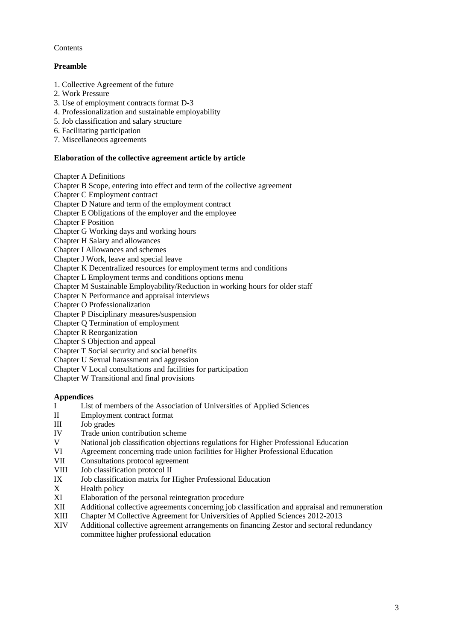### **Contents**

### **Preamble**

- 1. Collective Agreement of the future
- 2. Work Pressure
- 3. Use of employment contracts format D-3
- 4. Professionalization and sustainable employability
- 5. Job classification and salary structure
- 6. Facilitating participation
- 7. Miscellaneous agreements

### **Elaboration of the collective agreement article by article**

Chapter A Definitions

Chapter B Scope, entering into effect and term of the collective agreement

Chapter C Employment contract

Chapter D Nature and term of the employment contract

Chapter E Obligations of the employer and the employee

Chapter F Position

Chapter G Working days and working hours

Chapter H Salary and allowances

Chapter I Allowances and schemes

Chapter J Work, leave and special leave

Chapter K Decentralized resources for employment terms and conditions

Chapter L Employment terms and conditions options menu

Chapter M Sustainable Employability/Reduction in working hours for older staff

Chapter N Performance and appraisal interviews

Chapter O Professionalization

Chapter P Disciplinary measures/suspension

Chapter Q Termination of employment

Chapter R Reorganization

Chapter S Objection and appeal

Chapter T Social security and social benefits

Chapter U Sexual harassment and aggression

Chapter V Local consultations and facilities for participation

Chapter W Transitional and final provisions

### **Appendices**

- I<br>I List of members of the Association of Universities of Applied Sciences<br>II Employment contract format
- Employment contract format
- III Job grades
- IV Trade union contribution scheme<br>V National iob classification objectively
- V National job classification objections regulations for Higher Professional Education<br>VI Agreement concerning trade union facilities for Higher Professional Education
- Agreement concerning trade union facilities for Higher Professional Education
- VII Consultations protocol agreement<br>VIII Job classification protocol II
- Job classification protocol II
- IX Job classification matrix for Higher Professional Education
- X Health policy<br>XI Elaboration of
- XI Elaboration of the personal reintegration procedure<br>XII Additional collective agreements concerning job cla
- XII Additional collective agreements concerning job classification and appraisal and remuneration
- XIII Chapter M Collective Agreement for Universities of Applied Sciences 2012-2013
- XIV Additional collective agreement arrangements on financing Zestor and sectoral redundancy committee higher professional education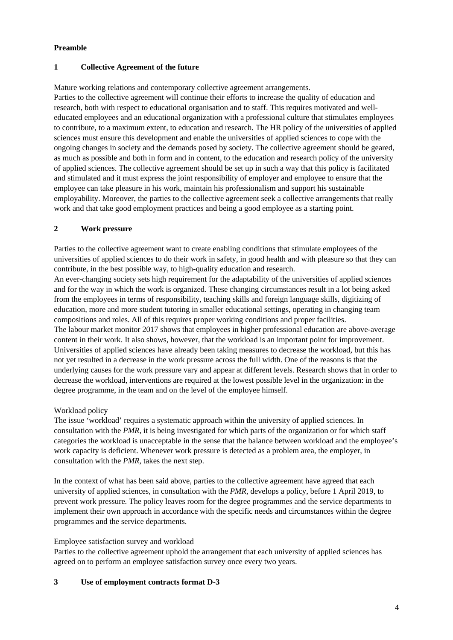### **Preamble**

### **1 Collective Agreement of the future**

Mature working relations and contemporary collective agreement arrangements.

Parties to the collective agreement will continue their efforts to increase the quality of education and research, both with respect to educational organisation and to staff. This requires motivated and welleducated employees and an educational organization with a professional culture that stimulates employees to contribute, to a maximum extent, to education and research. The HR policy of the universities of applied sciences must ensure this development and enable the universities of applied sciences to cope with the ongoing changes in society and the demands posed by society. The collective agreement should be geared, as much as possible and both in form and in content, to the education and research policy of the university of applied sciences. The collective agreement should be set up in such a way that this policy is facilitated and stimulated and it must express the joint responsibility of employer and employee to ensure that the employee can take pleasure in his work, maintain his professionalism and support his sustainable employability. Moreover, the parties to the collective agreement seek a collective arrangements that really work and that take good employment practices and being a good employee as a starting point.

# **2 Work pressure**

Parties to the collective agreement want to create enabling conditions that stimulate employees of the universities of applied sciences to do their work in safety, in good health and with pleasure so that they can contribute, in the best possible way, to high-quality education and research.

An ever-changing society sets high requirement for the adaptability of the universities of applied sciences and for the way in which the work is organized. These changing circumstances result in a lot being asked from the employees in terms of responsibility, teaching skills and foreign language skills, digitizing of education, more and more student tutoring in smaller educational settings, operating in changing team compositions and roles. All of this requires proper working conditions and proper facilities. The labour market monitor 2017 shows that employees in higher professional education are above-average content in their work. It also shows, however, that the workload is an important point for improvement. Universities of applied sciences have already been taking measures to decrease the workload, but this has not yet resulted in a decrease in the work pressure across the full width. One of the reasons is that the underlying causes for the work pressure vary and appear at different levels. Research shows that in order to decrease the workload, interventions are required at the lowest possible level in the organization: in the degree programme, in the team and on the level of the employee himself.

### Workload policy

The issue 'workload' requires a systematic approach within the university of applied sciences. In consultation with the *PMR*, it is being investigated for which parts of the organization or for which staff categories the workload is unacceptable in the sense that the balance between workload and the employee's work capacity is deficient. Whenever work pressure is detected as a problem area, the employer, in consultation with the *PMR*, takes the next step.

In the context of what has been said above, parties to the collective agreement have agreed that each university of applied sciences, in consultation with the *PMR*, develops a policy, before 1 April 2019, to prevent work pressure. The policy leaves room for the degree programmes and the service departments to implement their own approach in accordance with the specific needs and circumstances within the degree programmes and the service departments.

### Employee satisfaction survey and workload

Parties to the collective agreement uphold the arrangement that each university of applied sciences has agreed on to perform an employee satisfaction survey once every two years.

### **3 Use of employment contracts format D-3**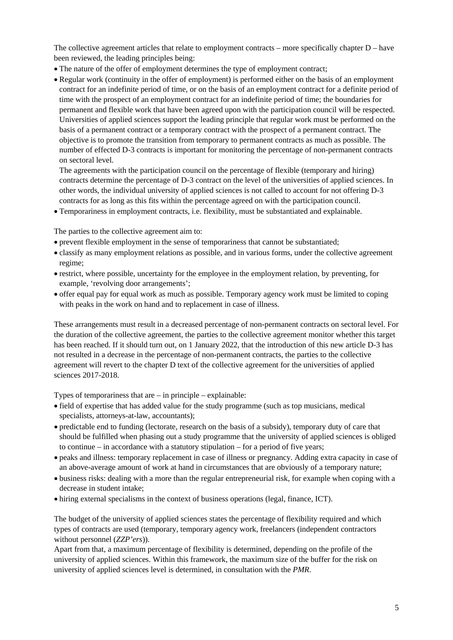The collective agreement articles that relate to employment contracts – more specifically chapter  $D$  – have been reviewed, the leading principles being:

- The nature of the offer of employment determines the type of employment contract;
- Regular work (continuity in the offer of employment) is performed either on the basis of an employment contract for an indefinite period of time, or on the basis of an employment contract for a definite period of time with the prospect of an employment contract for an indefinite period of time; the boundaries for permanent and flexible work that have been agreed upon with the participation council will be respected. Universities of applied sciences support the leading principle that regular work must be performed on the basis of a permanent contract or a temporary contract with the prospect of a permanent contract. The objective is to promote the transition from temporary to permanent contracts as much as possible. The number of effected D-3 contracts is important for monitoring the percentage of non-permanent contracts on sectoral level.

The agreements with the participation council on the percentage of flexible (temporary and hiring) contracts determine the percentage of D-3 contract on the level of the universities of applied sciences. In other words, the individual university of applied sciences is not called to account for not offering D-3 contracts for as long as this fits within the percentage agreed on with the participation council.

• Temporariness in employment contracts, i.e. flexibility, must be substantiated and explainable.

The parties to the collective agreement aim to:

- prevent flexible employment in the sense of temporariness that cannot be substantiated;
- classify as many employment relations as possible, and in various forms, under the collective agreement regime;
- restrict, where possible, uncertainty for the employee in the employment relation, by preventing, for example, 'revolving door arrangements';
- offer equal pay for equal work as much as possible. Temporary agency work must be limited to coping with peaks in the work on hand and to replacement in case of illness.

These arrangements must result in a decreased percentage of non-permanent contracts on sectoral level. For the duration of the collective agreement, the parties to the collective agreement monitor whether this target has been reached. If it should turn out, on 1 January 2022, that the introduction of this new article D-3 has not resulted in a decrease in the percentage of non-permanent contracts, the parties to the collective agreement will revert to the chapter D text of the collective agreement for the universities of applied sciences 2017-2018.

Types of temporariness that are – in principle – explainable:

- field of expertise that has added value for the study programme (such as top musicians, medical specialists, attorneys-at-law, accountants);
- predictable end to funding (lectorate, research on the basis of a subsidy), temporary duty of care that should be fulfilled when phasing out a study programme that the university of applied sciences is obliged to continue – in accordance with a statutory stipulation – for a period of five years;
- peaks and illness: temporary replacement in case of illness or pregnancy. Adding extra capacity in case of an above-average amount of work at hand in circumstances that are obviously of a temporary nature;
- business risks: dealing with a more than the regular entrepreneurial risk, for example when coping with a decrease in student intake;
- hiring external specialisms in the context of business operations (legal, finance, ICT).

The budget of the university of applied sciences states the percentage of flexibility required and which types of contracts are used (temporary, temporary agency work, freelancers (independent contractors without personnel (*ZZP'ers*)).

Apart from that, a maximum percentage of flexibility is determined, depending on the profile of the university of applied sciences. Within this framework, the maximum size of the buffer for the risk on university of applied sciences level is determined, in consultation with the *PMR*.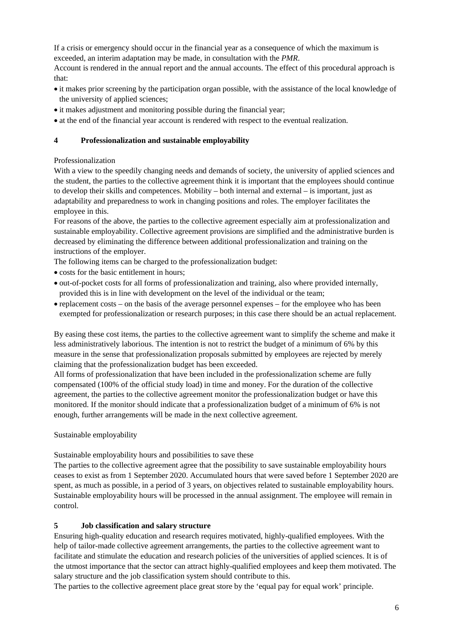If a crisis or emergency should occur in the financial year as a consequence of which the maximum is exceeded, an interim adaptation may be made, in consultation with the *PMR*.

Account is rendered in the annual report and the annual accounts. The effect of this procedural approach is that:

- it makes prior screening by the participation organ possible, with the assistance of the local knowledge of the university of applied sciences;
- it makes adjustment and monitoring possible during the financial year;
- at the end of the financial year account is rendered with respect to the eventual realization.

### **4 Professionalization and sustainable employability**

### Professionalization

With a view to the speedily changing needs and demands of society, the university of applied sciences and the student, the parties to the collective agreement think it is important that the employees should continue to develop their skills and competences. Mobility – both internal and external – is important, just as adaptability and preparedness to work in changing positions and roles. The employer facilitates the employee in this.

For reasons of the above, the parties to the collective agreement especially aim at professionalization and sustainable employability. Collective agreement provisions are simplified and the administrative burden is decreased by eliminating the difference between additional professionalization and training on the instructions of the employer.

The following items can be charged to the professionalization budget:

- costs for the basic entitlement in hours:
- out-of-pocket costs for all forms of professionalization and training, also where provided internally, provided this is in line with development on the level of the individual or the team;
- replacement costs on the basis of the average personnel expenses for the employee who has been exempted for professionalization or research purposes; in this case there should be an actual replacement.

By easing these cost items, the parties to the collective agreement want to simplify the scheme and make it less administratively laborious. The intention is not to restrict the budget of a minimum of 6% by this measure in the sense that professionalization proposals submitted by employees are rejected by merely claiming that the professionalization budget has been exceeded.

All forms of professionalization that have been included in the professionalization scheme are fully compensated (100% of the official study load) in time and money. For the duration of the collective agreement, the parties to the collective agreement monitor the professionalization budget or have this monitored. If the monitor should indicate that a professionalization budget of a minimum of 6% is not enough, further arrangements will be made in the next collective agreement.

### Sustainable employability

Sustainable employability hours and possibilities to save these

The parties to the collective agreement agree that the possibility to save sustainable employability hours ceases to exist as from 1 September 2020. Accumulated hours that were saved before 1 September 2020 are spent, as much as possible, in a period of 3 years, on objectives related to sustainable employability hours. Sustainable employability hours will be processed in the annual assignment. The employee will remain in control.

### **5 Job classification and salary structure**

Ensuring high-quality education and research requires motivated, highly-qualified employees. With the help of tailor-made collective agreement arrangements, the parties to the collective agreement want to facilitate and stimulate the education and research policies of the universities of applied sciences. It is of the utmost importance that the sector can attract highly-qualified employees and keep them motivated. The salary structure and the job classification system should contribute to this.

The parties to the collective agreement place great store by the 'equal pay for equal work' principle.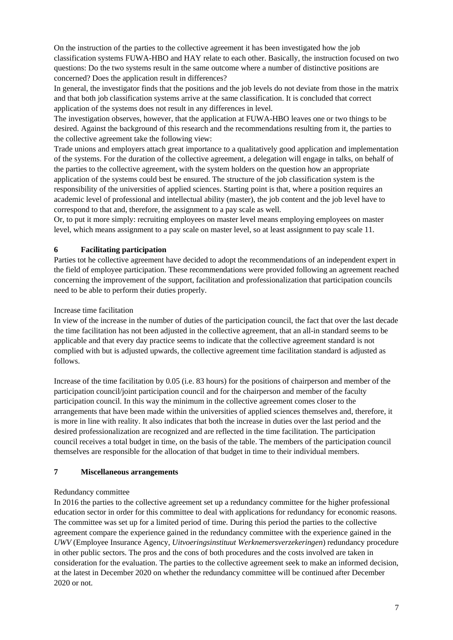On the instruction of the parties to the collective agreement it has been investigated how the job classification systems FUWA-HBO and HAY relate to each other. Basically, the instruction focused on two questions: Do the two systems result in the same outcome where a number of distinctive positions are concerned? Does the application result in differences?

In general, the investigator finds that the positions and the job levels do not deviate from those in the matrix and that both job classification systems arrive at the same classification. It is concluded that correct application of the systems does not result in any differences in level.

The investigation observes, however, that the application at FUWA-HBO leaves one or two things to be desired. Against the background of this research and the recommendations resulting from it, the parties to the collective agreement take the following view:

Trade unions and employers attach great importance to a qualitatively good application and implementation of the systems. For the duration of the collective agreement, a delegation will engage in talks, on behalf of the parties to the collective agreement, with the system holders on the question how an appropriate application of the systems could best be ensured. The structure of the job classification system is the responsibility of the universities of applied sciences. Starting point is that, where a position requires an academic level of professional and intellectual ability (master), the job content and the job level have to correspond to that and, therefore, the assignment to a pay scale as well.

Or, to put it more simply: recruiting employees on master level means employing employees on master level, which means assignment to a pay scale on master level, so at least assignment to pay scale 11.

### **6 Facilitating participation**

Parties tot he collective agreement have decided to adopt the recommendations of an independent expert in the field of employee participation. These recommendations were provided following an agreement reached concerning the improvement of the support, facilitation and professionalization that participation councils need to be able to perform their duties properly.

### Increase time facilitation

In view of the increase in the number of duties of the participation council, the fact that over the last decade the time facilitation has not been adjusted in the collective agreement, that an all-in standard seems to be applicable and that every day practice seems to indicate that the collective agreement standard is not complied with but is adjusted upwards, the collective agreement time facilitation standard is adjusted as follows.

Increase of the time facilitation by 0.05 (i.e. 83 hours) for the positions of chairperson and member of the participation council/joint participation council and for the chairperson and member of the faculty participation council. In this way the minimum in the collective agreement comes closer to the arrangements that have been made within the universities of applied sciences themselves and, therefore, it is more in line with reality. It also indicates that both the increase in duties over the last period and the desired professionalization are recognized and are reflected in the time facilitation. The participation council receives a total budget in time, on the basis of the table. The members of the participation council themselves are responsible for the allocation of that budget in time to their individual members.

### **7 Miscellaneous arrangements**

### Redundancy committee

In 2016 the parties to the collective agreement set up a redundancy committee for the higher professional education sector in order for this committee to deal with applications for redundancy for economic reasons. The committee was set up for a limited period of time. During this period the parties to the collective agreement compare the experience gained in the redundancy committee with the experience gained in the *UWV* (Employee Insurance Agency, *Uitvoeringsinstituut Werknemersverzekeringen*) redundancy procedure in other public sectors. The pros and the cons of both procedures and the costs involved are taken in consideration for the evaluation. The parties to the collective agreement seek to make an informed decision, at the latest in December 2020 on whether the redundancy committee will be continued after December 2020 or not.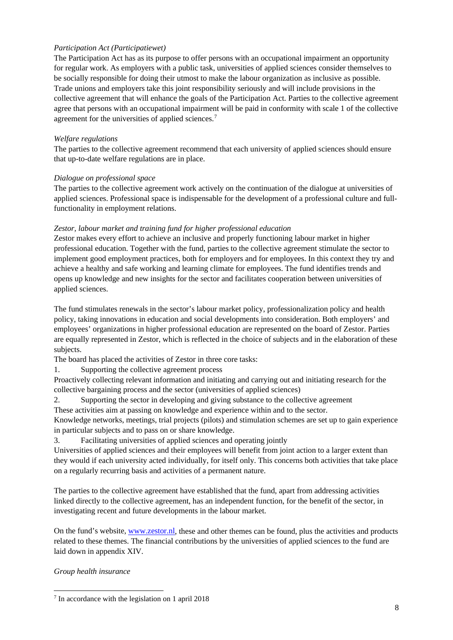### *Participation Act (Participatiewet)*

The Participation Act has as its purpose to offer persons with an occupational impairment an opportunity for regular work. As employers with a public task, universities of applied sciences consider themselves to be socially responsible for doing their utmost to make the labour organization as inclusive as possible. Trade unions and employers take this joint responsibility seriously and will include provisions in the collective agreement that will enhance the goals of the Participation Act. Parties to the collective agreement agree that persons with an occupational impairment will be paid in conformity with scale 1 of the collective agreement for the universities of applied sciences.[7](#page-7-0)

### *Welfare regulations*

The parties to the collective agreement recommend that each university of applied sciences should ensure that up-to-date welfare regulations are in place.

### *Dialogue on professional space*

The parties to the collective agreement work actively on the continuation of the dialogue at universities of applied sciences. Professional space is indispensable for the development of a professional culture and fullfunctionality in employment relations.

### *Zestor, labour market and training fund for higher professional education*

Zestor makes every effort to achieve an inclusive and properly functioning labour market in higher professional education. Together with the fund, parties to the collective agreement stimulate the sector to implement good employment practices, both for employers and for employees. In this context they try and achieve a healthy and safe working and learning climate for employees. The fund identifies trends and opens up knowledge and new insights for the sector and facilitates cooperation between universities of applied sciences.

The fund stimulates renewals in the sector's labour market policy, professionalization policy and health policy, taking innovations in education and social developments into consideration. Both employers' and employees' organizations in higher professional education are represented on the board of Zestor. Parties are equally represented in Zestor, which is reflected in the choice of subjects and in the elaboration of these subjects.

The board has placed the activities of Zestor in three core tasks:

1. Supporting the collective agreement process

Proactively collecting relevant information and initiating and carrying out and initiating research for the collective bargaining process and the sector (universities of applied sciences)

2. Supporting the sector in developing and giving substance to the collective agreement

These activities aim at passing on knowledge and experience within and to the sector.

Knowledge networks, meetings, trial projects (pilots) and stimulation schemes are set up to gain experience in particular subjects and to pass on or share knowledge.

3. Facilitating universities of applied sciences and operating jointly

Universities of applied sciences and their employees will benefit from joint action to a larger extent than they would if each university acted individually, for itself only. This concerns both activities that take place on a regularly recurring basis and activities of a permanent nature.

The parties to the collective agreement have established that the fund, apart from addressing activities linked directly to the collective agreement, has an independent function, for the benefit of the sector, in investigating recent and future developments in the labour market.

On the fund's website[, www.zestor.nl,](http://www.zestor.nl/) these and other themes can be found, plus the activities and products related to these themes. The financial contributions by the universities of applied sciences to the fund are laid down in appendix XIV.

*Group health insurance*

<span id="page-7-0"></span><sup>7</sup> In accordance with the legislation on 1 april 2018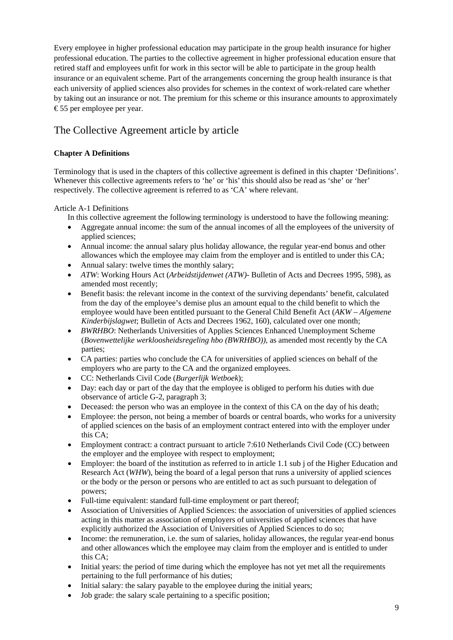Every employee in higher professional education may participate in the group health insurance for higher professional education. The parties to the collective agreement in higher professional education ensure that retired staff and employees unfit for work in this sector will be able to participate in the group health insurance or an equivalent scheme. Part of the arrangements concerning the group health insurance is that each university of applied sciences also provides for schemes in the context of work-related care whether by taking out an insurance or not. The premium for this scheme or this insurance amounts to approximately €55 per employee per year.

# The Collective Agreement article by article

# **Chapter A Definitions**

Terminology that is used in the chapters of this collective agreement is defined in this chapter 'Definitions'. Whenever this collective agreements refers to 'he' or 'his' this should also be read as 'she' or 'her' respectively. The collective agreement is referred to as 'CA' where relevant.

### Article A-1 Definitions

In this collective agreement the following terminology is understood to have the following meaning:

- Aggregate annual income: the sum of the annual incomes of all the employees of the university of applied sciences:
- Annual income: the annual salary plus holiday allowance, the regular year-end bonus and other allowances which the employee may claim from the employer and is entitled to under this CA;
- Annual salary: twelve times the monthly salary;
- *ATW*: Working Hours Act (*Arbeidstijdenwet (ATW)-* Bulletin of Acts and Decrees 1995, 598), as amended most recently;
- Benefit basis: the relevant income in the context of the surviving dependants' benefit, calculated from the day of the employee's demise plus an amount equal to the child benefit to which the employee would have been entitled pursuant to the General Child Benefit Act (*AKW – Algemene Kinderbijslagwet*; Bulletin of Acts and Decrees 1962, 160), calculated over one month;
- *BWRHBO*: Netherlands Universities of Applies Sciences Enhanced Unemployment Scheme (*Bovenwettelijke werkloosheidsregeling hbo (BWRHBO))*, as amended most recently by the CA parties;
- CA parties: parties who conclude the CA for universities of applied sciences on behalf of the employers who are party to the CA and the organized employees.
- CC: Netherlands Civil Code (*Burgerlijk Wetboek*);
- Day: each day or part of the day that the employee is obliged to perform his duties with due observance of article G-2, paragraph 3;
- Deceased: the person who was an employee in the context of this CA on the day of his death;
- Employee: the person, not being a member of boards or central boards, who works for a university of applied sciences on the basis of an employment contract entered into with the employer under this CA;
- Employment contract: a contract pursuant to article 7:610 Netherlands Civil Code (CC) between the employer and the employee with respect to employment;
- Employer: the board of the institution as referred to in article 1.1 sub i of the Higher Education and Research Act (*WHW*), being the board of a legal person that runs a university of applied sciences or the body or the person or persons who are entitled to act as such pursuant to delegation of powers;
- Full-time equivalent: standard full-time employment or part thereof;
- Association of Universities of Applied Sciences: the association of universities of applied sciences acting in this matter as association of employers of universities of applied sciences that have explicitly authorized the Association of Universities of Applied Sciences to do so;
- Income: the remuneration, i.e. the sum of salaries, holiday allowances, the regular year-end bonus and other allowances which the employee may claim from the employer and is entitled to under this CA;
- Initial years: the period of time during which the employee has not yet met all the requirements pertaining to the full performance of his duties;
- Initial salary: the salary payable to the employee during the initial years;
- Job grade: the salary scale pertaining to a specific position;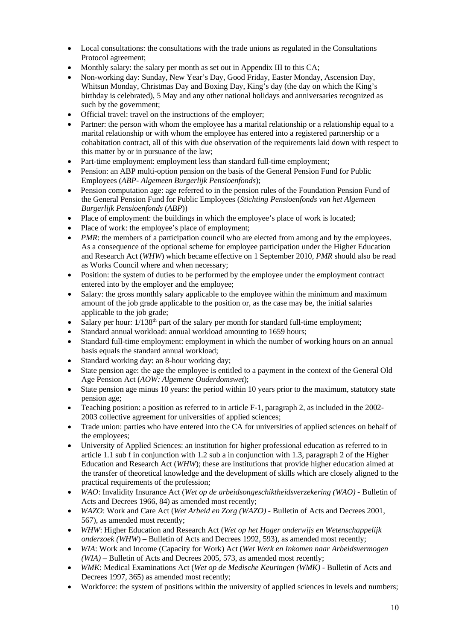- Local consultations: the consultations with the trade unions as regulated in the Consultations Protocol agreement;
- Monthly salary: the salary per month as set out in Appendix III to this CA;
- Non-working day: Sunday, New Year's Day, Good Friday, Easter Monday, Ascension Day, Whitsun Monday, Christmas Day and Boxing Day, King's day (the day on which the King's birthday is celebrated), 5 May and any other national holidays and anniversaries recognized as such by the government;
- Official travel: travel on the instructions of the employer;
- Partner: the person with whom the employee has a marital relationship or a relationship equal to a marital relationship or with whom the employee has entered into a registered partnership or a cohabitation contract, all of this with due observation of the requirements laid down with respect to this matter by or in pursuance of the law;
- Part-time employment: employment less than standard full-time employment;
- Pension: an ABP multi-option pension on the basis of the General Pension Fund for Public Employees (*ABP- Algemeen Burgerlijk Pensioenfonds*);
- Pension computation age: age referred to in the pension rules of the Foundation Pension Fund of the General Pension Fund for Public Employees (*Stichting Pensioenfonds van het Algemeen Burgerlijk Pensioenfonds* (*ABP*))
- Place of employment: the buildings in which the employee's place of work is located;
- Place of work: the employee's place of employment;
- *PMR*: the members of a participation council who are elected from among and by the employees. As a consequence of the optional scheme for employee participation under the Higher Education and Research Act (*WHW*) which became effective on 1 September 2010, *PMR* should also be read as Works Council where and when necessary;
- Position: the system of duties to be performed by the employee under the employment contract entered into by the employer and the employee;
- Salary: the gross monthly salary applicable to the employee within the minimum and maximum amount of the job grade applicable to the position or, as the case may be, the initial salaries applicable to the job grade;
- Salary per hour:  $1/138<sup>th</sup>$  part of the salary per month for standard full-time employment;
- Standard annual workload: annual workload amounting to 1659 hours;
- Standard full-time employment: employment in which the number of working hours on an annual basis equals the standard annual workload;
- Standard working day: an 8-hour working day;
- State pension age: the age the employee is entitled to a payment in the context of the General Old Age Pension Act (*AOW: Algemene Ouderdomswet*);
- State pension age minus 10 years: the period within 10 years prior to the maximum, statutory state pension age;
- Teaching position: a position as referred to in article F-1, paragraph 2, as included in the 2002-2003 collective agreement for universities of applied sciences;
- Trade union: parties who have entered into the CA for universities of applied sciences on behalf of the employees;
- University of Applied Sciences: an institution for higher professional education as referred to in article 1.1 sub f in conjunction with 1.2 sub a in conjunction with 1.3, paragraph 2 of the Higher Education and Research Act (*WHW*); these are institutions that provide higher education aimed at the transfer of theoretical knowledge and the development of skills which are closely aligned to the practical requirements of the profession;
- *WAO*: Invalidity Insurance Act (*Wet op de arbeidsongeschiktheidsverzekering (WAO) -* Bulletin of Acts and Decrees 1966, 84) as amended most recently;
- *WAZO*: Work and Care Act (*Wet Arbeid en Zorg (WAZO) -* Bulletin of Acts and Decrees 2001, 567), as amended most recently;
- *WHW*: Higher Education and Research Act (*Wet op het Hoger onderwijs en Wetenschappelijk onderzoek (WHW*) – Bulletin of Acts and Decrees 1992, 593), as amended most recently;
- *WIA*: Work and Income (Capacity for Work) Act (*Wet Werk en Inkomen naar Arbeidsvermogen (WIA)* – Bulletin of Acts and Decrees 2005, 573, as amended most recently;
- *WMK*: Medical Examinations Act (*Wet op de Medische Keuringen (WMK)* Bulletin of Acts and Decrees 1997, 365) as amended most recently;
- Workforce: the system of positions within the university of applied sciences in levels and numbers;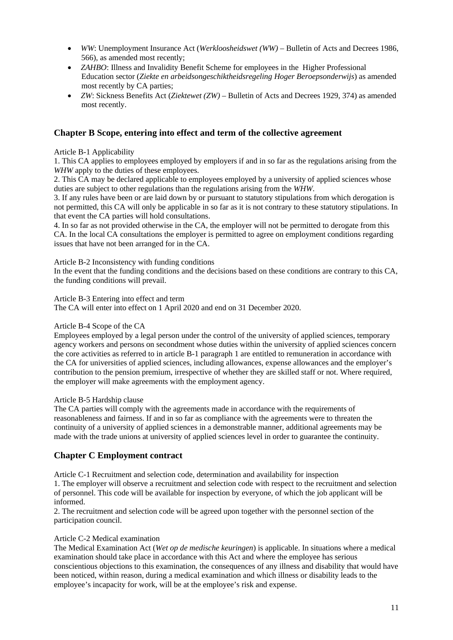- *WW*: Unemployment Insurance Act (*Werkloosheidswet (WW)*  Bulletin of Acts and Decrees 1986, 566), as amended most recently;
- *ZAHBO*: Illness and Invalidity Benefit Scheme for employees in the Higher Professional Education sector (*Ziekte en arbeidsongeschiktheidsregeling Hoger Beroepsonderwijs*) as amended most recently by CA parties;
- *ZW*: Sickness Benefits Act (*Ziektewet (ZW)*  Bulletin of Acts and Decrees 1929, 374) as amended most recently.

### **Chapter B Scope, entering into effect and term of the collective agreement**

### Article B-1 Applicability

1. This CA applies to employees employed by employers if and in so far as the regulations arising from the WHW apply to the duties of these employees.

2. This CA may be declared applicable to employees employed by a university of applied sciences whose duties are subject to other regulations than the regulations arising from the *WHW*.

3. If any rules have been or are laid down by or pursuant to statutory stipulations from which derogation is not permitted, this CA will only be applicable in so far as it is not contrary to these statutory stipulations. In that event the CA parties will hold consultations.

4. In so far as not provided otherwise in the CA, the employer will not be permitted to derogate from this CA. In the local CA consultations the employer is permitted to agree on employment conditions regarding issues that have not been arranged for in the CA.

### Article B-2 Inconsistency with funding conditions

In the event that the funding conditions and the decisions based on these conditions are contrary to this CA, the funding conditions will prevail.

Article B-3 Entering into effect and term The CA will enter into effect on 1 April 2020 and end on 31 December 2020.

### Article B-4 Scope of the CA

Employees employed by a legal person under the control of the university of applied sciences, temporary agency workers and persons on secondment whose duties within the university of applied sciences concern the core activities as referred to in article B-1 paragraph 1 are entitled to remuneration in accordance with the CA for universities of applied sciences, including allowances, expense allowances and the employer's contribution to the pension premium, irrespective of whether they are skilled staff or not. Where required, the employer will make agreements with the employment agency.

### Article B-5 Hardship clause

The CA parties will comply with the agreements made in accordance with the requirements of reasonableness and fairness. If and in so far as compliance with the agreements were to threaten the continuity of a university of applied sciences in a demonstrable manner, additional agreements may be made with the trade unions at university of applied sciences level in order to guarantee the continuity.

### **Chapter C Employment contract**

Article C-1 Recruitment and selection code, determination and availability for inspection

1. The employer will observe a recruitment and selection code with respect to the recruitment and selection of personnel. This code will be available for inspection by everyone, of which the job applicant will be informed.

2. The recruitment and selection code will be agreed upon together with the personnel section of the participation council.

### Article C-2 Medical examination

The Medical Examination Act (*Wet op de medische keuringen*) is applicable. In situations where a medical examination should take place in accordance with this Act and where the employee has serious conscientious objections to this examination, the consequences of any illness and disability that would have been noticed, within reason, during a medical examination and which illness or disability leads to the employee's incapacity for work, will be at the employee's risk and expense.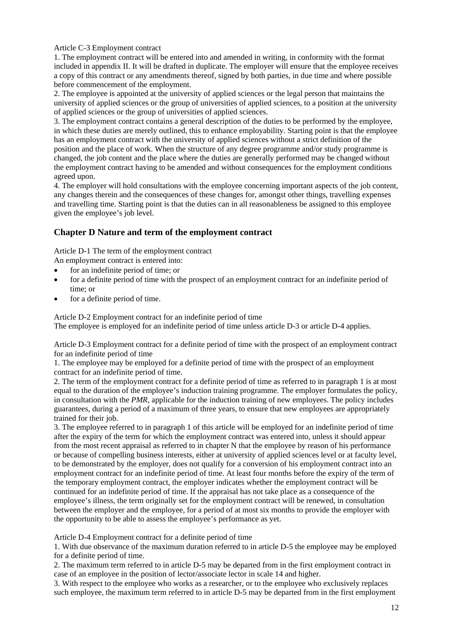Article C-3 Employment contract

1. The employment contract will be entered into and amended in writing, in conformity with the format included in appendix II. It will be drafted in duplicate. The employer will ensure that the employee receives a copy of this contract or any amendments thereof, signed by both parties, in due time and where possible before commencement of the employment.

2. The employee is appointed at the university of applied sciences or the legal person that maintains the university of applied sciences or the group of universities of applied sciences, to a position at the university of applied sciences or the group of universities of applied sciences.

3. The employment contract contains a general description of the duties to be performed by the employee, in which these duties are merely outlined, this to enhance employability. Starting point is that the employee has an employment contract with the university of applied sciences without a strict definition of the position and the place of work. When the structure of any degree programme and/or study programme is changed, the job content and the place where the duties are generally performed may be changed without the employment contract having to be amended and without consequences for the employment conditions agreed upon.

4. The employer will hold consultations with the employee concerning important aspects of the job content, any changes therein and the consequences of these changes for, amongst other things, travelling expenses and travelling time. Starting point is that the duties can in all reasonableness be assigned to this employee given the employee's job level.

### **Chapter D Nature and term of the employment contract**

Article D-1 The term of the employment contract

An employment contract is entered into:

- for an indefinite period of time; or
- for a definite period of time with the prospect of an employment contract for an indefinite period of time; or
- for a definite period of time.

Article D-2 Employment contract for an indefinite period of time The employee is employed for an indefinite period of time unless article D-3 or article D-4 applies.

Article D-3 Employment contract for a definite period of time with the prospect of an employment contract for an indefinite period of time

1. The employee may be employed for a definite period of time with the prospect of an employment contract for an indefinite period of time.

2. The term of the employment contract for a definite period of time as referred to in paragraph 1 is at most equal to the duration of the employee's induction training programme. The employer formulates the policy, in consultation with the *PMR*, applicable for the induction training of new employees. The policy includes guarantees, during a period of a maximum of three years, to ensure that new employees are appropriately trained for their job.

3. The employee referred to in paragraph 1 of this article will be employed for an indefinite period of time after the expiry of the term for which the employment contract was entered into, unless it should appear from the most recent appraisal as referred to in chapter N that the employee by reason of his performance or because of compelling business interests, either at university of applied sciences level or at faculty level, to be demonstrated by the employer, does not qualify for a conversion of his employment contract into an employment contract for an indefinite period of time. At least four months before the expiry of the term of the temporary employment contract, the employer indicates whether the employment contract will be continued for an indefinite period of time. If the appraisal has not take place as a consequence of the employee's illness, the term originally set for the employment contract will be renewed, in consultation between the employer and the employee, for a period of at most six months to provide the employer with the opportunity to be able to assess the employee's performance as yet.

Article D-4 Employment contract for a definite period of time

1. With due observance of the maximum duration referred to in article D-5 the employee may be employed for a definite period of time.

2. The maximum term referred to in article D-5 may be departed from in the first employment contract in case of an employee in the position of lector/associate lector in scale 14 and higher.

3. With respect to the employee who works as a researcher, or to the employee who exclusively replaces such employee, the maximum term referred to in article D-5 may be departed from in the first employment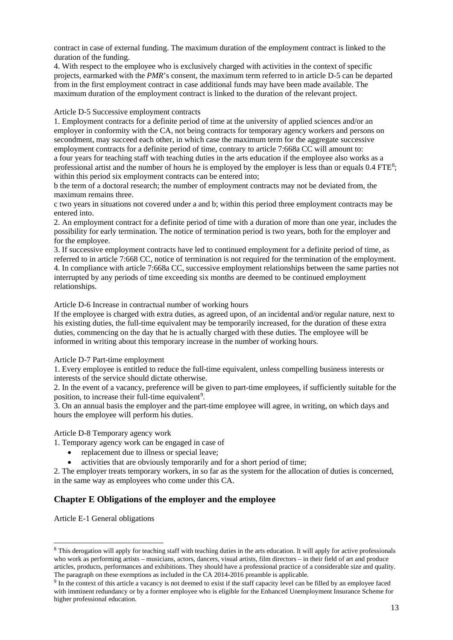contract in case of external funding. The maximum duration of the employment contract is linked to the duration of the funding.

4. With respect to the employee who is exclusively charged with activities in the context of specific projects, earmarked with the *PMR*'s consent, the maximum term referred to in article D-5 can be departed from in the first employment contract in case additional funds may have been made available. The maximum duration of the employment contract is linked to the duration of the relevant project.

### Article D-5 Successive employment contracts

1. Employment contracts for a definite period of time at the university of applied sciences and/or an employer in conformity with the CA, not being contracts for temporary agency workers and persons on secondment, may succeed each other, in which case the maximum term for the aggregate successive employment contracts for a definite period of time, contrary to article 7:668a CC will amount to: a four years for teaching staff with teaching duties in the arts education if the employee also works as a professional artist and the number of hours he is employed by the employer is less than or equals 0.4 FTE[8;](#page-12-0) within this period six employment contracts can be entered into;

b the term of a doctoral research; the number of employment contracts may not be deviated from, the maximum remains three.

c two years in situations not covered under a and b; within this period three employment contracts may be entered into.

2. An employment contract for a definite period of time with a duration of more than one year, includes the possibility for early termination. The notice of termination period is two years, both for the employer and for the employee.

3. If successive employment contracts have led to continued employment for a definite period of time, as referred to in article 7:668 CC, notice of termination is not required for the termination of the employment. 4. In compliance with article 7:668a CC, successive employment relationships between the same parties not interrupted by any periods of time exceeding six months are deemed to be continued employment relationships.

Article D-6 Increase in contractual number of working hours

If the employee is charged with extra duties, as agreed upon, of an incidental and/or regular nature, next to his existing duties, the full-time equivalent may be temporarily increased, for the duration of these extra duties, commencing on the day that he is actually charged with these duties. The employee will be informed in writing about this temporary increase in the number of working hours.

#### Article D-7 Part-time employment

1. Every employee is entitled to reduce the full-time equivalent, unless compelling business interests or interests of the service should dictate otherwise.

2. In the event of a vacancy, preference will be given to part-time employees, if sufficiently suitable for the position, to increase their full-time equivalent<sup>[9](#page-12-1)</sup>.

3. On an annual basis the employer and the part-time employee will agree, in writing, on which days and hours the employee will perform his duties.

#### Article D-8 Temporary agency work

1. Temporary agency work can be engaged in case of

- replacement due to illness or special leave;
- activities that are obviously temporarily and for a short period of time:

2. The employer treats temporary workers, in so far as the system for the allocation of duties is concerned, in the same way as employees who come under this CA.

### **Chapter E Obligations of the employer and the employee**

Article E-1 General obligations

<span id="page-12-0"></span><sup>&</sup>lt;sup>8</sup> This derogation will apply for teaching staff with teaching duties in the arts education. It will apply for active professionals who work as performing artists – musicians, actors, dancers, visual artists, film directors – in their field of art and produce articles, products, performances and exhibitions. They should have a professional practice of a considerable size and quality.

<span id="page-12-1"></span><sup>&</sup>lt;sup>9</sup> In the context of this article a vacancy is not deemed to exist if the staff capacity level can be filled by an employee faced with imminent redundancy or by a former employee who is eligible for the Enhanced Unemployment Insurance Scheme for higher professional education.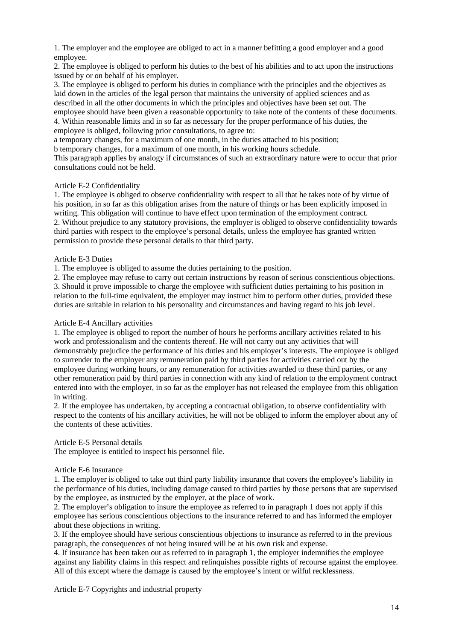1. The employer and the employee are obliged to act in a manner befitting a good employer and a good employee.

2. The employee is obliged to perform his duties to the best of his abilities and to act upon the instructions issued by or on behalf of his employer.

3. The employee is obliged to perform his duties in compliance with the principles and the objectives as laid down in the articles of the legal person that maintains the university of applied sciences and as described in all the other documents in which the principles and objectives have been set out. The employee should have been given a reasonable opportunity to take note of the contents of these documents. 4. Within reasonable limits and in so far as necessary for the proper performance of his duties, the employee is obliged, following prior consultations, to agree to:

a temporary changes, for a maximum of one month, in the duties attached to his position;

b temporary changes, for a maximum of one month, in his working hours schedule.

This paragraph applies by analogy if circumstances of such an extraordinary nature were to occur that prior consultations could not be held.

#### Article E-2 Confidentiality

1. The employee is obliged to observe confidentiality with respect to all that he takes note of by virtue of his position, in so far as this obligation arises from the nature of things or has been explicitly imposed in writing. This obligation will continue to have effect upon termination of the employment contract. 2. Without prejudice to any statutory provisions, the employer is obliged to observe confidentiality towards third parties with respect to the employee's personal details, unless the employee has granted written permission to provide these personal details to that third party.

#### Article E-3 Duties

1. The employee is obliged to assume the duties pertaining to the position.

2. The employee may refuse to carry out certain instructions by reason of serious conscientious objections. 3. Should it prove impossible to charge the employee with sufficient duties pertaining to his position in relation to the full-time equivalent, the employer may instruct him to perform other duties, provided these duties are suitable in relation to his personality and circumstances and having regard to his job level.

#### Article E-4 Ancillary activities

1. The employee is obliged to report the number of hours he performs ancillary activities related to his work and professionalism and the contents thereof. He will not carry out any activities that will demonstrably prejudice the performance of his duties and his employer's interests. The employee is obliged to surrender to the employer any remuneration paid by third parties for activities carried out by the employee during working hours, or any remuneration for activities awarded to these third parties, or any other remuneration paid by third parties in connection with any kind of relation to the employment contract entered into with the employer, in so far as the employer has not released the employee from this obligation in writing.

2. If the employee has undertaken, by accepting a contractual obligation, to observe confidentiality with respect to the contents of his ancillary activities, he will not be obliged to inform the employer about any of the contents of these activities.

### Article E-5 Personal details

The employee is entitled to inspect his personnel file.

#### Article E-6 Insurance

1. The employer is obliged to take out third party liability insurance that covers the employee's liability in the performance of his duties, including damage caused to third parties by those persons that are supervised by the employee, as instructed by the employer, at the place of work.

2. The employer's obligation to insure the employee as referred to in paragraph 1 does not apply if this employee has serious conscientious objections to the insurance referred to and has informed the employer about these objections in writing.

3. If the employee should have serious conscientious objections to insurance as referred to in the previous paragraph, the consequences of not being insured will be at his own risk and expense.

4. If insurance has been taken out as referred to in paragraph 1, the employer indemnifies the employee against any liability claims in this respect and relinquishes possible rights of recourse against the employee. All of this except where the damage is caused by the employee's intent or wilful recklessness.

Article E-7 Copyrights and industrial property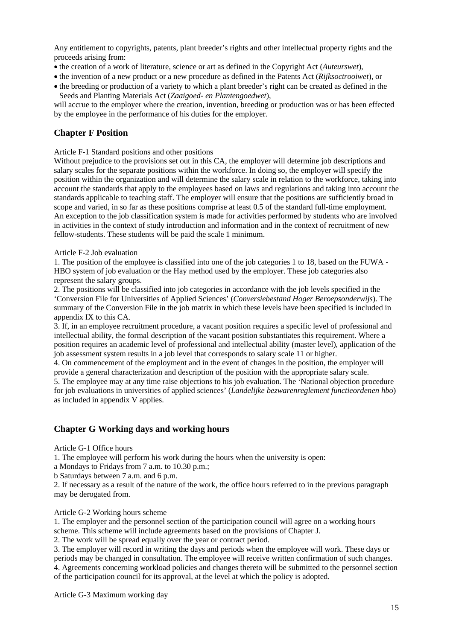Any entitlement to copyrights, patents, plant breeder's rights and other intellectual property rights and the proceeds arising from:

- the creation of a work of literature, science or art as defined in the Copyright Act (*Auteurswet*),
- the invention of a new product or a new procedure as defined in the Patents Act (*Rijksoctrooiwet*), or
- the breeding or production of a variety to which a plant breeder's right can be created as defined in the Seeds and Planting Materials Act (*Zaaigoed- en Plantengoedwet*),

will accrue to the employer where the creation, invention, breeding or production was or has been effected by the employee in the performance of his duties for the employer.

# **Chapter F Position**

Article F-1 Standard positions and other positions

Without prejudice to the provisions set out in this CA, the employer will determine job descriptions and salary scales for the separate positions within the workforce. In doing so, the employer will specify the position within the organization and will determine the salary scale in relation to the workforce, taking into account the standards that apply to the employees based on laws and regulations and taking into account the standards applicable to teaching staff. The employer will ensure that the positions are sufficiently broad in scope and varied, in so far as these positions comprise at least 0.5 of the standard full-time employment. An exception to the job classification system is made for activities performed by students who are involved in activities in the context of study introduction and information and in the context of recruitment of new fellow-students. These students will be paid the scale 1 minimum.

### Article F-2 Job evaluation

1. The position of the employee is classified into one of the job categories 1 to 18, based on the FUWA *-* HBO system of job evaluation or the Hay method used by the employer. These job categories also represent the salary groups.

2. The positions will be classified into job categories in accordance with the job levels specified in the 'Conversion File for Universities of Applied Sciences' (*Conversiebestand Hoger Beroepsonderwijs*). The summary of the Conversion File in the job matrix in which these levels have been specified is included in appendix IX to this CA.

3. If, in an employee recruitment procedure, a vacant position requires a specific level of professional and intellectual ability, the formal description of the vacant position substantiates this requirement. Where a position requires an academic level of professional and intellectual ability (master level), application of the job assessment system results in a job level that corresponds to salary scale 11 or higher.

4. On commencement of the employment and in the event of changes in the position, the employer will provide a general characterization and description of the position with the appropriate salary scale.

5. The employee may at any time raise objections to his job evaluation. The 'National objection procedure for job evaluations in universities of applied sciences' (*Landelijke bezwarenreglement functieordenen hbo*) as included in appendix V applies.

### **Chapter G Working days and working hours**

Article G-1 Office hours

1. The employee will perform his work during the hours when the university is open:

a Mondays to Fridays from 7 a.m. to 10.30 p.m.;

b Saturdays between 7 a.m. and 6 p.m.

2. If necessary as a result of the nature of the work, the office hours referred to in the previous paragraph may be derogated from.

Article G-2 Working hours scheme

1. The employer and the personnel section of the participation council will agree on a working hours scheme. This scheme will include agreements based on the provisions of Chapter J.

2. The work will be spread equally over the year or contract period.

3. The employer will record in writing the days and periods when the employee will work. These days or periods may be changed in consultation. The employee will receive written confirmation of such changes. 4. Agreements concerning workload policies and changes thereto will be submitted to the personnel section of the participation council for its approval, at the level at which the policy is adopted.

Article G-3 Maximum working day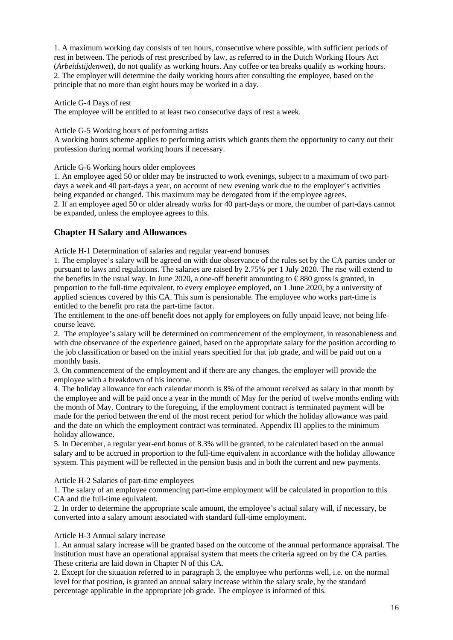1. A maximum working day consists of ten hours, consecutive where possible, with sufficient periods of rest in between. The periods of rest prescribed by law, as referred to in the Dutch Working Hours Act (*Arbeidstijdenwet*), do not qualify as working hours. Any coffee or tea breaks qualify as working hours. 2. The employer will determine the daily working hours after consulting the employee, based on the principle that no more than eight hours may be worked in a day.

### Article G-4 Days of rest

The employee will be entitled to at least two consecutive days of rest a week.

### Article G-5 Working hours of performing artists

A working hours scheme applies to performing artists which grants them the opportunity to carry out their profession during normal working hours if necessary.

Article G-6 Working hours older employees

1. An employee aged 50 or older may be instructed to work evenings, subject to a maximum of two partdays a week and 40 part-days a year, on account of new evening work due to the employer's activities being expanded or changed. This maximum may be derogated from if the employee agrees.

2. If an employee aged 50 or older already works for 40 part-days or more, the number of part-days cannot be expanded, unless the employee agrees to this.

# **Chapter H Salary and Allowances**

Article H-1 Determination of salaries and regular year-end bonuses

1. The employee's salary will be agreed on with due observance of the rules set by the CA parties under or pursuant to laws and regulations. The salaries are raised by 2.75% per 1 July 2020. The rise will extend to the benefits in the usual way. In June 2020, a one-off benefit amounting to  $\epsilon$ 880 gross is granted, in proportion to the full-time equivalent, to every employee employed, on 1 June 2020, by a university of applied sciences covered by this CA. This sum is pensionable. The employee who works part-time is entitled to the benefit pro rata the part-time factor.

The entitlement to the one-off benefit does not apply for employees on fully unpaid leave, not being lifecourse leave.

2. The employee's salary will be determined on commencement of the employment, in reasonableness and with due observance of the experience gained, based on the appropriate salary for the position according to the job classification or based on the initial years specified for that job grade, and will be paid out on a monthly basis.

3. On commencement of the employment and if there are any changes, the employer will provide the employee with a breakdown of his income.

4. The holiday allowance for each calendar month is 8% of the amount received as salary in that month by the employee and will be paid once a year in the month of May for the period of twelve months ending with the month of May. Contrary to the foregoing, if the employment contract is terminated payment will be made for the period between the end of the most recent period for which the holiday allowance was paid and the date on which the employment contract was terminated. Appendix III applies to the minimum holiday allowance.

5. In December, a regular year-end bonus of 8.3% will be granted, to be calculated based on the annual salary and to be accrued in proportion to the full-time equivalent in accordance with the holiday allowance system. This payment will be reflected in the pension basis and in both the current and new payments.

Article H-2 Salaries of part-time employees

1. The salary of an employee commencing part-time employment will be calculated in proportion to this CA and the full-time equivalent.

2. In order to determine the appropriate scale amount, the employee's actual salary will, if necessary, be converted into a salary amount associated with standard full-time employment.

### Article H-3 Annual salary increase

1. An annual salary increase will be granted based on the outcome of the annual performance appraisal. The institution must have an operational appraisal system that meets the criteria agreed on by the CA parties. These criteria are laid down in Chapter N of this CA.

2. Except for the situation referred to in paragraph 3, the employee who performs well, i.e. on the normal level for that position, is granted an annual salary increase within the salary scale, by the standard percentage applicable in the appropriate job grade. The employee is informed of this.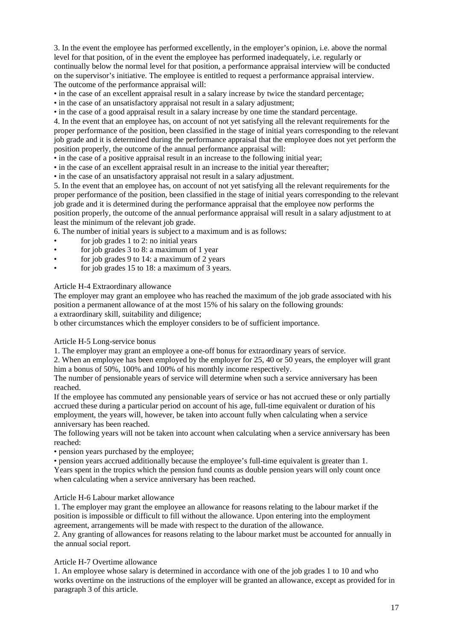3. In the event the employee has performed excellently, in the employer's opinion, i.e. above the normal level for that position, of in the event the employee has performed inadequately, i.e. regularly or continually below the normal level for that position, a performance appraisal interview will be conducted on the supervisor's initiative. The employee is entitled to request a performance appraisal interview. The outcome of the performance appraisal will:

• in the case of an excellent appraisal result in a salary increase by twice the standard percentage;

• in the case of an unsatisfactory appraisal not result in a salary adjustment;

• in the case of a good appraisal result in a salary increase by one time the standard percentage.

4. In the event that an employee has, on account of not yet satisfying all the relevant requirements for the proper performance of the position, been classified in the stage of initial years corresponding to the relevant job grade and it is determined during the performance appraisal that the employee does not yet perform the position properly, the outcome of the annual performance appraisal will:

• in the case of a positive appraisal result in an increase to the following initial year;

• in the case of an excellent appraisal result in an increase to the initial year thereafter;

• in the case of an unsatisfactory appraisal not result in a salary adjustment.

5. In the event that an employee has, on account of not yet satisfying all the relevant requirements for the proper performance of the position, been classified in the stage of initial years corresponding to the relevant job grade and it is determined during the performance appraisal that the employee now performs the position properly, the outcome of the annual performance appraisal will result in a salary adjustment to at least the minimum of the relevant job grade.

6. The number of initial years is subject to a maximum and is as follows:

- for job grades 1 to 2: no initial years
- for job grades 3 to 8: a maximum of 1 year
- for job grades 9 to 14: a maximum of 2 years
- for job grades 15 to 18: a maximum of 3 years.

Article H-4 Extraordinary allowance

The employer may grant an employee who has reached the maximum of the job grade associated with his position a permanent allowance of at the most 15% of his salary on the following grounds: a extraordinary skill, suitability and diligence;

b other circumstances which the employer considers to be of sufficient importance.

#### Article H-5 Long-service bonus

1. The employer may grant an employee a one-off bonus for extraordinary years of service.

2. When an employee has been employed by the employer for 25, 40 or 50 years, the employer will grant him a bonus of 50%, 100% and 100% of his monthly income respectively.

The number of pensionable years of service will determine when such a service anniversary has been reached.

If the employee has commuted any pensionable years of service or has not accrued these or only partially accrued these during a particular period on account of his age, full-time equivalent or duration of his employment, the years will, however, be taken into account fully when calculating when a service anniversary has been reached.

The following years will not be taken into account when calculating when a service anniversary has been reached:

• pension years purchased by the employee;

• pension years accrued additionally because the employee's full-time equivalent is greater than 1. Years spent in the tropics which the pension fund counts as double pension years will only count once when calculating when a service anniversary has been reached.

### Article H-6 Labour market allowance

1. The employer may grant the employee an allowance for reasons relating to the labour market if the position is impossible or difficult to fill without the allowance. Upon entering into the employment agreement, arrangements will be made with respect to the duration of the allowance.

2. Any granting of allowances for reasons relating to the labour market must be accounted for annually in the annual social report.

### Article H-7 Overtime allowance

1. An employee whose salary is determined in accordance with one of the job grades 1 to 10 and who works overtime on the instructions of the employer will be granted an allowance, except as provided for in paragraph 3 of this article.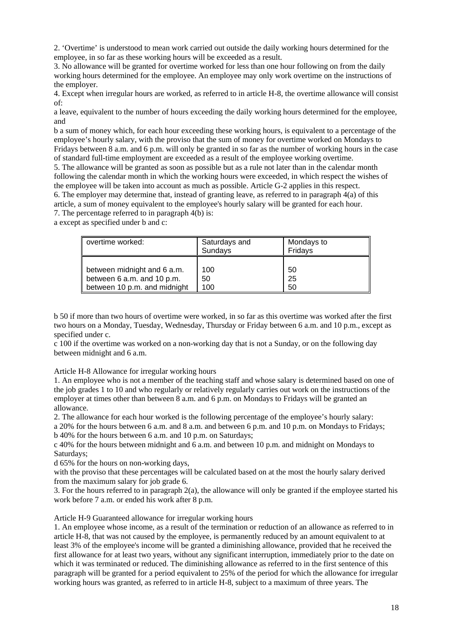2. 'Overtime' is understood to mean work carried out outside the daily working hours determined for the employee, in so far as these working hours will be exceeded as a result.

3. No allowance will be granted for overtime worked for less than one hour following on from the daily working hours determined for the employee. An employee may only work overtime on the instructions of the employer.

4. Except when irregular hours are worked, as referred to in article H-8, the overtime allowance will consist of:

a leave, equivalent to the number of hours exceeding the daily working hours determined for the employee, and

b a sum of money which, for each hour exceeding these working hours, is equivalent to a percentage of the employee's hourly salary, with the proviso that the sum of money for overtime worked on Mondays to Fridays between 8 a.m. and 6 p.m. will only be granted in so far as the number of working hours in the case of standard full-time employment are exceeded as a result of the employee working overtime.

5. The allowance will be granted as soon as possible but as a rule not later than in the calendar month following the calendar month in which the working hours were exceeded, in which respect the wishes of the employee will be taken into account as much as possible. Article G-2 applies in this respect. 6. The employer may determine that, instead of granting leave, as referred to in paragraph 4(a) of this article, a sum of money equivalent to the employee's hourly salary will be granted for each hour. 7. The percentage referred to in paragraph 4(b) is:

a except as specified under b and c:

| overtime worked:             | Saturdays and<br>Sundays | Mondays to<br>Fridays |
|------------------------------|--------------------------|-----------------------|
| between midnight and 6 a.m.  | 100                      | 50                    |
| between 6 a.m. and 10 p.m.   | 50                       | 25                    |
| between 10 p.m. and midnight | 100                      | 50                    |

b 50 if more than two hours of overtime were worked, in so far as this overtime was worked after the first two hours on a Monday, Tuesday, Wednesday, Thursday or Friday between 6 a.m. and 10 p.m., except as specified under c.

c 100 if the overtime was worked on a non-working day that is not a Sunday, or on the following day between midnight and 6 a.m.

Article H-8 Allowance for irregular working hours

1. An employee who is not a member of the teaching staff and whose salary is determined based on one of the job grades 1 to 10 and who regularly or relatively regularly carries out work on the instructions of the employer at times other than between 8 a.m. and 6 p.m. on Mondays to Fridays will be granted an allowance.

2. The allowance for each hour worked is the following percentage of the employee's hourly salary:

a 20% for the hours between 6 a.m. and 8 a.m. and between 6 p.m. and 10 p.m. on Mondays to Fridays; b 40% for the hours between 6 a.m. and 10 p.m. on Saturdays;

c 40% for the hours between midnight and 6 a.m. and between 10 p.m. and midnight on Mondays to Saturdays;

d 65% for the hours on non-working days,

with the proviso that these percentages will be calculated based on at the most the hourly salary derived from the maximum salary for job grade 6.

3. For the hours referred to in paragraph 2(a), the allowance will only be granted if the employee started his work before 7 a.m. or ended his work after 8 p.m.

Article H-9 Guaranteed allowance for irregular working hours

1. An employee whose income, as a result of the termination or reduction of an allowance as referred to in article H-8, that was not caused by the employee, is permanently reduced by an amount equivalent to at least 3% of the employee's income will be granted a diminishing allowance, provided that he received the first allowance for at least two years, without any significant interruption, immediately prior to the date on which it was terminated or reduced. The diminishing allowance as referred to in the first sentence of this paragraph will be granted for a period equivalent to 25% of the period for which the allowance for irregular working hours was granted, as referred to in article H-8, subject to a maximum of three years. The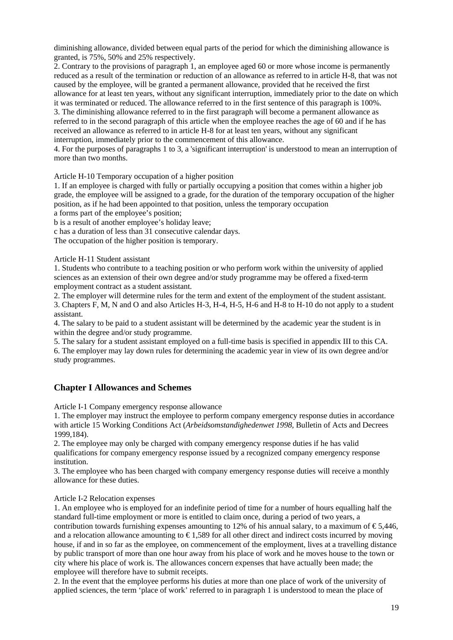diminishing allowance, divided between equal parts of the period for which the diminishing allowance is granted, is 75%, 50% and 25% respectively.

2. Contrary to the provisions of paragraph 1, an employee aged 60 or more whose income is permanently reduced as a result of the termination or reduction of an allowance as referred to in article H-8, that was not caused by the employee, will be granted a permanent allowance, provided that he received the first allowance for at least ten years, without any significant interruption, immediately prior to the date on which it was terminated or reduced. The allowance referred to in the first sentence of this paragraph is 100%. 3. The diminishing allowance referred to in the first paragraph will become a permanent allowance as referred to in the second paragraph of this article when the employee reaches the age of 60 and if he has received an allowance as referred to in article H-8 for at least ten years, without any significant interruption, immediately prior to the commencement of this allowance.

4. For the purposes of paragraphs 1 to 3, a 'significant interruption' is understood to mean an interruption of more than two months.

Article H-10 Temporary occupation of a higher position

1. If an employee is charged with fully or partially occupying a position that comes within a higher job grade, the employee will be assigned to a grade, for the duration of the temporary occupation of the higher position, as if he had been appointed to that position, unless the temporary occupation

a forms part of the employee's position;

b is a result of another employee's holiday leave;

c has a duration of less than 31 consecutive calendar days.

The occupation of the higher position is temporary.

Article H-11 Student assistant

1. Students who contribute to a teaching position or who perform work within the university of applied sciences as an extension of their own degree and/or study programme may be offered a fixed-term employment contract as a student assistant.

2. The employer will determine rules for the term and extent of the employment of the student assistant. 3. Chapters F, M, N and O and also Articles H-3, H-4, H-5, H-6 and H-8 to H-10 do not apply to a student assistant.

4. The salary to be paid to a student assistant will be determined by the academic year the student is in within the degree and/or study programme.

5. The salary for a student assistant employed on a full-time basis is specified in appendix III to this CA. 6. The employer may lay down rules for determining the academic year in view of its own degree and/or study programmes.

### **Chapter I Allowances and Schemes**

Article I-1 Company emergency response allowance

1. The employer may instruct the employee to perform company emergency response duties in accordance with article 15 Working Conditions Act (*Arbeidsomstandighedenwet 1998,* Bulletin of Acts and Decrees 1999,184).

2. The employee may only be charged with company emergency response duties if he has valid qualifications for company emergency response issued by a recognized company emergency response institution.

3. The employee who has been charged with company emergency response duties will receive a monthly allowance for these duties.

#### Article I-2 Relocation expenses

1. An employee who is employed for an indefinite period of time for a number of hours equalling half the standard full-time employment or more is entitled to claim once, during a period of two years, a contribution towards furnishing expenses amounting to 12% of his annual salary, to a maximum of  $\epsilon$ 5,446, and a relocation allowance amounting to  $\epsilon$ 1,589 for all other direct and indirect costs incurred by moving house, if and in so far as the employee, on commencement of the employment, lives at a travelling distance by public transport of more than one hour away from his place of work and he moves house to the town or city where his place of work is. The allowances concern expenses that have actually been made; the employee will therefore have to submit receipts.

2. In the event that the employee performs his duties at more than one place of work of the university of applied sciences, the term 'place of work' referred to in paragraph 1 is understood to mean the place of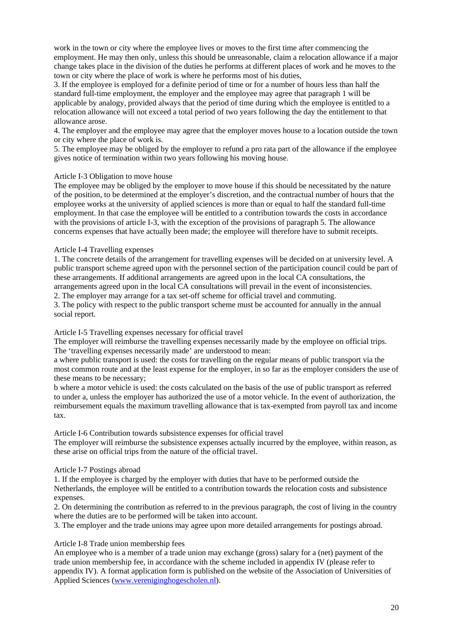work in the town or city where the employee lives or moves to the first time after commencing the employment. He may then only, unless this should be unreasonable, claim a relocation allowance if a major change takes place in the division of the duties he performs at different places of work and he moves to the town or city where the place of work is where he performs most of his duties,

3. If the employee is employed for a definite period of time or for a number of hours less than half the standard full-time employment, the employer and the employee may agree that paragraph 1 will be applicable by analogy, provided always that the period of time during which the employee is entitled to a relocation allowance will not exceed a total period of two years following the day the entitlement to that allowance arose.

4. The employer and the employee may agree that the employer moves house to a location outside the town or city where the place of work is.

5. The employee may be obliged by the employer to refund a pro rata part of the allowance if the employee gives notice of termination within two years following his moving house.

### Article I-3 Obligation to move house

The employee may be obliged by the employer to move house if this should be necessitated by the nature of the position, to be determined at the employer's discretion, and the contractual number of hours that the employee works at the university of applied sciences is more than or equal to half the standard full-time employment. In that case the employee will be entitled to a contribution towards the costs in accordance with the provisions of article I-3, with the exception of the provisions of paragraph 5. The allowance concerns expenses that have actually been made; the employee will therefore have to submit receipts.

### Article I-4 Travelling expenses

1. The concrete details of the arrangement for travelling expenses will be decided on at university level. A public transport scheme agreed upon with the personnel section of the participation council could be part of these arrangements. If additional arrangements are agreed upon in the local CA consultations, the arrangements agreed upon in the local CA consultations will prevail in the event of inconsistencies.

2. The employer may arrange for a tax set-off scheme for official travel and commuting.

3. The policy with respect to the public transport scheme must be accounted for annually in the annual social report.

#### Article I-5 Travelling expenses necessary for official travel

The employer will reimburse the travelling expenses necessarily made by the employee on official trips. The 'travelling expenses necessarily made' are understood to mean:

a where public transport is used: the costs for travelling on the regular means of public transport via the most common route and at the least expense for the employer, in so far as the employer considers the use of these means to be necessary;

b where a motor vehicle is used: the costs calculated on the basis of the use of public transport as referred to under a, unless the employer has authorized the use of a motor vehicle. In the event of authorization, the reimbursement equals the maximum travelling allowance that is tax-exempted from payroll tax and income tax.

#### Article I-6 Contribution towards subsistence expenses for official travel

The employer will reimburse the subsistence expenses actually incurred by the employee, within reason, as these arise on official trips from the nature of the official travel.

### Article I-7 Postings abroad

1. If the employee is charged by the employer with duties that have to be performed outside the Netherlands, the employee will be entitled to a contribution towards the relocation costs and subsistence expenses.

2. On determining the contribution as referred to in the previous paragraph, the cost of living in the country where the duties are to be performed will be taken into account.

3. The employer and the trade unions may agree upon more detailed arrangements for postings abroad.

### Article I-8 Trade union membership fees

An employee who is a member of a trade union may exchange (gross) salary for a (net) payment of the trade union membership fee, in accordance with the scheme included in appendix IV (please refer to appendix IV). A format application form is published on the website of the Association of Universities of Applied Sciences [\(www.vereniginghogescholen.nl\)](http://www.vereniginghogescholen.nl/).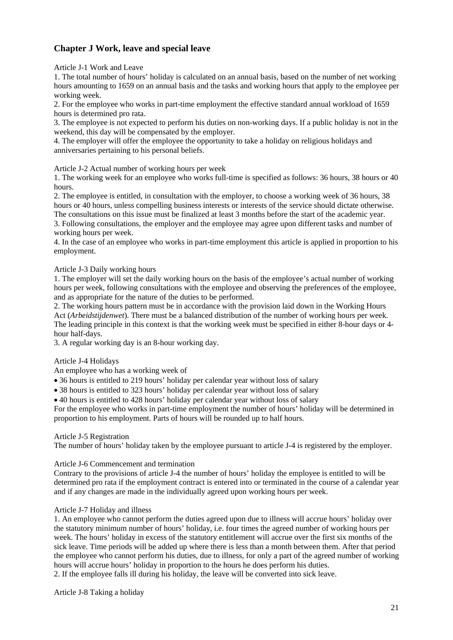# **Chapter J Work, leave and special leave**

Article J-1 Work and Leave

1. The total number of hours' holiday is calculated on an annual basis, based on the number of net working hours amounting to 1659 on an annual basis and the tasks and working hours that apply to the employee per working week.

2. For the employee who works in part-time employment the effective standard annual workload of 1659 hours is determined pro rata.

3. The employee is not expected to perform his duties on non-working days. If a public holiday is not in the weekend, this day will be compensated by the employer.

4. The employer will offer the employee the opportunity to take a holiday on religious holidays and anniversaries pertaining to his personal beliefs.

Article J-2 Actual number of working hours per week

1. The working week for an employee who works full-time is specified as follows: 36 hours, 38 hours or 40 hours.

2. The employee is entitled, in consultation with the employer, to choose a working week of 36 hours, 38 hours or 40 hours, unless compelling business interests or interests of the service should dictate otherwise. The consultations on this issue must be finalized at least 3 months before the start of the academic year.

3. Following consultations, the employer and the employee may agree upon different tasks and number of working hours per week.

4. In the case of an employee who works in part-time employment this article is applied in proportion to his employment.

### Article J-3 Daily working hours

1. The employer will set the daily working hours on the basis of the employee's actual number of working hours per week, following consultations with the employee and observing the preferences of the employee, and as appropriate for the nature of the duties to be performed.

2. The working hours pattern must be in accordance with the provision laid down in the Working Hours Act (*Arbeidstijdenwet*). There must be a balanced distribution of the number of working hours per week. The leading principle in this context is that the working week must be specified in either 8-hour days or 4 hour half-days.

3. A regular working day is an 8-hour working day.

### Article J-4 Holidays

An employee who has a working week of

• 36 hours is entitled to 219 hours' holiday per calendar year without loss of salary

• 38 hours is entitled to 323 hours' holiday per calendar year without loss of salary

• 40 hours is entitled to 428 hours' holiday per calendar year without loss of salary

For the employee who works in part-time employment the number of hours' holiday will be determined in proportion to his employment. Parts of hours will be rounded up to half hours.

### Article J-5 Registration

The number of hours' holiday taken by the employee pursuant to article J-4 is registered by the employer.

### Article J-6 Commencement and termination

Contrary to the provisions of article J-4 the number of hours' holiday the employee is entitled to will be determined pro rata if the employment contract is entered into or terminated in the course of a calendar year and if any changes are made in the individually agreed upon working hours per week.

### Article J-7 Holiday and illness

1. An employee who cannot perform the duties agreed upon due to illness will accrue hours' holiday over the statutory minimum number of hours' holiday, i.e. four times the agreed number of working hours per week. The hours' holiday in excess of the statutory entitlement will accrue over the first six months of the sick leave. Time periods will be added up where there is less than a month between them. After that period the employee who cannot perform his duties, due to illness, for only a part of the agreed number of working hours will accrue hours' holiday in proportion to the hours he does perform his duties.

2. If the employee falls ill during his holiday, the leave will be converted into sick leave.

Article J-8 Taking a holiday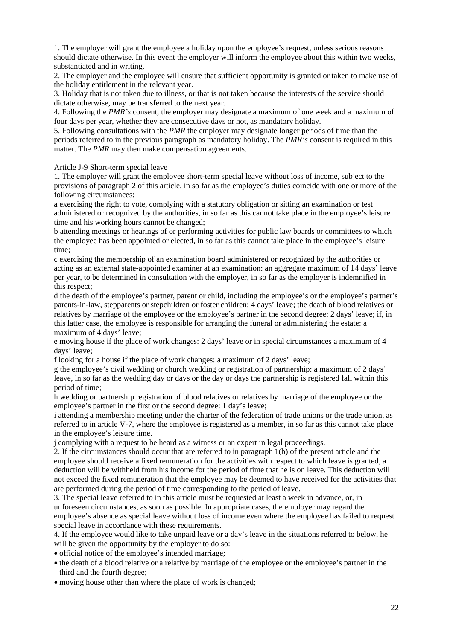1. The employer will grant the employee a holiday upon the employee's request, unless serious reasons should dictate otherwise. In this event the employer will inform the employee about this within two weeks, substantiated and in writing.

2. The employer and the employee will ensure that sufficient opportunity is granted or taken to make use of the holiday entitlement in the relevant year.

3. Holiday that is not taken due to illness, or that is not taken because the interests of the service should dictate otherwise, may be transferred to the next year.

4. Following the *PMR's* consent, the employer may designate a maximum of one week and a maximum of four days per year, whether they are consecutive days or not, as mandatory holiday.

5. Following consultations with the *PMR* the employer may designate longer periods of time than the periods referred to in the previous paragraph as mandatory holiday. The *PMR's* consent is required in this matter. The *PMR* may then make compensation agreements.

Article J-9 Short-term special leave

1. The employer will grant the employee short-term special leave without loss of income, subject to the provisions of paragraph 2 of this article, in so far as the employee's duties coincide with one or more of the following circumstances:

a exercising the right to vote, complying with a statutory obligation or sitting an examination or test administered or recognized by the authorities, in so far as this cannot take place in the employee's leisure time and his working hours cannot be changed;

b attending meetings or hearings of or performing activities for public law boards or committees to which the employee has been appointed or elected, in so far as this cannot take place in the employee's leisure time;

c exercising the membership of an examination board administered or recognized by the authorities or acting as an external state-appointed examiner at an examination: an aggregate maximum of 14 days' leave per year, to be determined in consultation with the employer, in so far as the employer is indemnified in this respect;

d the death of the employee's partner, parent or child, including the employee's or the employee's partner's parents-in-law, stepparents or stepchildren or foster children: 4 days' leave; the death of blood relatives or relatives by marriage of the employee or the employee's partner in the second degree: 2 days' leave; if, in this latter case, the employee is responsible for arranging the funeral or administering the estate: a maximum of 4 days' leave;

e moving house if the place of work changes: 2 days' leave or in special circumstances a maximum of 4 days' leave;

f looking for a house if the place of work changes: a maximum of 2 days' leave;

g the employee's civil wedding or church wedding or registration of partnership: a maximum of 2 days' leave, in so far as the wedding day or days or the day or days the partnership is registered fall within this period of time;

h wedding or partnership registration of blood relatives or relatives by marriage of the employee or the employee's partner in the first or the second degree: 1 day's leave;

i attending a membership meeting under the charter of the federation of trade unions or the trade union, as referred to in article V-7, where the employee is registered as a member, in so far as this cannot take place in the employee's leisure time.

j complying with a request to be heard as a witness or an expert in legal proceedings.

2. If the circumstances should occur that are referred to in paragraph 1(b) of the present article and the employee should receive a fixed remuneration for the activities with respect to which leave is granted, a deduction will be withheld from his income for the period of time that he is on leave. This deduction will not exceed the fixed remuneration that the employee may be deemed to have received for the activities that are performed during the period of time corresponding to the period of leave.

3. The special leave referred to in this article must be requested at least a week in advance, or, in unforeseen circumstances, as soon as possible. In appropriate cases, the employer may regard the employee's absence as special leave without loss of income even where the employee has failed to request special leave in accordance with these requirements.

4. If the employee would like to take unpaid leave or a day's leave in the situations referred to below, he will be given the opportunity by the employer to do so:

- official notice of the employee's intended marriage;
- the death of a blood relative or a relative by marriage of the employee or the employee's partner in the third and the fourth degree;
- moving house other than where the place of work is changed;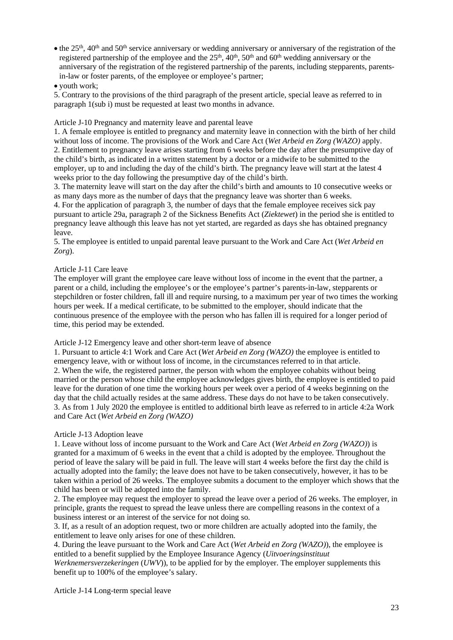• the  $25<sup>th</sup>$ ,  $40<sup>th</sup>$  and  $50<sup>th</sup>$  service anniversary or wedding anniversary or anniversary of the registration of the registered partnership of the employee and the  $25<sup>th</sup>$ ,  $40<sup>th</sup>$ ,  $50<sup>th</sup>$  and  $60<sup>th</sup>$  wedding anniversary or the anniversary of the registration of the registered partnership of the parents, including stepparents, parentsin-law or foster parents, of the employee or employee's partner;

### • youth work;

5. Contrary to the provisions of the third paragraph of the present article, special leave as referred to in paragraph 1(sub i) must be requested at least two months in advance.

Article J-10 Pregnancy and maternity leave and parental leave

1. A female employee is entitled to pregnancy and maternity leave in connection with the birth of her child without loss of income. The provisions of the Work and Care Act (*Wet Arbeid en Zorg (WAZO)* apply. 2. Entitlement to pregnancy leave arises starting from 6 weeks before the day after the presumptive day of the child's birth, as indicated in a written statement by a doctor or a midwife to be submitted to the employer, up to and including the day of the child's birth. The pregnancy leave will start at the latest 4 weeks prior to the day following the presumptive day of the child's birth.

3. The maternity leave will start on the day after the child's birth and amounts to 10 consecutive weeks or as many days more as the number of days that the pregnancy leave was shorter than 6 weeks.

4. For the application of paragraph 3, the number of days that the female employee receives sick pay pursuant to article 29a, paragraph 2 of the Sickness Benefits Act (*Ziektewet*) in the period she is entitled to pregnancy leave although this leave has not yet started, are regarded as days she has obtained pregnancy leave.

5. The employee is entitled to unpaid parental leave pursuant to the Work and Care Act (*Wet Arbeid en Zorg*).

### Article J-11 Care leave

The employer will grant the employee care leave without loss of income in the event that the partner, a parent or a child, including the employee's or the employee's partner's parents-in-law, stepparents or stepchildren or foster children, fall ill and require nursing, to a maximum per year of two times the working hours per week. If a medical certificate, to be submitted to the employer, should indicate that the continuous presence of the employee with the person who has fallen ill is required for a longer period of time, this period may be extended.

Article J-12 Emergency leave and other short-term leave of absence

1. Pursuant to article 4:1 Work and Care Act (*Wet Arbeid en Zorg (WAZO)* the employee is entitled to emergency leave, with or without loss of income, in the circumstances referred to in that article. 2. When the wife, the registered partner, the person with whom the employee cohabits without being married or the person whose child the employee acknowledges gives birth, the employee is entitled to paid leave for the duration of one time the working hours per week over a period of 4 weeks beginning on the day that the child actually resides at the same address. These days do not have to be taken consecutively. 3. As from 1 July 2020 the employee is entitled to additional birth leave as referred to in article 4:2a Work and Care Act (*Wet Arbeid en Zorg (WAZO)* 

### Article J-13 Adoption leave

1. Leave without loss of income pursuant to the Work and Care Act (*Wet Arbeid en Zorg (WAZO)*) is granted for a maximum of 6 weeks in the event that a child is adopted by the employee. Throughout the period of leave the salary will be paid in full. The leave will start 4 weeks before the first day the child is actually adopted into the family; the leave does not have to be taken consecutively, however, it has to be taken within a period of 26 weeks. The employee submits a document to the employer which shows that the child has been or will be adopted into the family.

2. The employee may request the employer to spread the leave over a period of 26 weeks. The employer, in principle, grants the request to spread the leave unless there are compelling reasons in the context of a business interest or an interest of the service for not doing so.

3. If, as a result of an adoption request, two or more children are actually adopted into the family, the entitlement to leave only arises for one of these children.

4. During the leave pursuant to the Work and Care Act (*Wet Arbeid en Zorg (WAZO)*), the employee is entitled to a benefit supplied by the Employee Insurance Agency (*Uitvoeringsinstituut* 

*Werknemersverzekeringen* (*UWV*)), to be applied for by the employer. The employer supplements this benefit up to 100% of the employee's salary.

Article J-14 Long-term special leave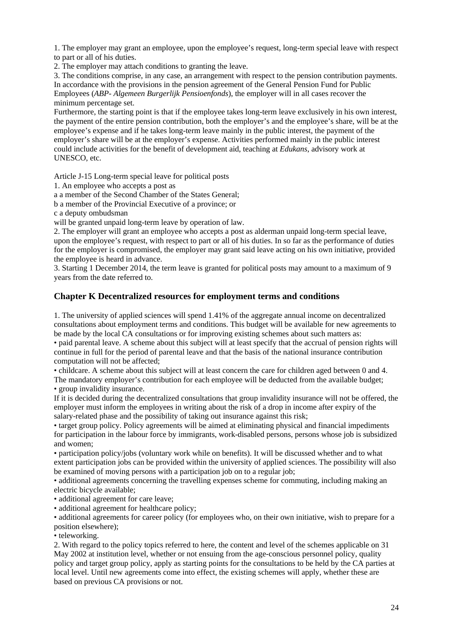1. The employer may grant an employee, upon the employee's request, long-term special leave with respect to part or all of his duties.

2. The employer may attach conditions to granting the leave.

3. The conditions comprise, in any case, an arrangement with respect to the pension contribution payments. In accordance with the provisions in the pension agreement of the General Pension Fund for Public Employees (*ABP- Algemeen Burgerlijk Pensioenfonds*), the employer will in all cases recover the minimum percentage set.

Furthermore, the starting point is that if the employee takes long-term leave exclusively in his own interest, the payment of the entire pension contribution, both the employer's and the employee's share, will be at the employee's expense and if he takes long-term leave mainly in the public interest, the payment of the employer's share will be at the employer's expense. Activities performed mainly in the public interest could include activities for the benefit of development aid, teaching at *Edukans*, advisory work at UNESCO, etc.

Article J-15 Long-term special leave for political posts

1. An employee who accepts a post as

a a member of the Second Chamber of the States General;

b a member of the Provincial Executive of a province; or

c a deputy ombudsman

will be granted unpaid long-term leave by operation of law.

2. The employer will grant an employee who accepts a post as alderman unpaid long-term special leave, upon the employee's request, with respect to part or all of his duties. In so far as the performance of duties for the employer is compromised, the employer may grant said leave acting on his own initiative, provided the employee is heard in advance.

3. Starting 1 December 2014, the term leave is granted for political posts may amount to a maximum of 9 years from the date referred to.

### **Chapter K Decentralized resources for employment terms and conditions**

1. The university of applied sciences will spend 1.41% of the aggregate annual income on decentralized consultations about employment terms and conditions. This budget will be available for new agreements to be made by the local CA consultations or for improving existing schemes about such matters as:

• paid parental leave. A scheme about this subject will at least specify that the accrual of pension rights will continue in full for the period of parental leave and that the basis of the national insurance contribution computation will not be affected;

• childcare. A scheme about this subject will at least concern the care for children aged between 0 and 4. The mandatory employer's contribution for each employee will be deducted from the available budget; • group invalidity insurance.

If it is decided during the decentralized consultations that group invalidity insurance will not be offered, the employer must inform the employees in writing about the risk of a drop in income after expiry of the salary-related phase and the possibility of taking out insurance against this risk;

• target group policy. Policy agreements will be aimed at eliminating physical and financial impediments for participation in the labour force by immigrants, work-disabled persons, persons whose job is subsidized and women;

• participation policy/jobs (voluntary work while on benefits). It will be discussed whether and to what extent participation jobs can be provided within the university of applied sciences. The possibility will also be examined of moving persons with a participation job on to a regular job;

• additional agreements concerning the travelling expenses scheme for commuting, including making an electric bicycle available;

• additional agreement for care leave;

• additional agreement for healthcare policy;

• additional agreements for career policy (for employees who, on their own initiative, wish to prepare for a position elsewhere);

• teleworking.

2. With regard to the policy topics referred to here, the content and level of the schemes applicable on 31 May 2002 at institution level, whether or not ensuing from the age-conscious personnel policy, quality policy and target group policy, apply as starting points for the consultations to be held by the CA parties at local level. Until new agreements come into effect, the existing schemes will apply, whether these are based on previous CA provisions or not.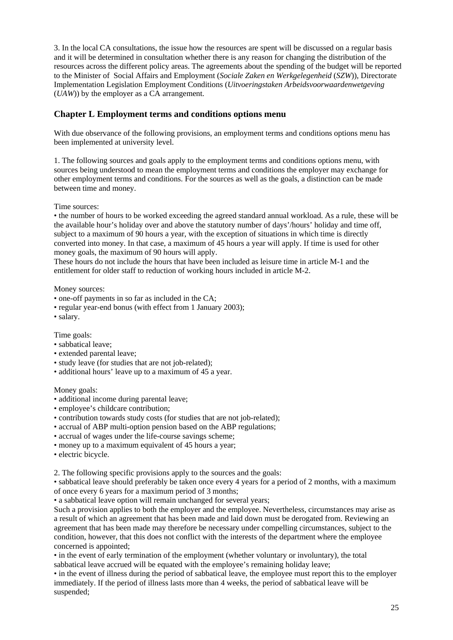3. In the local CA consultations, the issue how the resources are spent will be discussed on a regular basis and it will be determined in consultation whether there is any reason for changing the distribution of the resources across the different policy areas. The agreements about the spending of the budget will be reported to the Minister of Social Affairs and Employment (*Sociale Zaken en Werkgelegenheid* (*SZW*)), Directorate Implementation Legislation Employment Conditions (*Uitvoeringstaken Arbeidsvoorwaardenwetgeving* (*UAW*)) by the employer as a CA arrangement.

# **Chapter L Employment terms and conditions options menu**

With due observance of the following provisions, an employment terms and conditions options menu has been implemented at university level.

1. The following sources and goals apply to the employment terms and conditions options menu, with sources being understood to mean the employment terms and conditions the employer may exchange for other employment terms and conditions. For the sources as well as the goals, a distinction can be made between time and money.

Time sources:

• the number of hours to be worked exceeding the agreed standard annual workload. As a rule, these will be the available hour's holiday over and above the statutory number of days'/hours' holiday and time off, subject to a maximum of 90 hours a year, with the exception of situations in which time is directly converted into money. In that case, a maximum of 45 hours a year will apply. If time is used for other money goals, the maximum of 90 hours will apply.

These hours do not include the hours that have been included as leisure time in article M-1 and the entitlement for older staff to reduction of working hours included in article M-2.

Money sources:

- one-off payments in so far as included in the CA;
- regular year-end bonus (with effect from 1 January 2003);
- salary.

Time goals:

- sabbatical leave;
- extended parental leave;
- study leave (for studies that are not job-related):
- additional hours' leave up to a maximum of 45 a year.

Money goals:

- additional income during parental leave;
- employee's childcare contribution;
- contribution towards study costs (for studies that are not job-related);
- accrual of ABP multi-option pension based on the ABP regulations;
- accrual of wages under the life-course savings scheme;
- money up to a maximum equivalent of 45 hours a year;
- electric bicycle.

2. The following specific provisions apply to the sources and the goals:

• sabbatical leave should preferably be taken once every 4 years for a period of 2 months, with a maximum of once every 6 years for a maximum period of 3 months;

• a sabbatical leave option will remain unchanged for several years;

Such a provision applies to both the employer and the employee. Nevertheless, circumstances may arise as a result of which an agreement that has been made and laid down must be derogated from. Reviewing an agreement that has been made may therefore be necessary under compelling circumstances, subject to the condition, however, that this does not conflict with the interests of the department where the employee concerned is appointed;

• in the event of early termination of the employment (whether voluntary or involuntary), the total sabbatical leave accrued will be equated with the employee's remaining holiday leave;

• in the event of illness during the period of sabbatical leave, the employee must report this to the employer immediately. If the period of illness lasts more than 4 weeks, the period of sabbatical leave will be suspended;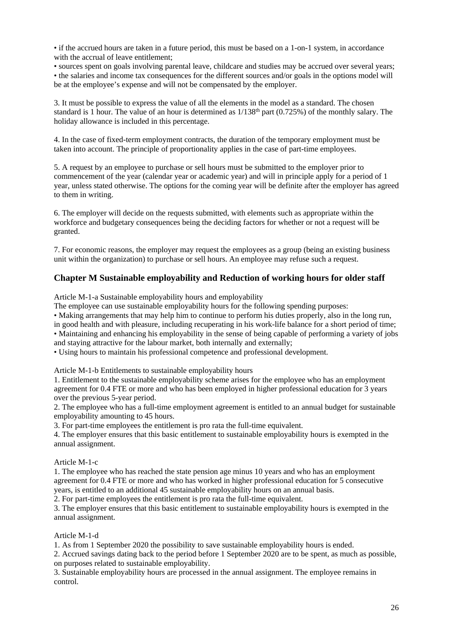• if the accrued hours are taken in a future period, this must be based on a 1-on-1 system, in accordance with the accrual of leave entitlement;

• sources spent on goals involving parental leave, childcare and studies may be accrued over several years;

• the salaries and income tax consequences for the different sources and/or goals in the options model will be at the employee's expense and will not be compensated by the employer.

3. It must be possible to express the value of all the elements in the model as a standard. The chosen standard is 1 hour. The value of an hour is determined as  $1/138<sup>th</sup>$  part (0.725%) of the monthly salary. The holiday allowance is included in this percentage.

4. In the case of fixed-term employment contracts, the duration of the temporary employment must be taken into account. The principle of proportionality applies in the case of part-time employees.

5. A request by an employee to purchase or sell hours must be submitted to the employer prior to commencement of the year (calendar year or academic year) and will in principle apply for a period of 1 year, unless stated otherwise. The options for the coming year will be definite after the employer has agreed to them in writing.

6. The employer will decide on the requests submitted, with elements such as appropriate within the workforce and budgetary consequences being the deciding factors for whether or not a request will be granted.

7. For economic reasons, the employer may request the employees as a group (being an existing business unit within the organization) to purchase or sell hours. An employee may refuse such a request.

# **Chapter M Sustainable employability and Reduction of working hours for older staff**

Article M-1-a Sustainable employability hours and employability

The employee can use sustainable employability hours for the following spending purposes:

• Making arrangements that may help him to continue to perform his duties properly, also in the long run, in good health and with pleasure, including recuperating in his work-life balance for a short period of time; • Maintaining and enhancing his employability in the sense of being capable of performing a variety of jobs and staying attractive for the labour market, both internally and externally;

• Using hours to maintain his professional competence and professional development.

Article M-1-b Entitlements to sustainable employability hours

1. Entitlement to the sustainable employability scheme arises for the employee who has an employment agreement for 0.4 FTE or more and who has been employed in higher professional education for 3 years over the previous 5-year period.

2. The employee who has a full-time employment agreement is entitled to an annual budget for sustainable employability amounting to 45 hours.

3. For part-time employees the entitlement is pro rata the full-time equivalent.

4. The employer ensures that this basic entitlement to sustainable employability hours is exempted in the annual assignment.

### Article M-1-c

1. The employee who has reached the state pension age minus 10 years and who has an employment agreement for 0.4 FTE or more and who has worked in higher professional education for 5 consecutive years, is entitled to an additional 45 sustainable employability hours on an annual basis.

2. For part-time employees the entitlement is pro rata the full-time equivalent.

3. The employer ensures that this basic entitlement to sustainable employability hours is exempted in the annual assignment.

### Article M-1-d

1. As from 1 September 2020 the possibility to save sustainable employability hours is ended.

2. Accrued savings dating back to the period before 1 September 2020 are to be spent, as much as possible, on purposes related to sustainable employability.

3. Sustainable employability hours are processed in the annual assignment. The employee remains in control.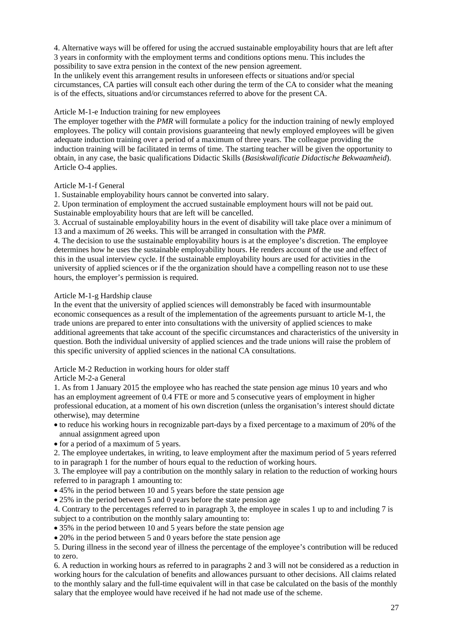4. Alternative ways will be offered for using the accrued sustainable employability hours that are left after 3 years in conformity with the employment terms and conditions options menu. This includes the possibility to save extra pension in the context of the new pension agreement.

In the unlikely event this arrangement results in unforeseen effects or situations and/or special circumstances, CA parties will consult each other during the term of the CA to consider what the meaning is of the effects, situations and/or circumstances referred to above for the present CA.

### Article M-1-e Induction training for new employees

The employer together with the *PMR* will formulate a policy for the induction training of newly employed employees. The policy will contain provisions guaranteeing that newly employed employees will be given adequate induction training over a period of a maximum of three years. The colleague providing the induction training will be facilitated in terms of time. The starting teacher will be given the opportunity to obtain, in any case, the basic qualifications Didactic Skills (*Basiskwalificatie Didactische Bekwaamheid*). Article O-4 applies.

### Article M-1-f General

1. Sustainable employability hours cannot be converted into salary.

2. Upon termination of employment the accrued sustainable employment hours will not be paid out. Sustainable employability hours that are left will be cancelled.

3. Accrual of sustainable employability hours in the event of disability will take place over a minimum of 13 and a maximum of 26 weeks. This will be arranged in consultation with the *PMR*.

4. The decision to use the sustainable employability hours is at the employee's discretion. The employee determines how he uses the sustainable employability hours. He renders account of the use and effect of this in the usual interview cycle. If the sustainable employability hours are used for activities in the university of applied sciences or if the the organization should have a compelling reason not to use these hours, the employer's permission is required.

### Article M-1-g Hardship clause

In the event that the university of applied sciences will demonstrably be faced with insurmountable economic consequences as a result of the implementation of the agreements pursuant to article M-1, the trade unions are prepared to enter into consultations with the university of applied sciences to make additional agreements that take account of the specific circumstances and characteristics of the university in question. Both the individual university of applied sciences and the trade unions will raise the problem of this specific university of applied sciences in the national CA consultations.

### Article M-2 Reduction in working hours for older staff

### Article M-2-a General

1. As from 1 January 2015 the employee who has reached the state pension age minus 10 years and who has an employment agreement of 0.4 FTE or more and 5 consecutive years of employment in higher professional education, at a moment of his own discretion (unless the organisation's interest should dictate otherwise), may determine

• to reduce his working hours in recognizable part-days by a fixed percentage to a maximum of 20% of the annual assignment agreed upon

• for a period of a maximum of 5 years.

2. The employee undertakes, in writing, to leave employment after the maximum period of 5 years referred to in paragraph 1 for the number of hours equal to the reduction of working hours.

3. The employee will pay a contribution on the monthly salary in relation to the reduction of working hours referred to in paragraph 1 amounting to:

- 45% in the period between 10 and 5 years before the state pension age
- 25% in the period between 5 and 0 years before the state pension age

4. Contrary to the percentages referred to in paragraph 3, the employee in scales 1 up to and including 7 is subject to a contribution on the monthly salary amounting to:

• 35% in the period between 10 and 5 years before the state pension age

• 20% in the period between 5 and 0 years before the state pension age

5. During illness in the second year of illness the percentage of the employee's contribution will be reduced to zero.

6. A reduction in working hours as referred to in paragraphs 2 and 3 will not be considered as a reduction in working hours for the calculation of benefits and allowances pursuant to other decisions. All claims related to the monthly salary and the full-time equivalent will in that case be calculated on the basis of the monthly salary that the employee would have received if he had not made use of the scheme.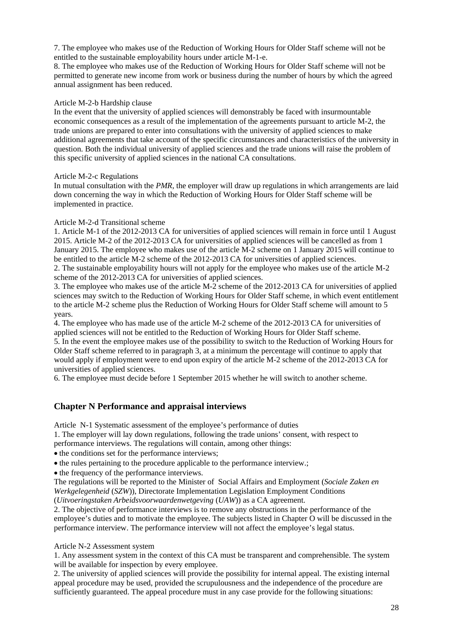7. The employee who makes use of the Reduction of Working Hours for Older Staff scheme will not be entitled to the sustainable employability hours under article M-1-e.

8. The employee who makes use of the Reduction of Working Hours for Older Staff scheme will not be permitted to generate new income from work or business during the number of hours by which the agreed annual assignment has been reduced.

### Article M-2-b Hardship clause

In the event that the university of applied sciences will demonstrably be faced with insurmountable economic consequences as a result of the implementation of the agreements pursuant to article M-2, the trade unions are prepared to enter into consultations with the university of applied sciences to make additional agreements that take account of the specific circumstances and characteristics of the university in question. Both the individual university of applied sciences and the trade unions will raise the problem of this specific university of applied sciences in the national CA consultations.

### Article M-2-c Regulations

In mutual consultation with the *PMR*, the employer will draw up regulations in which arrangements are laid down concerning the way in which the Reduction of Working Hours for Older Staff scheme will be implemented in practice.

### Article M-2-d Transitional scheme

1. Article M-1 of the 2012-2013 CA for universities of applied sciences will remain in force until 1 August 2015. Article M-2 of the 2012-2013 CA for universities of applied sciences will be cancelled as from 1 January 2015. The employee who makes use of the article M-2 scheme on 1 January 2015 will continue to be entitled to the article M-2 scheme of the 2012-2013 CA for universities of applied sciences. 2. The sustainable employability hours will not apply for the employee who makes use of the article M-2 scheme of the 2012-2013 CA for universities of applied sciences.

3. The employee who makes use of the article M-2 scheme of the 2012-2013 CA for universities of applied sciences may switch to the Reduction of Working Hours for Older Staff scheme, in which event entitlement to the article M-2 scheme plus the Reduction of Working Hours for Older Staff scheme will amount to 5 years.

4. The employee who has made use of the article M-2 scheme of the 2012-2013 CA for universities of applied sciences will not be entitled to the Reduction of Working Hours for Older Staff scheme. 5. In the event the employee makes use of the possibility to switch to the Reduction of Working Hours for Older Staff scheme referred to in paragraph 3, at a minimum the percentage will continue to apply that would apply if employment were to end upon expiry of the article M-2 scheme of the 2012-2013 CA for universities of applied sciences.

6. The employee must decide before 1 September 2015 whether he will switch to another scheme.

### **Chapter N Performance and appraisal interviews**

Article N-1 Systematic assessment of the employee's performance of duties

1. The employer will lay down regulations, following the trade unions' consent, with respect to performance interviews. The regulations will contain, among other things:

• the conditions set for the performance interviews;

• the rules pertaining to the procedure applicable to the performance interview.;

• the frequency of the performance interviews.

The regulations will be reported to the Minister of Social Affairs and Employment (*Sociale Zaken en Werkgelegenheid* (*SZW*)), Directorate Implementation Legislation Employment Conditions (*Uitvoeringstaken Arbeidsvoorwaardenwetgeving* (*UAW*)) as a CA agreement.

2. The objective of performance interviews is to remove any obstructions in the performance of the employee's duties and to motivate the employee. The subjects listed in Chapter O will be discussed in the performance interview. The performance interview will not affect the employee's legal status.

#### Article N-2 Assessment system

1. Any assessment system in the context of this CA must be transparent and comprehensible. The system will be available for inspection by every employee.

2. The university of applied sciences will provide the possibility for internal appeal. The existing internal appeal procedure may be used, provided the scrupulousness and the independence of the procedure are sufficiently guaranteed. The appeal procedure must in any case provide for the following situations: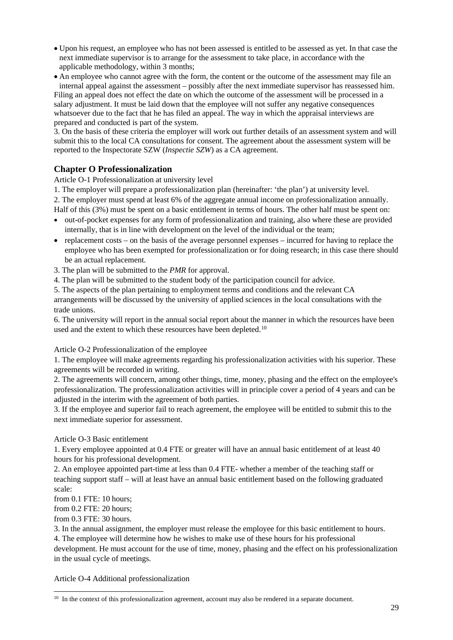- Upon his request, an employee who has not been assessed is entitled to be assessed as yet. In that case the next immediate supervisor is to arrange for the assessment to take place, in accordance with the applicable methodology, within 3 months;
- An employee who cannot agree with the form, the content or the outcome of the assessment may file an internal appeal against the assessment – possibly after the next immediate supervisor has reassessed him. Filing an appeal does not effect the date on which the outcome of the assessment will be processed in a salary adjustment. It must be laid down that the employee will not suffer any negative consequences whatsoever due to the fact that he has filed an appeal. The way in which the appraisal interviews are

prepared and conducted is part of the system. 3. On the basis of these criteria the employer will work out further details of an assessment system and will submit this to the local CA consultations for consent. The agreement about the assessment system will be reported to the Inspectorate SZW (*Inspectie SZW*) as a CA agreement.

# **Chapter O Professionalization**

Article O-1 Professionalization at university level

1. The employer will prepare a professionalization plan (hereinafter: 'the plan') at university level.

2. The employer must spend at least 6% of the aggregate annual income on professionalization annually. Half of this (3%) must be spent on a basic entitlement in terms of hours. The other half must be spent on:

- out-of-pocket expenses for any form of professionalization and training, also where these are provided internally, that is in line with development on the level of the individual or the team;
- replacement costs on the basis of the average personnel expenses incurred for having to replace the employee who has been exempted for professionalization or for doing research; in this case there should be an actual replacement.
- 3. The plan will be submitted to the *PMR* for approval.
- 4. The plan will be submitted to the student body of the participation council for advice.

5. The aspects of the plan pertaining to employment terms and conditions and the relevant CA arrangements will be discussed by the university of applied sciences in the local consultations with the

trade unions. 6. The university will report in the annual social report about the manner in which the resources have been

used and the extent to which these resources have been depleted.<sup>[10](#page-28-0)</sup>

### Article O-2 Professionalization of the employee

1. The employee will make agreements regarding his professionalization activities with his superior. These agreements will be recorded in writing.

2. The agreements will concern, among other things, time, money, phasing and the effect on the employee's professionalization. The professionalization activities will in principle cover a period of 4 years and can be adjusted in the interim with the agreement of both parties.

3. If the employee and superior fail to reach agreement, the employee will be entitled to submit this to the next immediate superior for assessment.

### Article O-3 Basic entitlement

1. Every employee appointed at 0.4 FTE or greater will have an annual basic entitlement of at least 40 hours for his professional development.

2. An employee appointed part-time at less than 0.4 FTE- whether a member of the teaching staff or teaching support staff – will at least have an annual basic entitlement based on the following graduated scale:

from 0.1 FTE: 10 hours;

from 0.2 FTE: 20 hours;

from 0.3 FTE: 30 hours.

3. In the annual assignment, the employer must release the employee for this basic entitlement to hours.

4. The employee will determine how he wishes to make use of these hours for his professional

development. He must account for the use of time, money, phasing and the effect on his professionalization in the usual cycle of meetings.

Article O-4 Additional professionalization

<span id="page-28-0"></span><sup>&</sup>lt;sup>10</sup> In the context of this professionalization agreement, account may also be rendered in a separate document.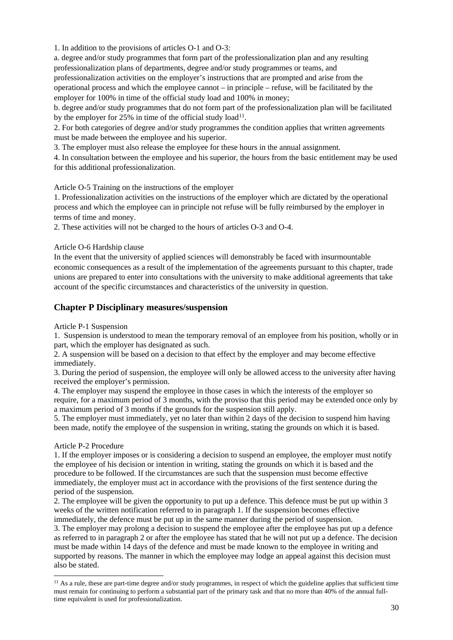1. In addition to the provisions of articles O-1 and O-3:

a. degree and/or study programmes that form part of the professionalization plan and any resulting professionalization plans of departments, degree and/or study programmes or teams, and professionalization activities on the employer's instructions that are prompted and arise from the operational process and which the employee cannot – in principle – refuse, will be facilitated by the employer for 100% in time of the official study load and 100% in money;

b. degree and/or study programmes that do not form part of the professionalization plan will be facilitated by the employer for  $25\%$  in time of the official study load<sup>[11](#page-29-0)</sup>.

2. For both categories of degree and/or study programmes the condition applies that written agreements must be made between the employee and his superior.

3. The employer must also release the employee for these hours in the annual assignment.

4. In consultation between the employee and his superior, the hours from the basic entitlement may be used for this additional professionalization.

Article O-5 Training on the instructions of the employer

1. Professionalization activities on the instructions of the employer which are dictated by the operational process and which the employee can in principle not refuse will be fully reimbursed by the employer in terms of time and money.

2. These activities will not be charged to the hours of articles O-3 and O-4.

### Article O-6 Hardship clause

In the event that the university of applied sciences will demonstrably be faced with insurmountable economic consequences as a result of the implementation of the agreements pursuant to this chapter, trade unions are prepared to enter into consultations with the university to make additional agreements that take account of the specific circumstances and characteristics of the university in question.

### **Chapter P Disciplinary measures/suspension**

Article P-1 Suspension

1. Suspension is understood to mean the temporary removal of an employee from his position, wholly or in part, which the employer has designated as such.

2. A suspension will be based on a decision to that effect by the employer and may become effective immediately.

3. During the period of suspension, the employee will only be allowed access to the university after having received the employer's permission.

4. The employer may suspend the employee in those cases in which the interests of the employer so require, for a maximum period of 3 months, with the proviso that this period may be extended once only by a maximum period of 3 months if the grounds for the suspension still apply.

5. The employer must immediately, yet no later than within 2 days of the decision to suspend him having been made, notify the employee of the suspension in writing, stating the grounds on which it is based.

#### Article P-2 Procedure

1. If the employer imposes or is considering a decision to suspend an employee, the employer must notify the employee of his decision or intention in writing, stating the grounds on which it is based and the procedure to be followed. If the circumstances are such that the suspension must become effective immediately, the employer must act in accordance with the provisions of the first sentence during the period of the suspension.

2. The employee will be given the opportunity to put up a defence. This defence must be put up within 3 weeks of the written notification referred to in paragraph 1. If the suspension becomes effective immediately, the defence must be put up in the same manner during the period of suspension.

3. The employer may prolong a decision to suspend the employee after the employee has put up a defence as referred to in paragraph 2 or after the employee has stated that he will not put up a defence. The decision must be made within 14 days of the defence and must be made known to the employee in writing and supported by reasons. The manner in which the employee may lodge an appeal against this decision must also be stated.

<span id="page-29-0"></span><sup>&</sup>lt;sup>11</sup> As a rule, these are part-time degree and/or study programmes, in respect of which the guideline applies that sufficient time must remain for continuing to perform a substantial part of the primary task and that no more than 40% of the annual fulltime equivalent is used for professionalization.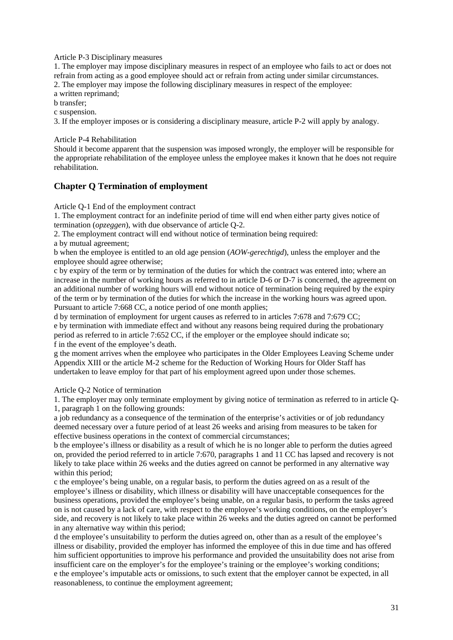Article P-3 Disciplinary measures

1. The employer may impose disciplinary measures in respect of an employee who fails to act or does not refrain from acting as a good employee should act or refrain from acting under similar circumstances. 2. The employer may impose the following disciplinary measures in respect of the employee:

a written reprimand;

b transfer;

c suspension.

3. If the employer imposes or is considering a disciplinary measure, article P-2 will apply by analogy.

#### Article P-4 Rehabilitation

Should it become apparent that the suspension was imposed wrongly, the employer will be responsible for the appropriate rehabilitation of the employee unless the employee makes it known that he does not require rehabilitation.

### **Chapter Q Termination of employment**

Article Q-1 End of the employment contract

1. The employment contract for an indefinite period of time will end when either party gives notice of termination (*opzeggen*), with due observance of article Q-2.

2. The employment contract will end without notice of termination being required:

a by mutual agreement;

b when the employee is entitled to an old age pension (*AOW-gerechtigd*), unless the employer and the employee should agree otherwise;

c by expiry of the term or by termination of the duties for which the contract was entered into; where an increase in the number of working hours as referred to in article D-6 or D-7 is concerned, the agreement on an additional number of working hours will end without notice of termination being required by the expiry of the term or by termination of the duties for which the increase in the working hours was agreed upon. Pursuant to article 7:668 CC, a notice period of one month applies;

d by termination of employment for urgent causes as referred to in articles 7:678 and 7:679 CC; e by termination with immediate effect and without any reasons being required during the probationary period as referred to in article 7:652 CC, if the employer or the employee should indicate so; f in the event of the employee's death.

g the moment arrives when the employee who participates in the Older Employees Leaving Scheme under Appendix XIII or the article M-2 scheme for the Reduction of Working Hours for Older Staff has undertaken to leave employ for that part of his employment agreed upon under those schemes.

Article Q-2 Notice of termination

1. The employer may only terminate employment by giving notice of termination as referred to in article Q-1, paragraph 1 on the following grounds:

a job redundancy as a consequence of the termination of the enterprise's activities or of job redundancy deemed necessary over a future period of at least 26 weeks and arising from measures to be taken for effective business operations in the context of commercial circumstances;

b the employee's illness or disability as a result of which he is no longer able to perform the duties agreed on, provided the period referred to in article 7:670, paragraphs 1 and 11 CC has lapsed and recovery is not likely to take place within 26 weeks and the duties agreed on cannot be performed in any alternative way within this period;

c the employee's being unable, on a regular basis, to perform the duties agreed on as a result of the employee's illness or disability, which illness or disability will have unacceptable consequences for the business operations, provided the employee's being unable, on a regular basis, to perform the tasks agreed on is not caused by a lack of care, with respect to the employee's working conditions, on the employer's side, and recovery is not likely to take place within 26 weeks and the duties agreed on cannot be performed in any alternative way within this period;

d the employee's unsuitability to perform the duties agreed on, other than as a result of the employee's illness or disability, provided the employer has informed the employee of this in due time and has offered him sufficient opportunities to improve his performance and provided the unsuitability does not arise from insufficient care on the employer's for the employee's training or the employee's working conditions; e the employee's imputable acts or omissions, to such extent that the employer cannot be expected, in all reasonableness, to continue the employment agreement;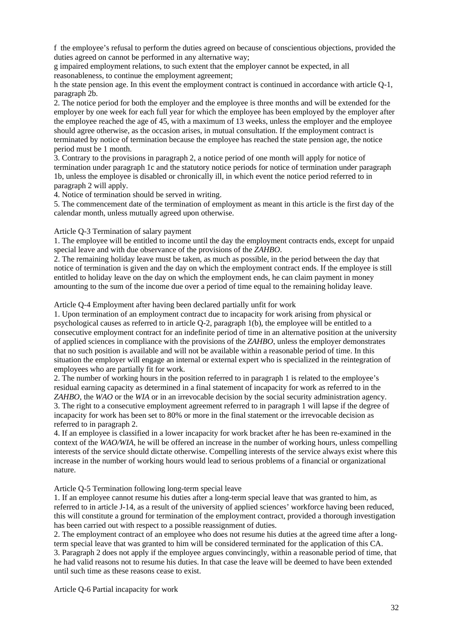f the employee's refusal to perform the duties agreed on because of conscientious objections, provided the duties agreed on cannot be performed in any alternative way;

g impaired employment relations, to such extent that the employer cannot be expected, in all reasonableness, to continue the employment agreement;

h the state pension age. In this event the employment contract is continued in accordance with article Q-1, paragraph 2b.

2. The notice period for both the employer and the employee is three months and will be extended for the employer by one week for each full year for which the employee has been employed by the employer after the employee reached the age of 45, with a maximum of 13 weeks, unless the employer and the employee should agree otherwise, as the occasion arises, in mutual consultation. If the employment contract is terminated by notice of termination because the employee has reached the state pension age, the notice period must be 1 month.

3. Contrary to the provisions in paragraph 2, a notice period of one month will apply for notice of termination under paragraph 1c and the statutory notice periods for notice of termination under paragraph 1b, unless the employee is disabled or chronically ill, in which event the notice period referred to in paragraph 2 will apply.

4. Notice of termination should be served in writing.

5. The commencement date of the termination of employment as meant in this article is the first day of the calendar month, unless mutually agreed upon otherwise.

#### Article Q-3 Termination of salary payment

1. The employee will be entitled to income until the day the employment contracts ends, except for unpaid special leave and with due observance of the provisions of the *ZAHBO*.

2. The remaining holiday leave must be taken, as much as possible, in the period between the day that notice of termination is given and the day on which the employment contract ends. If the employee is still entitled to holiday leave on the day on which the employment ends, he can claim payment in money amounting to the sum of the income due over a period of time equal to the remaining holiday leave.

Article Q-4 Employment after having been declared partially unfit for work

1. Upon termination of an employment contract due to incapacity for work arising from physical or psychological causes as referred to in article Q-2, paragraph 1(b), the employee will be entitled to a consecutive employment contract for an indefinite period of time in an alternative position at the university of applied sciences in compliance with the provisions of the *ZAHBO*, unless the employer demonstrates that no such position is available and will not be available within a reasonable period of time. In this situation the employer will engage an internal or external expert who is specialized in the reintegration of employees who are partially fit for work.

2. The number of working hours in the position referred to in paragraph 1 is related to the employee's residual earning capacity as determined in a final statement of incapacity for work as referred to in the *ZAHBO*, the *WAO* or the *WIA* or in an irrevocable decision by the social security administration agency. 3. The right to a consecutive employment agreement referred to in paragraph 1 will lapse if the degree of incapacity for work has been set to 80% or more in the final statement or the irrevocable decision as referred to in paragraph 2.

4. If an employee is classified in a lower incapacity for work bracket after he has been re-examined in the context of the *WAO/WIA*, he will be offered an increase in the number of working hours, unless compelling interests of the service should dictate otherwise. Compelling interests of the service always exist where this increase in the number of working hours would lead to serious problems of a financial or organizational nature.

Article Q-5 Termination following long-term special leave

1. If an employee cannot resume his duties after a long-term special leave that was granted to him, as referred to in article J-14, as a result of the university of applied sciences' workforce having been reduced, this will constitute a ground for termination of the employment contract, provided a thorough investigation has been carried out with respect to a possible reassignment of duties.

2. The employment contract of an employee who does not resume his duties at the agreed time after a longterm special leave that was granted to him will be considered terminated for the application of this CA.

3. Paragraph 2 does not apply if the employee argues convincingly, within a reasonable period of time, that he had valid reasons not to resume his duties. In that case the leave will be deemed to have been extended until such time as these reasons cease to exist.

Article Q-6 Partial incapacity for work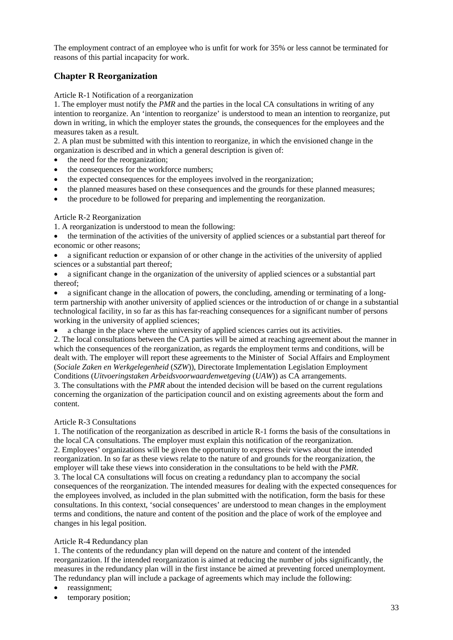The employment contract of an employee who is unfit for work for 35% or less cannot be terminated for reasons of this partial incapacity for work.

# **Chapter R Reorganization**

### Article R-1 Notification of a reorganization

1. The employer must notify the *PMR* and the parties in the local CA consultations in writing of any intention to reorganize. An 'intention to reorganize' is understood to mean an intention to reorganize, put down in writing, in which the employer states the grounds, the consequences for the employees and the measures taken as a result.

2. A plan must be submitted with this intention to reorganize, in which the envisioned change in the organization is described and in which a general description is given of:

- the need for the reorganization;
- the consequences for the workforce numbers;
- the expected consequences for the employees involved in the reorganization;
- the planned measures based on these consequences and the grounds for these planned measures;
- the procedure to be followed for preparing and implementing the reorganization.

### Article R-2 Reorganization

- 1. A reorganization is understood to mean the following:
- the termination of the activities of the university of applied sciences or a substantial part thereof for economic or other reasons;
- a significant reduction or expansion of or other change in the activities of the university of applied sciences or a substantial part thereof;
- a significant change in the organization of the university of applied sciences or a substantial part thereof;
- a significant change in the allocation of powers, the concluding, amending or terminating of a longterm partnership with another university of applied sciences or the introduction of or change in a substantial technological facility, in so far as this has far-reaching consequences for a significant number of persons working in the university of applied sciences;
- a change in the place where the university of applied sciences carries out its activities.

2. The local consultations between the CA parties will be aimed at reaching agreement about the manner in which the consequences of the reorganization, as regards the employment terms and conditions, will be dealt with. The employer will report these agreements to the Minister of Social Affairs and Employment (*Sociale Zaken en Werkgelegenheid* (*SZW*)), Directorate Implementation Legislation Employment Conditions (*Uitvoeringstaken Arbeidsvoorwaardenwetgeving* (*UAW*)) as CA arrangements.

3. The consultations with the *PMR* about the intended decision will be based on the current regulations concerning the organization of the participation council and on existing agreements about the form and content.

### Article R-3 Consultations

1. The notification of the reorganization as described in article R-1 forms the basis of the consultations in the local CA consultations. The employer must explain this notification of the reorganization. 2. Employees' organizations will be given the opportunity to express their views about the intended reorganization. In so far as these views relate to the nature of and grounds for the reorganization, the employer will take these views into consideration in the consultations to be held with the *PMR*. 3. The local CA consultations will focus on creating a redundancy plan to accompany the social consequences of the reorganization. The intended measures for dealing with the expected consequences for the employees involved, as included in the plan submitted with the notification, form the basis for these consultations. In this context, 'social consequences' are understood to mean changes in the employment terms and conditions, the nature and content of the position and the place of work of the employee and changes in his legal position.

### Article R-4 Redundancy plan

1. The contents of the redundancy plan will depend on the nature and content of the intended reorganization. If the intended reorganization is aimed at reducing the number of jobs significantly, the measures in the redundancy plan will in the first instance be aimed at preventing forced unemployment. The redundancy plan will include a package of agreements which may include the following:

- reassignment;
- temporary position;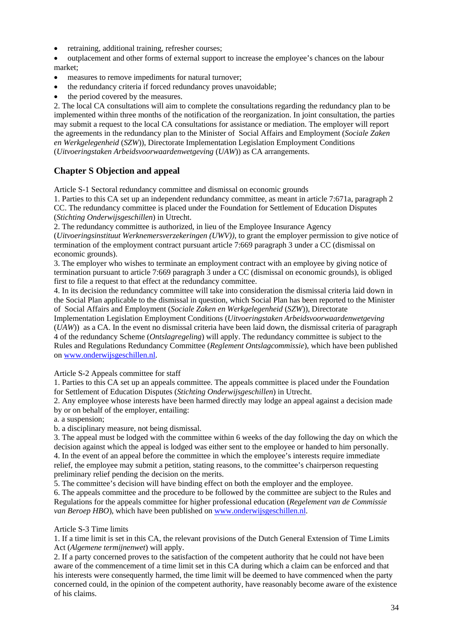- retraining, additional training, refresher courses;
- outplacement and other forms of external support to increase the employee's chances on the labour market;
- measures to remove impediments for natural turnover;
- the redundancy criteria if forced redundancy proves unavoidable;
- the period covered by the measures.

2. The local CA consultations will aim to complete the consultations regarding the redundancy plan to be implemented within three months of the notification of the reorganization. In joint consultation, the parties may submit a request to the local CA consultations for assistance or mediation. The employer will report the agreements in the redundancy plan to the Minister of Social Affairs and Employment (*Sociale Zaken en Werkgelegenheid* (*SZW*)), Directorate Implementation Legislation Employment Conditions (*Uitvoeringstaken Arbeidsvoorwaardenwetgeving* (*UAW*)) as CA arrangements.

# **Chapter S Objection and appeal**

Article S-1 Sectoral redundancy committee and dismissal on economic grounds

1. Parties to this CA set up an independent redundancy committee, as meant in article 7:671a, paragraph 2 CC. The redundancy committee is placed under the Foundation for Settlement of Education Disputes (*Stichting Onderwijsgeschillen*) in Utrecht.

2. The redundancy committee is authorized, in lieu of the Employee Insurance Agency

(*Uitvoeringsinstituut Werknemersverzekeringen (UWV))*, to grant the employer permission to give notice of termination of the employment contract pursuant article 7:669 paragraph 3 under a CC (dismissal on economic grounds).

3. The employer who wishes to terminate an employment contract with an employee by giving notice of termination pursuant to article 7:669 paragraph 3 under a CC (dismissal on economic grounds), is obliged first to file a request to that effect at the redundancy committee.

4. In its decision the redundancy committee will take into consideration the dismissal criteria laid down in the Social Plan applicable to the dismissal in question, which Social Plan has been reported to the Minister of Social Affairs and Employment (*Sociale Zaken en Werkgelegenheid* (*SZW*)), Directorate

Implementation Legislation Employment Conditions (*Uitvoeringstaken Arbeidsvoorwaardenwetgeving* (*UAW*)) as a CA. In the event no dismissal criteria have been laid down, the dismissal criteria of paragraph 4 of the redundancy Scheme (*Ontslagregeling*) will apply. The redundancy committee is subject to the Rules and Regulations Redundancy Committee (*Reglement Ontslagcommissie*), which have been published on [www.onderwijsgeschillen.nl.](http://www.onderwijsgeschillen.nl/)

Article S-2 Appeals committee for staff

1. Parties to this CA set up an appeals committee. The appeals committee is placed under the Foundation for Settlement of Education Disputes (*Stichting Onderwijsgeschillen*) in Utrecht.

2. Any employee whose interests have been harmed directly may lodge an appeal against a decision made by or on behalf of the employer, entailing:

a. a suspension;

b. a disciplinary measure, not being dismissal.

3. The appeal must be lodged with the committee within 6 weeks of the day following the day on which the decision against which the appeal is lodged was either sent to the employee or handed to him personally.

4. In the event of an appeal before the committee in which the employee's interests require immediate relief, the employee may submit a petition, stating reasons, to the committee's chairperson requesting preliminary relief pending the decision on the merits.

5. The committee's decision will have binding effect on both the employer and the employee.

6. The appeals committee and the procedure to be followed by the committee are subject to the Rules and Regulations for the appeals committee for higher professional education (*Regelement van de Commissie van Beroep HBO*), which have been published o[n www.onderwijsgeschillen.nl.](http://www.onderwijsgeschillen.nl/)

### Article S-3 Time limits

1. If a time limit is set in this CA, the relevant provisions of the Dutch General Extension of Time Limits Act (*Algemene termijnenwet*) will apply.

2. If a party concerned proves to the satisfaction of the competent authority that he could not have been aware of the commencement of a time limit set in this CA during which a claim can be enforced and that his interests were consequently harmed, the time limit will be deemed to have commenced when the party concerned could, in the opinion of the competent authority, have reasonably become aware of the existence of his claims.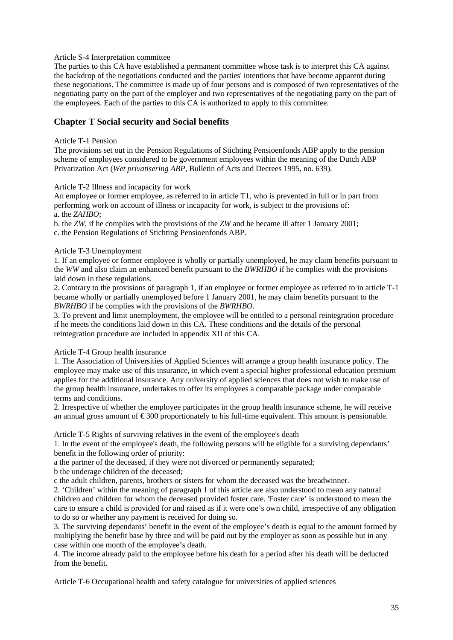#### Article S-4 Interpretation committee

The parties to this CA have established a permanent committee whose task is to interpret this CA against the backdrop of the negotiations conducted and the parties' intentions that have become apparent during these negotiations. The committee is made up of four persons and is composed of two representatives of the negotiating party on the part of the employer and two representatives of the negotiating party on the part of the employees. Each of the parties to this CA is authorized to apply to this committee.

### **Chapter T Social security and Social benefits**

### Article T-1 Pension

The provisions set out in the Pension Regulations of Stichting Pensioenfonds ABP apply to the pension scheme of employees considered to be government employees within the meaning of the Dutch ABP Privatization Act (*Wet privatisering ABP*, Bulletin of Acts and Decrees 1995, no. 639).

### Article T-2 Illness and incapacity for work

An employee or former employee, as referred to in article T1, who is prevented in full or in part from performing work on account of illness or incapacity for work, is subject to the provisions of: a. the *ZAHBO*;

b. the *ZW*, if he complies with the provisions of the *ZW* and he became ill after 1 January 2001;

c. the Pension Regulations of Stichting Pensioenfonds ABP.

### Article T-3 Unemployment

1. If an employee or former employee is wholly or partially unemployed, he may claim benefits pursuant to the *WW* and also claim an enhanced benefit pursuant to the *BWRHBO* if he complies with the provisions laid down in these regulations.

2. Contrary to the provisions of paragraph 1, if an employee or former employee as referred to in article T-1 became wholly or partially unemployed before 1 January 2001, he may claim benefits pursuant to the *BWRHBO* if he complies with the provisions of the *BWRHBO*.

3. To prevent and limit unemployment, the employee will be entitled to a personal reintegration procedure if he meets the conditions laid down in this CA. These conditions and the details of the personal reintegration procedure are included in appendix XII of this CA.

Article T-4 Group health insurance

1. The Association of Universities of Applied Sciences will arrange a group health insurance policy. The employee may make use of this insurance, in which event a special higher professional education premium applies for the additional insurance. Any university of applied sciences that does not wish to make use of the group health insurance, undertakes to offer its employees a comparable package under comparable terms and conditions.

2. Irrespective of whether the employee participates in the group health insurance scheme, he will receive an annual gross amount of  $\epsilon$ 300 proportionately to his full-time equivalent. This amount is pensionable.

Article T-5 Rights of surviving relatives in the event of the employee's death

1. In the event of the employee's death, the following persons will be eligible for a surviving dependants' benefit in the following order of priority:

a the partner of the deceased, if they were not divorced or permanently separated;

b the underage children of the deceased;

c the adult children, parents, brothers or sisters for whom the deceased was the breadwinner.

2. 'Children' within the meaning of paragraph 1 of this article are also understood to mean any natural children and children for whom the deceased provided foster care. 'Foster care' is understood to mean the care to ensure a child is provided for and raised as if it were one's own child, irrespective of any obligation to do so or whether any payment is received for doing so.

3. The surviving dependants' benefit in the event of the employee's death is equal to the amount formed by multiplying the benefit base by three and will be paid out by the employer as soon as possible but in any case within one month of the employee's death.

4. The income already paid to the employee before his death for a period after his death will be deducted from the benefit.

Article T-6 Occupational health and safety catalogue for universities of applied sciences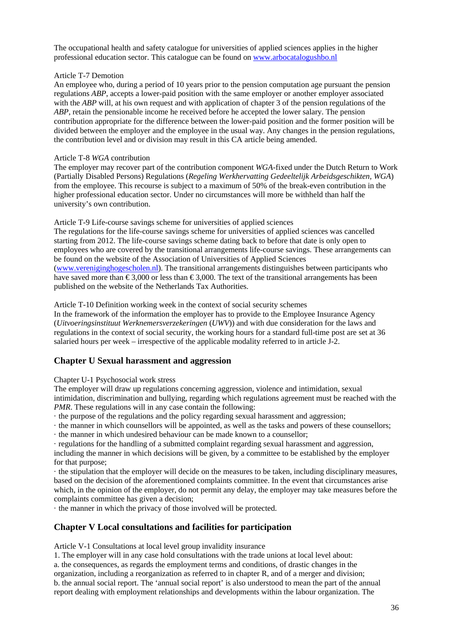The occupational health and safety catalogue for universities of applied sciences applies in the higher professional education sector. This catalogue can be found o[n www.arbocatalogushbo.nl](http://www.arbocatalogushbo.nl/)

### Article T-7 Demotion

An employee who, during a period of 10 years prior to the pension computation age pursuant the pension regulations *ABP*, accepts a lower-paid position with the same employer or another employer associated with the *ABP* will, at his own request and with application of chapter 3 of the pension regulations of the *ABP*, retain the pensionable income he received before he accepted the lower salary. The pension contribution appropriate for the difference between the lower-paid position and the former position will be divided between the employer and the employee in the usual way. Any changes in the pension regulations, the contribution level and or division may result in this CA article being amended.

### Article T-8 *WGA* contribution

The employer may recover part of the contribution component *WGA*-fixed under the Dutch Return to Work (Partially Disabled Persons) Regulations (*Regeling Werkhervatting Gedeeltelijk Arbeidsgeschikten, WGA*) from the employee. This recourse is subject to a maximum of 50% of the break-even contribution in the higher professional education sector. Under no circumstances will more be withheld than half the university's own contribution.

### Article T-9 Life-course savings scheme for universities of applied sciences

The regulations for the life-course savings scheme for universities of applied sciences was cancelled starting from 2012. The life-course savings scheme dating back to before that date is only open to employees who are covered by the transitional arrangements life-course savings. These arrangements can be found on the website of the Association of Universities of Applied Sciences [\(www.vereniginghogescholen.nl\)](http://www.vereniginghogescholen.nl/). The transitional arrangements distinguishes between participants who have saved more than  $\epsilon$ 3,000 or less than  $\epsilon$ 3,000. The text of the transitional arrangements has been published on the website of the Netherlands Tax Authorities.

Article T-10 Definition working week in the context of social security schemes

In the framework of the information the employer has to provide to the Employee Insurance Agency (*Uitvoeringsinstituut Werknemersverzekeringen* (*UWV*)) and with due consideration for the laws and regulations in the context of social security, the working hours for a standard full-time post are set at 36 salaried hours per week – irrespective of the applicable modality referred to in article J-2.

### **Chapter U Sexual harassment and aggression**

### Chapter U-1 Psychosocial work stress

The employer will draw up regulations concerning aggression, violence and intimidation, sexual intimidation, discrimination and bullying, regarding which regulations agreement must be reached with the *PMR*. These regulations will in any case contain the following:

- · the purpose of the regulations and the policy regarding sexual harassment and aggression;
- · the manner in which counsellors will be appointed, as well as the tasks and powers of these counsellors;
- · the manner in which undesired behaviour can be made known to a counsellor;

· regulations for the handling of a submitted complaint regarding sexual harassment and aggression, including the manner in which decisions will be given, by a committee to be established by the employer for that purpose;

· the stipulation that the employer will decide on the measures to be taken, including disciplinary measures, based on the decision of the aforementioned complaints committee. In the event that circumstances arise which, in the opinion of the employer, do not permit any delay, the employer may take measures before the complaints committee has given a decision;

· the manner in which the privacy of those involved will be protected.

### **Chapter V Local consultations and facilities for participation**

Article V-1 Consultations at local level group invalidity insurance

1. The employer will in any case hold consultations with the trade unions at local level about:

a. the consequences, as regards the employment terms and conditions, of drastic changes in the organization, including a reorganization as referred to in chapter R, and of a merger and division; b. the annual social report. The 'annual social report' is also understood to mean the part of the annual report dealing with employment relationships and developments within the labour organization. The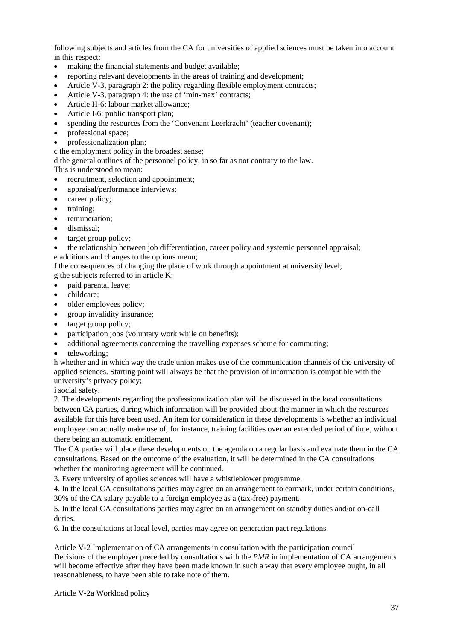following subjects and articles from the CA for universities of applied sciences must be taken into account in this respect:

- making the financial statements and budget available;
- reporting relevant developments in the areas of training and development;
- Article V-3, paragraph 2: the policy regarding flexible employment contracts;
- Article V-3, paragraph 4: the use of 'min-max' contracts;
- Article H-6: labour market allowance;
- Article I-6: public transport plan;
- spending the resources from the 'Convenant Leerkracht' (teacher covenant);
- professional space:
- professionalization plan;

c the employment policy in the broadest sense;

d the general outlines of the personnel policy, in so far as not contrary to the law.

This is understood to mean:

- recruitment, selection and appointment;
- appraisal/performance interviews;
- career policy;
- training:
- remuneration:
- dismissal;
- target group policy:

• the relationship between job differentiation, career policy and systemic personnel appraisal; e additions and changes to the options menu;

f the consequences of changing the place of work through appointment at university level; g the subjects referred to in article K:

- paid parental leave;
- childcare:
- older employees policy;
- group invalidity insurance;
- target group policy;
- participation jobs (voluntary work while on benefits);
- additional agreements concerning the travelling expenses scheme for commuting;
- teleworking:

h whether and in which way the trade union makes use of the communication channels of the university of applied sciences. Starting point will always be that the provision of information is compatible with the university's privacy policy;

i social safety.

2. The developments regarding the professionalization plan will be discussed in the local consultations between CA parties, during which information will be provided about the manner in which the resources available for this have been used. An item for consideration in these developments is whether an individual employee can actually make use of, for instance, training facilities over an extended period of time, without there being an automatic entitlement.

The CA parties will place these developments on the agenda on a regular basis and evaluate them in the CA consultations. Based on the outcome of the evaluation, it will be determined in the CA consultations whether the monitoring agreement will be continued.

3. Every university of applies sciences will have a whistleblower programme.

4. In the local CA consultations parties may agree on an arrangement to earmark, under certain conditions, 30% of the CA salary payable to a foreign employee as a (tax-free) payment.

5. In the local CA consultations parties may agree on an arrangement on standby duties and/or on-call duties.

6. In the consultations at local level, parties may agree on generation pact regulations.

Article V-2 Implementation of CA arrangements in consultation with the participation council Decisions of the employer preceded by consultations with the *PMR* in implementation of CA arrangements will become effective after they have been made known in such a way that every employee ought, in all reasonableness, to have been able to take note of them.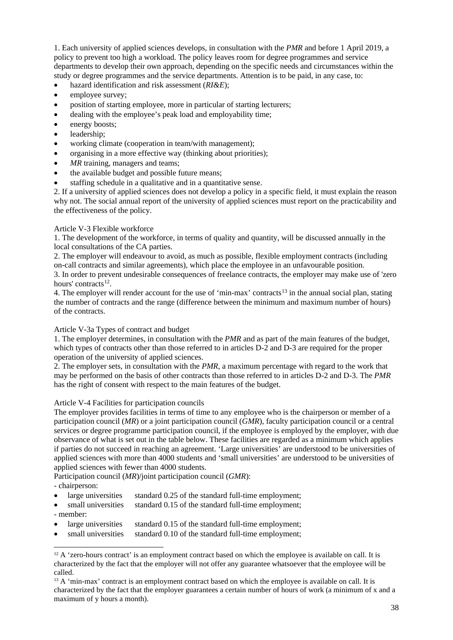1. Each university of applied sciences develops, in consultation with the *PMR* and before 1 April 2019, a policy to prevent too high a workload. The policy leaves room for degree programmes and service departments to develop their own approach, depending on the specific needs and circumstances within the study or degree programmes and the service departments. Attention is to be paid, in any case, to:

- hazard identification and risk assessment (*RI&E*);
- employee survey;
- position of starting employee, more in particular of starting lecturers;
- dealing with the employee's peak load and employability time;
- energy boosts;
- leadership;
- working climate (cooperation in team/with management);
- organising in a more effective way (thinking about priorities);
- *MR* training, managers and teams;
- the available budget and possible future means;
- staffing schedule in a qualitative and in a quantitative sense.

2. If a university of applied sciences does not develop a policy in a specific field, it must explain the reason why not. The social annual report of the university of applied sciences must report on the practicability and the effectiveness of the policy.

### Article V-3 Flexible workforce

1. The development of the workforce, in terms of quality and quantity, will be discussed annually in the local consultations of the CA parties.

2. The employer will endeavour to avoid, as much as possible, flexible employment contracts (including on-call contracts and similar agreements), which place the employee in an unfavourable position. 3. In order to prevent undesirable consequences of freelance contracts, the employer may make use of 'zero

hours' contracts<sup>[12](#page-37-0)</sup>.

4. The employer will render account for the use of 'min-max' contracts<sup>[13](#page-37-1)</sup> in the annual social plan, stating the number of contracts and the range (difference between the minimum and maximum number of hours) of the contracts.

### Article V-3a Types of contract and budget

1. The employer determines, in consultation with the *PMR* and as part of the main features of the budget, which types of contracts other than those referred to in articles D-2 and D-3 are required for the proper operation of the university of applied sciences.

2. The employer sets, in consultation with the *PMR*, a maximum percentage with regard to the work that may be performed on the basis of other contracts than those referred to in articles D-2 and D-3. The *PMR* has the right of consent with respect to the main features of the budget.

### Article V-4 Facilities for participation councils

The employer provides facilities in terms of time to any employee who is the chairperson or member of a participation council (*MR*) or a joint participation council (*GMR*), faculty participation council or a central services or degree programme participation council, if the employee is employed by the employer, with due observance of what is set out in the table below. These facilities are regarded as a minimum which applies if parties do not succeed in reaching an agreement. 'Large universities' are understood to be universities of applied sciences with more than 4000 students and 'small universities' are understood to be universities of applied sciences with fewer than 4000 students.

Participation council (*MR*)/joint participation council (*GMR*):

- chairperson:

- large universities standard 0.25 of the standard full-time employment;
- small universities standard 0.15 of the standard full-time employment;
- member:
- large universities standard 0.15 of the standard full-time employment;
- small universities standard 0.10 of the standard full-time employment;

<span id="page-37-0"></span> $12$  A 'zero-hours contract' is an employment contract based on which the employee is available on call. It is characterized by the fact that the employer will not offer any guarantee whatsoever that the employee will be called.

<span id="page-37-1"></span><sup>&</sup>lt;sup>13</sup> A 'min-max' contract is an employment contract based on which the employee is available on call. It is characterized by the fact that the employer guarantees a certain number of hours of work (a minimum of x and a maximum of y hours a month).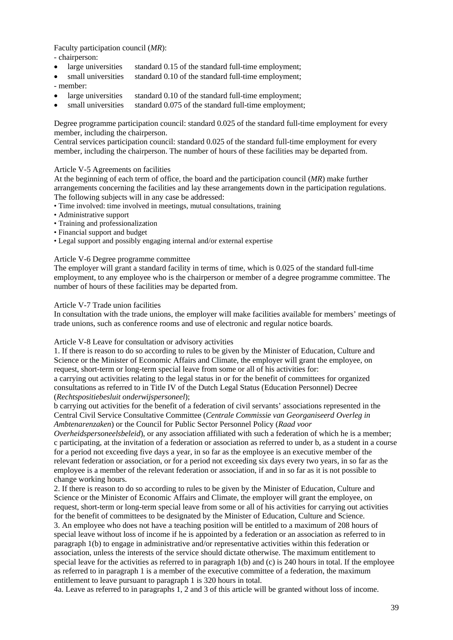Faculty participation council (*MR*):

- chairperson:

- large universities standard 0.15 of the standard full-time employment;
- small universities standard 0.10 of the standard full-time employment;
- member:
- large universities standard 0.10 of the standard full-time employment;
- small universities standard  $0.075$  of the standard full-time employment:

Degree programme participation council: standard 0.025 of the standard full-time employment for every member, including the chairperson.

Central services participation council: standard 0.025 of the standard full-time employment for every member, including the chairperson. The number of hours of these facilities may be departed from.

### Article V-5 Agreements on facilities

At the beginning of each term of office, the board and the participation council (*MR*) make further arrangements concerning the facilities and lay these arrangements down in the participation regulations. The following subjects will in any case be addressed:

- Time involved: time involved in meetings, mutual consultations, training
- Administrative support
- Training and professionalization
- Financial support and budget
- Legal support and possibly engaging internal and/or external expertise

### Article V-6 Degree programme committee

The employer will grant a standard facility in terms of time, which is 0.025 of the standard full-time employment, to any employee who is the chairperson or member of a degree programme committee. The number of hours of these facilities may be departed from.

#### Article V-7 Trade union facilities

In consultation with the trade unions, the employer will make facilities available for members' meetings of trade unions, such as conference rooms and use of electronic and regular notice boards.

Article V-8 Leave for consultation or advisory activities

1. If there is reason to do so according to rules to be given by the Minister of Education, Culture and Science or the Minister of Economic Affairs and Climate, the employer will grant the employee, on request, short-term or long-term special leave from some or all of his activities for:

a carrying out activities relating to the legal status in or for the benefit of committees for organized consultations as referred to in Title IV of the Dutch Legal Status (Education Personnel) Decree (*Rechtspositiebesluit onderwijspersoneel*);

b carrying out activities for the benefit of a federation of civil servants' associations represented in the Central Civil Service Consultative Committee (*Centrale Commissie van Georganiseerd Overleg in Ambtenarenzaken*) or the Council for Public Sector Personnel Policy (*Raad voor* 

*Overheidspersoneelsbeleid*), or any association affiliated with such a federation of which he is a member; c participating, at the invitation of a federation or association as referred to under b, as a student in a course for a period not exceeding five days a year, in so far as the employee is an executive member of the relevant federation or association, or for a period not exceeding six days every two years, in so far as the employee is a member of the relevant federation or association, if and in so far as it is not possible to change working hours.

2. If there is reason to do so according to rules to be given by the Minister of Education, Culture and Science or the Minister of Economic Affairs and Climate, the employer will grant the employee, on request, short-term or long-term special leave from some or all of his activities for carrying out activities for the benefit of committees to be designated by the Minister of Education, Culture and Science.

3. An employee who does not have a teaching position will be entitled to a maximum of 208 hours of special leave without loss of income if he is appointed by a federation or an association as referred to in paragraph 1(b) to engage in administrative and/or representative activities within this federation or association, unless the interests of the service should dictate otherwise. The maximum entitlement to special leave for the activities as referred to in paragraph 1(b) and (c) is 240 hours in total. If the employee as referred to in paragraph 1 is a member of the executive committee of a federation, the maximum entitlement to leave pursuant to paragraph 1 is 320 hours in total.

4a. Leave as referred to in paragraphs 1, 2 and 3 of this article will be granted without loss of income.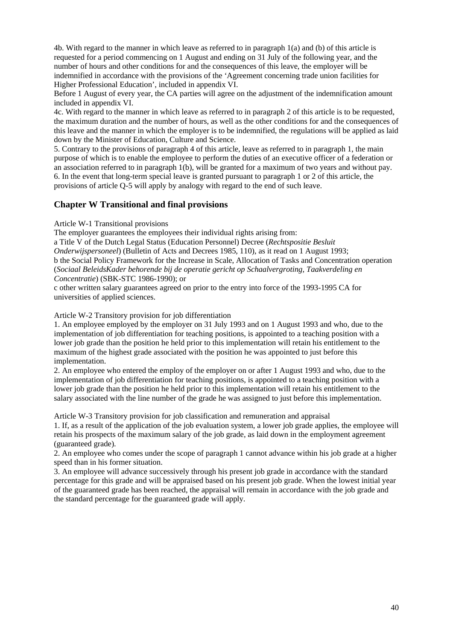4b. With regard to the manner in which leave as referred to in paragraph 1(a) and (b) of this article is requested for a period commencing on 1 August and ending on 31 July of the following year, and the number of hours and other conditions for and the consequences of this leave, the employer will be indemnified in accordance with the provisions of the 'Agreement concerning trade union facilities for Higher Professional Education', included in appendix VI.

Before 1 August of every year, the CA parties will agree on the adjustment of the indemnification amount included in appendix VI.

4c. With regard to the manner in which leave as referred to in paragraph 2 of this article is to be requested, the maximum duration and the number of hours, as well as the other conditions for and the consequences of this leave and the manner in which the employer is to be indemnified, the regulations will be applied as laid down by the Minister of Education, Culture and Science.

5. Contrary to the provisions of paragraph 4 of this article, leave as referred to in paragraph 1, the main purpose of which is to enable the employee to perform the duties of an executive officer of a federation or an association referred to in paragraph 1(b), will be granted for a maximum of two years and without pay. 6. In the event that long-term special leave is granted pursuant to paragraph 1 or 2 of this article, the provisions of article Q-5 will apply by analogy with regard to the end of such leave.

### **Chapter W Transitional and final provisions**

Article W-1 Transitional provisions

The employer guarantees the employees their individual rights arising from:

a Title V of the Dutch Legal Status (Education Personnel) Decree (*Rechtspositie Besluit* 

*Onderwijspersoneel*) (Bulletin of Acts and Decrees 1985, 110), as it read on 1 August 1993;

b the Social Policy Framework for the Increase in Scale, Allocation of Tasks and Concentration operation (*Sociaal BeleidsKader behorende bij de operatie gericht op Schaalvergroting, Taakverdeling en Concentratie*) (SBK-STC 1986-1990); or

c other written salary guarantees agreed on prior to the entry into force of the 1993-1995 CA for universities of applied sciences.

Article W-2 Transitory provision for job differentiation

1. An employee employed by the employer on 31 July 1993 and on 1 August 1993 and who, due to the implementation of job differentiation for teaching positions, is appointed to a teaching position with a lower job grade than the position he held prior to this implementation will retain his entitlement to the maximum of the highest grade associated with the position he was appointed to just before this implementation.

2. An employee who entered the employ of the employer on or after 1 August 1993 and who, due to the implementation of job differentiation for teaching positions, is appointed to a teaching position with a lower job grade than the position he held prior to this implementation will retain his entitlement to the salary associated with the line number of the grade he was assigned to just before this implementation.

Article W-3 Transitory provision for job classification and remuneration and appraisal

1. If, as a result of the application of the job evaluation system, a lower job grade applies, the employee will retain his prospects of the maximum salary of the job grade, as laid down in the employment agreement (guaranteed grade).

2. An employee who comes under the scope of paragraph 1 cannot advance within his job grade at a higher speed than in his former situation.

3. An employee will advance successively through his present job grade in accordance with the standard percentage for this grade and will be appraised based on his present job grade. When the lowest initial year of the guaranteed grade has been reached, the appraisal will remain in accordance with the job grade and the standard percentage for the guaranteed grade will apply.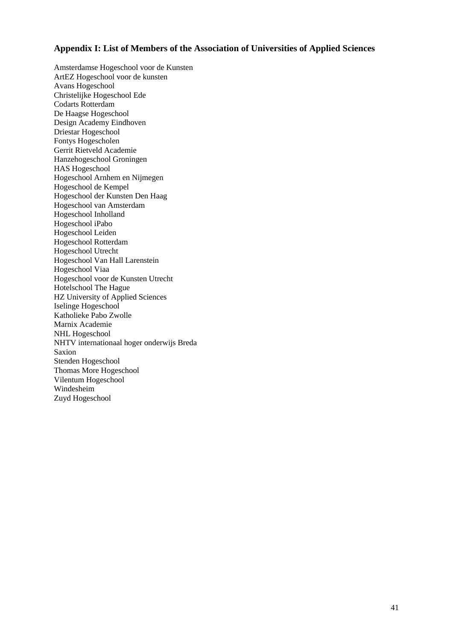### **Appendix I: List of Members of the Association of Universities of Applied Sciences**

Amsterdamse Hogeschool voor de Kunsten ArtEZ Hogeschool voor de kunsten Avans Hogeschool Christelijke Hogeschool Ede Codarts Rotterdam De Haagse Hogeschool Design Academy Eindhoven Driestar Hogeschool Fontys Hogescholen Gerrit Rietveld Academie Hanzehogeschool Groningen HAS Hogeschool Hogeschool Arnhem en Nijmegen Hogeschool de Kempel Hogeschool der Kunsten Den Haag Hogeschool van Amsterdam Hogeschool Inholland Hogeschool iPabo Hogeschool Leiden Hogeschool Rotterdam Hogeschool Utrecht Hogeschool Van Hall Larenstein Hogeschool Viaa Hogeschool voor de Kunsten Utrecht Hotelschool The Hague HZ University of Applied Sciences Iselinge Hogeschool Katholieke Pabo Zwolle Marnix Academie NHL Hogeschool NHTV internationaal hoger onderwijs Breda Saxion Stenden Hogeschool Thomas More Hogeschool Vilentum Hogeschool Windesheim Zuyd Hogeschool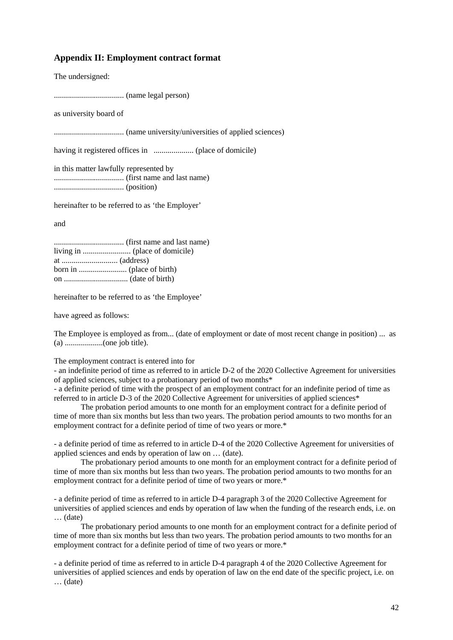### **Appendix II: Employment contract format**

The undersigned:

................................... (name legal person)

as university board of

................................... (name university/universities of applied sciences)

having it registered offices in .................... (place of domicile)

in this matter lawfully represented by ................................... (first name and last name) ................................... (position)

hereinafter to be referred to as 'the Employer'

and

................................... (first name and last name) living in ........................ (place of domicile) at ............................ (address) born in ........................ (place of birth) on ................................ (date of birth)

hereinafter to be referred to as 'the Employee'

have agreed as follows:

The Employee is employed as from... (date of employment or date of most recent change in position) ... as (a) ...................(one job title).

The employment contract is entered into for

- an indefinite period of time as referred to in article D-2 of the 2020 Collective Agreement for universities of applied sciences, subject to a probationary period of two months\*

- a definite period of time with the prospect of an employment contract for an indefinite period of time as referred to in article D-3 of the 2020 Collective Agreement for universities of applied sciences\*

The probation period amounts to one month for an employment contract for a definite period of time of more than six months but less than two years. The probation period amounts to two months for an employment contract for a definite period of time of two years or more.\*

- a definite period of time as referred to in article D-4 of the 2020 Collective Agreement for universities of applied sciences and ends by operation of law on … (date).

The probationary period amounts to one month for an employment contract for a definite period of time of more than six months but less than two years. The probation period amounts to two months for an employment contract for a definite period of time of two years or more.\*

- a definite period of time as referred to in article D-4 paragraph 3 of the 2020 Collective Agreement for universities of applied sciences and ends by operation of law when the funding of the research ends, i.e. on … (date)

The probationary period amounts to one month for an employment contract for a definite period of time of more than six months but less than two years. The probation period amounts to two months for an employment contract for a definite period of time of two years or more.\*

- a definite period of time as referred to in article D-4 paragraph 4 of the 2020 Collective Agreement for universities of applied sciences and ends by operation of law on the end date of the specific project, i.e. on … (date)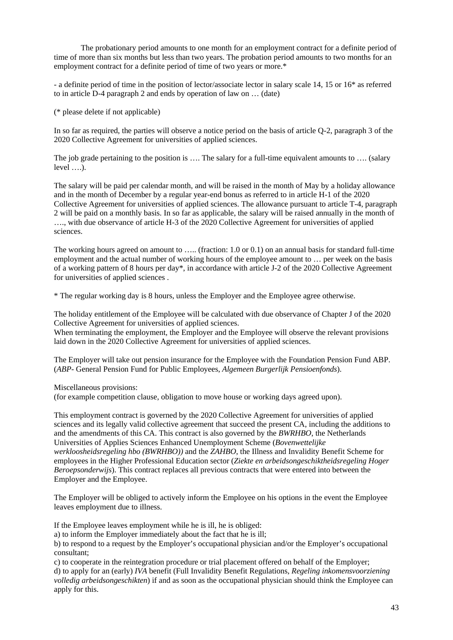The probationary period amounts to one month for an employment contract for a definite period of time of more than six months but less than two years. The probation period amounts to two months for an employment contract for a definite period of time of two years or more.\*

- a definite period of time in the position of lector/associate lector in salary scale 14, 15 or 16\* as referred to in article D-4 paragraph 2 and ends by operation of law on … (date)

(\* please delete if not applicable)

In so far as required, the parties will observe a notice period on the basis of article Q-2, paragraph 3 of the 2020 Collective Agreement for universities of applied sciences.

The job grade pertaining to the position is .... The salary for a full-time equivalent amounts to .... (salary level ….).

The salary will be paid per calendar month, and will be raised in the month of May by a holiday allowance and in the month of December by a regular year-end bonus as referred to in article H-1 of the 2020 Collective Agreement for universities of applied sciences. The allowance pursuant to article T-4, paragraph 2 will be paid on a monthly basis. In so far as applicable, the salary will be raised annually in the month of …., with due observance of article H-3 of the 2020 Collective Agreement for universities of applied sciences.

The working hours agreed on amount to ….. (fraction: 1.0 or 0.1) on an annual basis for standard full-time employment and the actual number of working hours of the employee amount to … per week on the basis of a working pattern of 8 hours per day\*, in accordance with article J-2 of the 2020 Collective Agreement for universities of applied sciences .

\* The regular working day is 8 hours, unless the Employer and the Employee agree otherwise.

The holiday entitlement of the Employee will be calculated with due observance of Chapter J of the 2020 Collective Agreement for universities of applied sciences.

When terminating the employment, the Employer and the Employee will observe the relevant provisions laid down in the 2020 Collective Agreement for universities of applied sciences.

The Employer will take out pension insurance for the Employee with the Foundation Pension Fund ABP. (*ABP-* General Pension Fund for Public Employees, *Algemeen Burgerlijk Pensioenfonds*).

Miscellaneous provisions:

(for example competition clause, obligation to move house or working days agreed upon).

This employment contract is governed by the 2020 Collective Agreement for universities of applied sciences and its legally valid collective agreement that succeed the present CA, including the additions to and the amendments of this CA. This contract is also governed by the *BWRHBO*, the Netherlands Universities of Applies Sciences Enhanced Unemployment Scheme (*Bovenwettelijke werkloosheidsregeling hbo (BWRHBO))* and the *ZAHBO*, the Illness and Invalidity Benefit Scheme for employees in the Higher Professional Education sector (*Ziekte en arbeidsongeschiktheidsregeling Hoger Beroepsonderwijs*). This contract replaces all previous contracts that were entered into between the Employer and the Employee.

The Employer will be obliged to actively inform the Employee on his options in the event the Employee leaves employment due to illness.

If the Employee leaves employment while he is ill, he is obliged:

a) to inform the Employer immediately about the fact that he is ill;

b) to respond to a request by the Employer's occupational physician and/or the Employer's occupational consultant;

c) to cooperate in the reintegration procedure or trial placement offered on behalf of the Employer; d) to apply for an (early) *IVA* benefit (Full Invalidity Benefit Regulations, *Regeling inkomensvoorziening volledig arbeidsongeschikten*) if and as soon as the occupational physician should think the Employee can apply for this.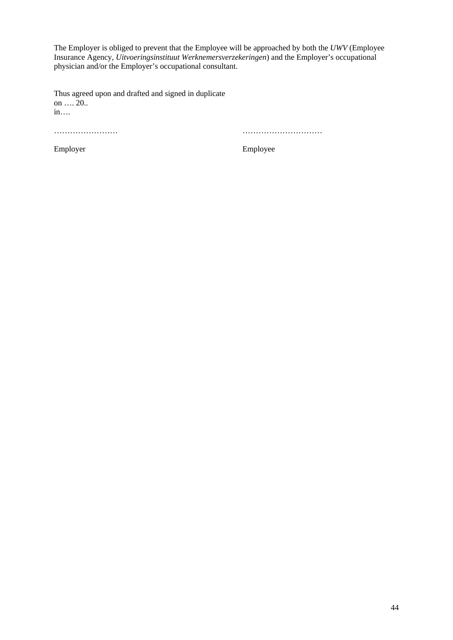The Employer is obliged to prevent that the Employee will be approached by both the *UWV* (Employee Insurance Agency, *Uitvoeringsinstituut Werknemersverzekeringen*) and the Employer's occupational physician and/or the Employer's occupational consultant.

Thus agreed upon and drafted and signed in duplicate on …. 20.. in….

…………………… …………………………

Employer Employee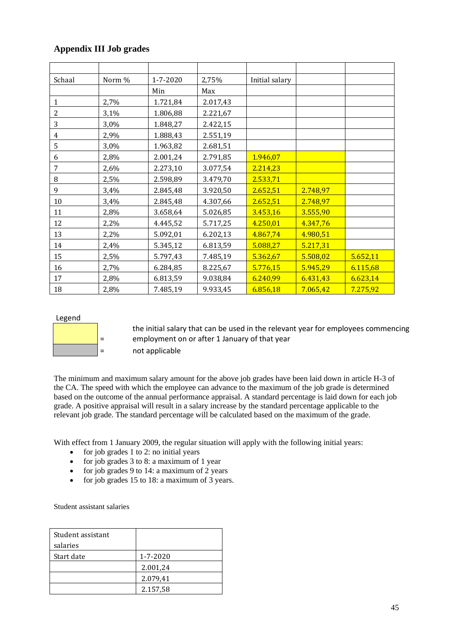# **Appendix III Job grades**

| Schaal         | Norm % | 1-7-2020 | 2,75%    | Initial salary |          |          |
|----------------|--------|----------|----------|----------------|----------|----------|
|                |        | Min      | Max      |                |          |          |
| $\mathbf{1}$   | 2,7%   | 1.721,84 | 2.017,43 |                |          |          |
| $\overline{c}$ | 3,1%   | 1.806,88 | 2.221,67 |                |          |          |
| 3              | 3,0%   | 1.848,27 | 2.422,15 |                |          |          |
| 4              | 2,9%   | 1.888,43 | 2.551,19 |                |          |          |
| 5              | 3,0%   | 1.963,82 | 2.681,51 |                |          |          |
| 6              | 2,8%   | 2.001,24 | 2.791,85 | 1.946,07       |          |          |
| 7              | 2,6%   | 2.273,10 | 3.077,54 | 2.214,23       |          |          |
| 8              | 2,5%   | 2.598,89 | 3.479,70 | 2.533,71       |          |          |
| 9              | 3,4%   | 2.845,48 | 3.920,50 | 2.652,51       | 2.748,97 |          |
| 10             | 3,4%   | 2.845,48 | 4.307,66 | 2.652,51       | 2.748,97 |          |
| 11             | 2,8%   | 3.658,64 | 5.026,85 | 3.453,16       | 3.555,90 |          |
| 12             | 2,2%   | 4.445,52 | 5.717,25 | 4.250,01       | 4.347,76 |          |
| 13             | 2,2%   | 5.092,01 | 6.202,13 | 4.867,74       | 4.980,51 |          |
| 14             | 2,4%   | 5.345,12 | 6.813,59 | 5.088,27       | 5.217,31 |          |
| 15             | 2,5%   | 5.797,43 | 7.485,19 | 5.362,67       | 5.508,02 | 5.652,11 |
| 16             | 2,7%   | 6.284,85 | 8.225,67 | 5.776,15       | 5.945,29 | 6.115,68 |
| 17             | 2,8%   | 6.813,59 | 9.038,84 | 6.240,99       | 6.431,43 | 6.623,14 |
| 18             | 2,8%   | 7.485,19 | 9.933,45 | 6.856,18       | 7.065,42 | 7.275,92 |

#### Legend



the initial salary that can be used in the relevant year for employees commencing employment on or after 1 January of that year = not applicable

The minimum and maximum salary amount for the above job grades have been laid down in article H-3 of the CA. The speed with which the employee can advance to the maximum of the job grade is determined based on the outcome of the annual performance appraisal. A standard percentage is laid down for each job grade. A positive appraisal will result in a salary increase by the standard percentage applicable to the relevant job grade. The standard percentage will be calculated based on the maximum of the grade.

With effect from 1 January 2009, the regular situation will apply with the following initial years:

- for job grades 1 to 2: no initial years
- for job grades 3 to 8: a maximum of 1 year
- for job grades 9 to 14: a maximum of 2 years
- for job grades 15 to 18: a maximum of 3 years.

Student assistant salaries

| Student assistant<br>salaries |          |
|-------------------------------|----------|
| Start date                    | 1-7-2020 |
|                               | 2.001,24 |
|                               | 2.079,41 |
|                               | 2.157,58 |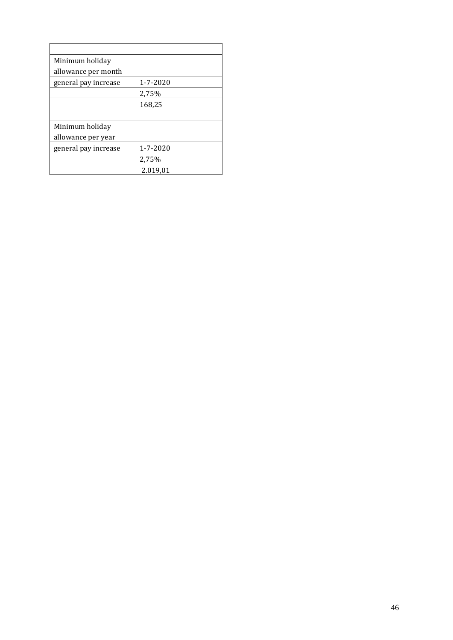| 1-7-2020 |
|----------|
| 2,75%    |
| 168,25   |
|          |
|          |
|          |
| 1-7-2020 |
| 2,75%    |
| 2.019,01 |
|          |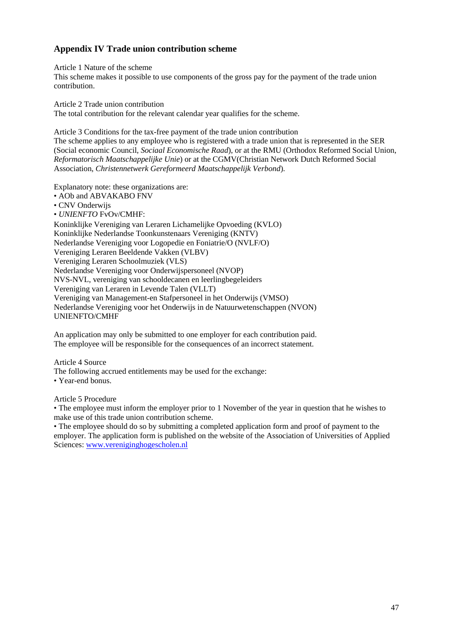# **Appendix IV Trade union contribution scheme**

Article 1 Nature of the scheme

This scheme makes it possible to use components of the gross pay for the payment of the trade union contribution.

Article 2 Trade union contribution The total contribution for the relevant calendar year qualifies for the scheme.

Article 3 Conditions for the tax-free payment of the trade union contribution The scheme applies to any employee who is registered with a trade union that is represented in the SER (Social economic Council, *Sociaal Economische Raad*), or at the RMU (Orthodox Reformed Social Union, *Reformatorisch Maatschappelijke Unie*) or at the CGMV(Christian Network Dutch Reformed Social Association, *Christennetwerk Gereformeerd Maatschappelijk Verbond*).

Explanatory note: these organizations are:

• AOb and ABVAKABO FNV

• CNV Onderwijs

• *UNIENFTO* FvOv/CMHF:

Koninklijke Vereniging van Leraren Lichamelijke Opvoeding (KVLO) Koninklijke Nederlandse Toonkunstenaars Vereniging (KNTV) Nederlandse Vereniging voor Logopedie en Foniatrie/O (NVLF/O) Vereniging Leraren Beeldende Vakken (VLBV) Vereniging Leraren Schoolmuziek (VLS) Nederlandse Vereniging voor Onderwijspersoneel (NVOP) NVS-NVL, vereniging van schooldecanen en leerlingbegeleiders Vereniging van Leraren in Levende Talen (VLLT) Vereniging van Management-en Stafpersoneel in het Onderwijs (VMSO) Nederlandse Vereniging voor het Onderwijs in de Natuurwetenschappen (NVON) UNIENFTO/CMHF

An application may only be submitted to one employer for each contribution paid. The employee will be responsible for the consequences of an incorrect statement.

Article 4 Source

The following accrued entitlements may be used for the exchange:

• Year-end bonus.

Article 5 Procedure

• The employee must inform the employer prior to 1 November of the year in question that he wishes to make use of this trade union contribution scheme.

• The employee should do so by submitting a completed application form and proof of payment to the employer. The application form is published on the website of the Association of Universities of Applied Sciences: [www.vereniginghogescholen.nl](http://www.vereniginghogescholen.nl/)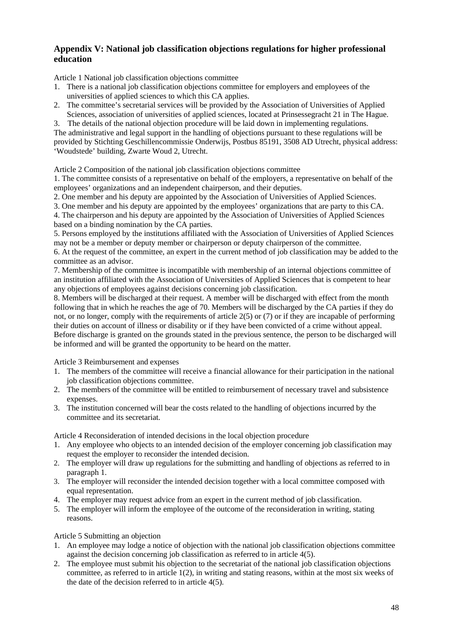# **Appendix V: National job classification objections regulations for higher professional education**

Article 1 National job classification objections committee

- 1. There is a national job classification objections committee for employers and employees of the universities of applied sciences to which this CA applies.
- 2. The committee's secretarial services will be provided by the Association of Universities of Applied Sciences, association of universities of applied sciences, located at Prinsessegracht 21 in The Hague.

3. The details of the national objection procedure will be laid down in implementing regulations. The administrative and legal support in the handling of objections pursuant to these regulations will be provided by Stichting Geschillencommissie Onderwijs, Postbus 85191, 3508 AD Utrecht, physical address: 'Woudstede' building, Zwarte Woud 2, Utrecht.

Article 2 Composition of the national job classification objections committee

1. The committee consists of a representative on behalf of the employers, a representative on behalf of the employees' organizations and an independent chairperson, and their deputies.

2. One member and his deputy are appointed by the Association of Universities of Applied Sciences.

3. One member and his deputy are appointed by the employees' organizations that are party to this CA.

4. The chairperson and his deputy are appointed by the Association of Universities of Applied Sciences based on a binding nomination by the CA parties.

5. Persons employed by the institutions affiliated with the Association of Universities of Applied Sciences may not be a member or deputy member or chairperson or deputy chairperson of the committee.

6. At the request of the committee, an expert in the current method of job classification may be added to the committee as an advisor.

7. Membership of the committee is incompatible with membership of an internal objections committee of an institution affiliated with the Association of Universities of Applied Sciences that is competent to hear any objections of employees against decisions concerning job classification.

8. Members will be discharged at their request. A member will be discharged with effect from the month following that in which he reaches the age of 70. Members will be discharged by the CA parties if they do not, or no longer, comply with the requirements of article 2(5) or (7) or if they are incapable of performing their duties on account of illness or disability or if they have been convicted of a crime without appeal. Before discharge is granted on the grounds stated in the previous sentence, the person to be discharged will be informed and will be granted the opportunity to be heard on the matter.

Article 3 Reimbursement and expenses

- 1. The members of the committee will receive a financial allowance for their participation in the national job classification objections committee.
- 2. The members of the committee will be entitled to reimbursement of necessary travel and subsistence expenses.
- 3. The institution concerned will bear the costs related to the handling of objections incurred by the committee and its secretariat.

Article 4 Reconsideration of intended decisions in the local objection procedure

- 1. Any employee who objects to an intended decision of the employer concerning job classification may request the employer to reconsider the intended decision.
- 2. The employer will draw up regulations for the submitting and handling of objections as referred to in paragraph 1.
- 3. The employer will reconsider the intended decision together with a local committee composed with equal representation.
- 4. The employer may request advice from an expert in the current method of job classification.
- 5. The employer will inform the employee of the outcome of the reconsideration in writing, stating reasons.

### Article 5 Submitting an objection

- 1. An employee may lodge a notice of objection with the national job classification objections committee against the decision concerning job classification as referred to in article 4(5).
- 2. The employee must submit his objection to the secretariat of the national job classification objections committee, as referred to in article 1(2), in writing and stating reasons, within at the most six weeks of the date of the decision referred to in article 4(5).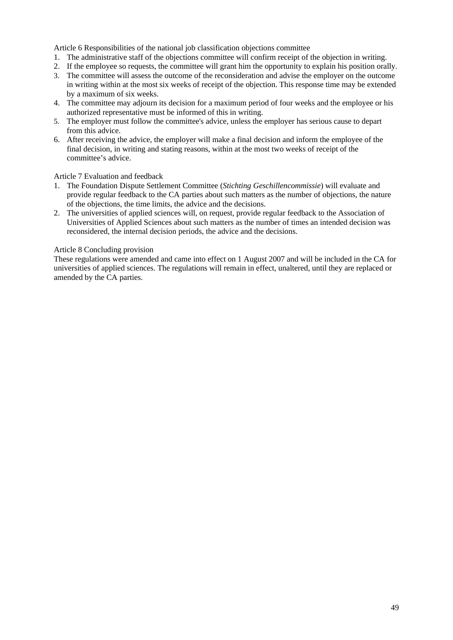Article 6 Responsibilities of the national job classification objections committee

- 1. The administrative staff of the objections committee will confirm receipt of the objection in writing.
- 2. If the employee so requests, the committee will grant him the opportunity to explain his position orally.
- 3. The committee will assess the outcome of the reconsideration and advise the employer on the outcome in writing within at the most six weeks of receipt of the objection. This response time may be extended by a maximum of six weeks.
- 4. The committee may adjourn its decision for a maximum period of four weeks and the employee or his authorized representative must be informed of this in writing.
- 5. The employer must follow the committee's advice, unless the employer has serious cause to depart from this advice.
- 6. After receiving the advice, the employer will make a final decision and inform the employee of the final decision, in writing and stating reasons, within at the most two weeks of receipt of the committee's advice.

Article 7 Evaluation and feedback

- 1. The Foundation Dispute Settlement Committee (*Stichting Geschillencommissie*) will evaluate and provide regular feedback to the CA parties about such matters as the number of objections, the nature of the objections, the time limits, the advice and the decisions.
- 2. The universities of applied sciences will, on request, provide regular feedback to the Association of Universities of Applied Sciences about such matters as the number of times an intended decision was reconsidered, the internal decision periods, the advice and the decisions.

### Article 8 Concluding provision

These regulations were amended and came into effect on 1 August 2007 and will be included in the CA for universities of applied sciences. The regulations will remain in effect, unaltered, until they are replaced or amended by the CA parties.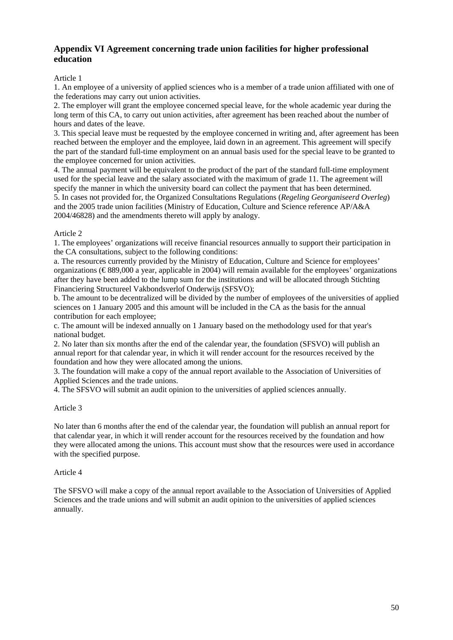### **Appendix VI Agreement concerning trade union facilities for higher professional education**

### Article 1

1. An employee of a university of applied sciences who is a member of a trade union affiliated with one of the federations may carry out union activities.

2. The employer will grant the employee concerned special leave, for the whole academic year during the long term of this CA, to carry out union activities, after agreement has been reached about the number of hours and dates of the leave.

3. This special leave must be requested by the employee concerned in writing and, after agreement has been reached between the employer and the employee, laid down in an agreement. This agreement will specify the part of the standard full-time employment on an annual basis used for the special leave to be granted to the employee concerned for union activities.

4. The annual payment will be equivalent to the product of the part of the standard full-time employment used for the special leave and the salary associated with the maximum of grade 11. The agreement will specify the manner in which the university board can collect the payment that has been determined. 5. In cases not provided for, the Organized Consultations Regulations (*Regeling Georganiseerd Overleg*) and the 2005 trade union facilities (Ministry of Education, Culture and Science reference AP/A&A 2004/46828) and the amendments thereto will apply by analogy.

### Article 2

1. The employees' organizations will receive financial resources annually to support their participation in the CA consultations, subject to the following conditions:

a. The resources currently provided by the Ministry of Education, Culture and Science for employees' organizations (€ 889,000 a year, applicable in 2004) will remain available for the employees' organizations after they have been added to the lump sum for the institutions and will be allocated through Stichting Financiering Structureel Vakbondsverlof Onderwijs (SFSVO);

b. The amount to be decentralized will be divided by the number of employees of the universities of applied sciences on 1 January 2005 and this amount will be included in the CA as the basis for the annual contribution for each employee;

c. The amount will be indexed annually on 1 January based on the methodology used for that year's national budget.

2. No later than six months after the end of the calendar year, the foundation (SFSVO) will publish an annual report for that calendar year, in which it will render account for the resources received by the foundation and how they were allocated among the unions.

3. The foundation will make a copy of the annual report available to the Association of Universities of Applied Sciences and the trade unions.

4. The SFSVO will submit an audit opinion to the universities of applied sciences annually.

### Article 3

No later than 6 months after the end of the calendar year, the foundation will publish an annual report for that calendar year, in which it will render account for the resources received by the foundation and how they were allocated among the unions. This account must show that the resources were used in accordance with the specified purpose.

#### Article 4

The SFSVO will make a copy of the annual report available to the Association of Universities of Applied Sciences and the trade unions and will submit an audit opinion to the universities of applied sciences annually.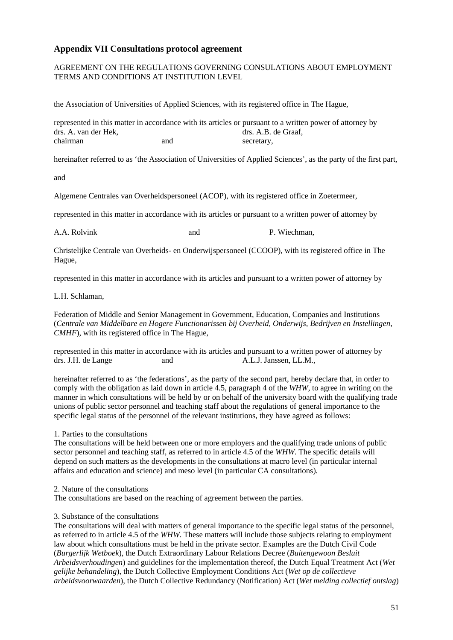### **Appendix VII Consultations protocol agreement**

### AGREEMENT ON THE REGULATIONS GOVERNING CONSULATIONS ABOUT EMPLOYMENT TERMS AND CONDITIONS AT INSTITUTION LEVEL

the Association of Universities of Applied Sciences, with its registered office in The Hague,

represented in this matter in accordance with its articles or pursuant to a written power of attorney by drs. A. van der Hek, drs. A.B. de Graaf, chairman and secretary,

hereinafter referred to as 'the Association of Universities of Applied Sciences', as the party of the first part,

and

Algemene Centrales van Overheidspersoneel (ACOP), with its registered office in Zoetermeer,

represented in this matter in accordance with its articles or pursuant to a written power of attorney by

A.A. Rolvink and P. Wiechman,

Christelijke Centrale van Overheids- en Onderwijspersoneel (CCOOP), with its registered office in The Hague,

represented in this matter in accordance with its articles and pursuant to a written power of attorney by

L.H. Schlaman,

Federation of Middle and Senior Management in Government, Education, Companies and Institutions (*Centrale van Middelbare en Hogere Functionarissen bij Overheid, Onderwijs, Bedrijven en Instellingen, CMHF*), with its registered office in The Hague,

represented in this matter in accordance with its articles and pursuant to a written power of attorney by drs. J.H. de Lange and A.L.J. Janssen, LL.M.,

hereinafter referred to as 'the federations', as the party of the second part, hereby declare that, in order to comply with the obligation as laid down in article 4.5, paragraph 4 of the *WHW*, to agree in writing on the manner in which consultations will be held by or on behalf of the university board with the qualifying trade unions of public sector personnel and teaching staff about the regulations of general importance to the specific legal status of the personnel of the relevant institutions, they have agreed as follows:

1. Parties to the consultations

The consultations will be held between one or more employers and the qualifying trade unions of public sector personnel and teaching staff, as referred to in article 4.5 of the *WHW*. The specific details will depend on such matters as the developments in the consultations at macro level (in particular internal affairs and education and science) and meso level (in particular CA consultations).

#### 2. Nature of the consultations

The consultations are based on the reaching of agreement between the parties.

#### 3. Substance of the consultations

The consultations will deal with matters of general importance to the specific legal status of the personnel, as referred to in article 4.5 of the *WHW*. These matters will include those subjects relating to employment law about which consultations must be held in the private sector. Examples are the Dutch Civil Code (*Burgerlijk Wetboek*), the Dutch Extraordinary Labour Relations Decree (*Buitengewoon Besluit Arbeidsverhoudingen*) and guidelines for the implementation thereof, the Dutch Equal Treatment Act (*Wet gelijke behandeling*), the Dutch Collective Employment Conditions Act (*Wet op de collectieve arbeidsvoorwaarden*), the Dutch Collective Redundancy (Notification) Act (*Wet melding collectief ontslag*)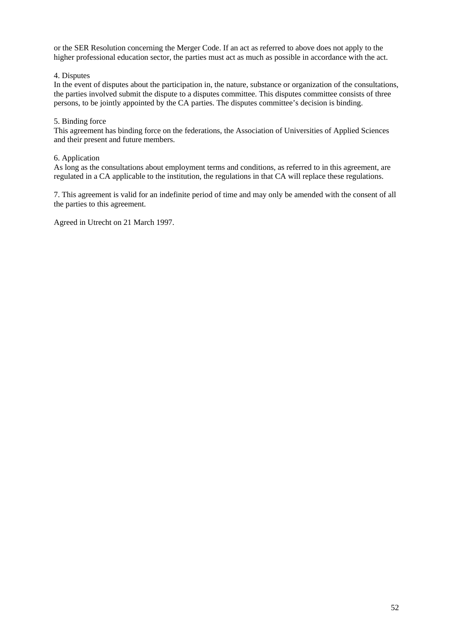or the SER Resolution concerning the Merger Code. If an act as referred to above does not apply to the higher professional education sector, the parties must act as much as possible in accordance with the act.

### 4. Disputes

In the event of disputes about the participation in, the nature, substance or organization of the consultations, the parties involved submit the dispute to a disputes committee. This disputes committee consists of three persons, to be jointly appointed by the CA parties. The disputes committee's decision is binding.

#### 5. Binding force

This agreement has binding force on the federations, the Association of Universities of Applied Sciences and their present and future members.

#### 6. Application

As long as the consultations about employment terms and conditions, as referred to in this agreement, are regulated in a CA applicable to the institution, the regulations in that CA will replace these regulations.

7. This agreement is valid for an indefinite period of time and may only be amended with the consent of all the parties to this agreement.

Agreed in Utrecht on 21 March 1997.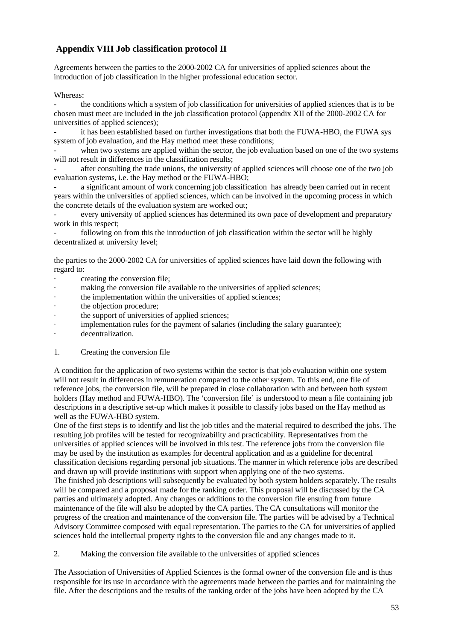# **Appendix VIII Job classification protocol II**

Agreements between the parties to the 2000-2002 CA for universities of applied sciences about the introduction of job classification in the higher professional education sector.

### Whereas:

the conditions which a system of job classification for universities of applied sciences that is to be chosen must meet are included in the job classification protocol (appendix XII of the 2000-2002 CA for universities of applied sciences);

it has been established based on further investigations that both the FUWA-HBO, the FUWA sys system of job evaluation, and the Hay method meet these conditions;

when two systems are applied within the sector, the job evaluation based on one of the two systems will not result in differences in the classification results;

- after consulting the trade unions, the university of applied sciences will choose one of the two job evaluation systems, i.e. the Hay method or the FUWA-HBO;

a significant amount of work concerning job classification has already been carried out in recent years within the universities of applied sciences, which can be involved in the upcoming process in which the concrete details of the evaluation system are worked out;

every university of applied sciences has determined its own pace of development and preparatory work in this respect;

following on from this the introduction of job classification within the sector will be highly decentralized at university level;

the parties to the 2000-2002 CA for universities of applied sciences have laid down the following with regard to:

- creating the conversion file;
- making the conversion file available to the universities of applied sciences;
- the implementation within the universities of applied sciences;
- the objection procedure;
- the support of universities of applied sciences;
- implementation rules for the payment of salaries (including the salary guarantee);
- decentralization.
- 1. Creating the conversion file

A condition for the application of two systems within the sector is that job evaluation within one system will not result in differences in remuneration compared to the other system. To this end, one file of reference jobs, the conversion file, will be prepared in close collaboration with and between both system holders (Hay method and FUWA-HBO). The 'conversion file' is understood to mean a file containing job descriptions in a descriptive set-up which makes it possible to classify jobs based on the Hay method as well as the FUWA-HBO system.

One of the first steps is to identify and list the job titles and the material required to described the jobs. The resulting job profiles will be tested for recognizability and practicability. Representatives from the universities of applied sciences will be involved in this test. The reference jobs from the conversion file may be used by the institution as examples for decentral application and as a guideline for decentral classification decisions regarding personal job situations. The manner in which reference jobs are described and drawn up will provide institutions with support when applying one of the two systems. The finished job descriptions will subsequently be evaluated by both system holders separately. The results will be compared and a proposal made for the ranking order. This proposal will be discussed by the CA parties and ultimately adopted. Any changes or additions to the conversion file ensuing from future maintenance of the file will also be adopted by the CA parties. The CA consultations will monitor the progress of the creation and maintenance of the conversion file. The parties will be advised by a Technical Advisory Committee composed with equal representation. The parties to the CA for universities of applied sciences hold the intellectual property rights to the conversion file and any changes made to it.

2. Making the conversion file available to the universities of applied sciences

The Association of Universities of Applied Sciences is the formal owner of the conversion file and is thus responsible for its use in accordance with the agreements made between the parties and for maintaining the file. After the descriptions and the results of the ranking order of the jobs have been adopted by the CA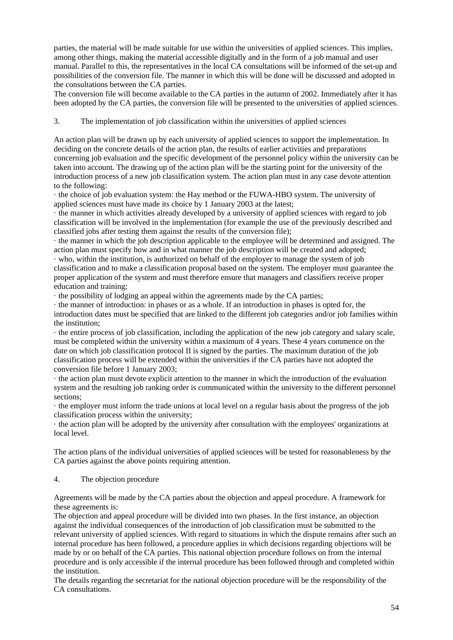parties, the material will be made suitable for use within the universities of applied sciences. This implies, among other things, making the material accessible digitally and in the form of a job manual and user manual. Parallel to this, the representatives in the local CA consultations will be informed of the set-up and possibilities of the conversion file. The manner in which this will be done will be discussed and adopted in the consultations between the CA parties.

The conversion file will become available to the CA parties in the autumn of 2002. Immediately after it has been adopted by the CA parties, the conversion file will be presented to the universities of applied sciences.

### 3. The implementation of job classification within the universities of applied sciences

An action plan will be drawn up by each university of applied sciences to support the implementation. In deciding on the concrete details of the action plan, the results of earlier activities and preparations concerning job evaluation and the specific development of the personnel policy within the university can be taken into account. The drawing up of the action plan will be the starting point for the university of the introduction process of a new job classification system. The action plan must in any case devote attention to the following:

· the choice of job evaluation system: the Hay method or the FUWA-HBO system. The university of applied sciences must have made its choice by 1 January 2003 at the latest;

· the manner in which activities already developed by a university of applied sciences with regard to job classification will be involved in the implementation (for example the use of the previously described and classified jobs after testing them against the results of the conversion file);

· the manner in which the job description applicable to the employee will be determined and assigned. The action plan must specify how and in what manner the job description will be created and adopted;

· who, within the institution, is authorized on behalf of the employer to manage the system of job classification and to make a classification proposal based on the system. The employer must guarantee the proper application of the system and must therefore ensure that managers and classifiers receive proper education and training;

· the possibility of lodging an appeal within the agreements made by the CA parties;

· the manner of introduction: in phases or as a whole. If an introduction in phases is opted for, the introduction dates must be specified that are linked to the different job categories and/or job families within the institution;

· the entire process of job classification, including the application of the new job category and salary scale, must be completed within the university within a maximum of 4 years. These 4 years commence on the date on which job classification protocol II is signed by the parties. The maximum duration of the job classification process will be extended within the universities if the CA parties have not adopted the conversion file before 1 January 2003;

· the action plan must devote explicit attention to the manner in which the introduction of the evaluation system and the resulting job ranking order is communicated within the university to the different personnel sections;

· the employer must inform the trade unions at local level on a regular basis about the progress of the job classification process within the university;

· the action plan will be adopted by the university after consultation with the employees' organizations at local level.

The action plans of the individual universities of applied sciences will be tested for reasonableness by the CA parties against the above points requiring attention.

#### 4. The objection procedure

Agreements will be made by the CA parties about the objection and appeal procedure. A framework for these agreements is:

The objection and appeal procedure will be divided into two phases. In the first instance, an objection against the individual consequences of the introduction of job classification must be submitted to the relevant university of applied sciences. With regard to situations in which the dispute remains after such an internal procedure has been followed, a procedure applies in which decisions regarding objections will be made by or on behalf of the CA parties. This national objection procedure follows on from the internal procedure and is only accessible if the internal procedure has been followed through and completed within the institution.

The details regarding the secretariat for the national objection procedure will be the responsibility of the CA consultations.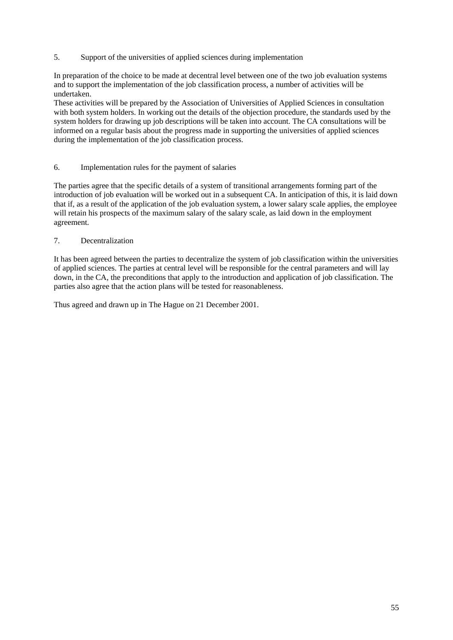5. Support of the universities of applied sciences during implementation

In preparation of the choice to be made at decentral level between one of the two job evaluation systems and to support the implementation of the job classification process, a number of activities will be undertaken.

These activities will be prepared by the Association of Universities of Applied Sciences in consultation with both system holders. In working out the details of the objection procedure, the standards used by the system holders for drawing up job descriptions will be taken into account. The CA consultations will be informed on a regular basis about the progress made in supporting the universities of applied sciences during the implementation of the job classification process.

### 6. Implementation rules for the payment of salaries

The parties agree that the specific details of a system of transitional arrangements forming part of the introduction of job evaluation will be worked out in a subsequent CA. In anticipation of this, it is laid down that if, as a result of the application of the job evaluation system, a lower salary scale applies, the employee will retain his prospects of the maximum salary of the salary scale, as laid down in the employment agreement.

### 7. Decentralization

It has been agreed between the parties to decentralize the system of job classification within the universities of applied sciences. The parties at central level will be responsible for the central parameters and will lay down, in the CA, the preconditions that apply to the introduction and application of job classification. The parties also agree that the action plans will be tested for reasonableness.

Thus agreed and drawn up in The Hague on 21 December 2001.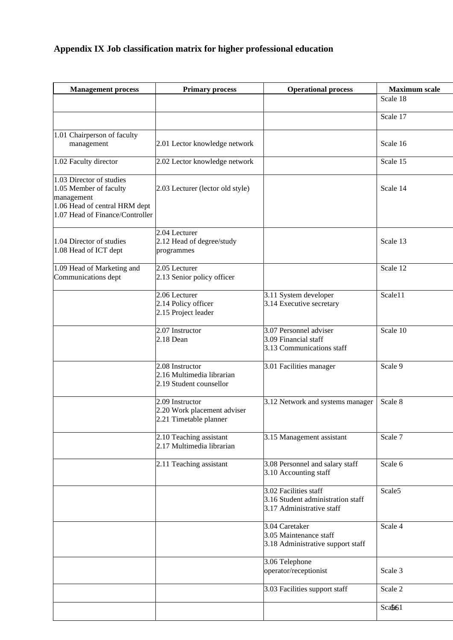# **Appendix IX Job classification matrix for higher professional education**

| <b>Management process</b>                                                                                                            | <b>Primary process</b>                                                   | <b>Operational process</b>                                                              | <b>Maximum</b> scale |
|--------------------------------------------------------------------------------------------------------------------------------------|--------------------------------------------------------------------------|-----------------------------------------------------------------------------------------|----------------------|
|                                                                                                                                      |                                                                          |                                                                                         | Scale 18             |
|                                                                                                                                      |                                                                          |                                                                                         | Scale 17             |
| 1.01 Chairperson of faculty<br>management                                                                                            | 2.01 Lector knowledge network                                            |                                                                                         | Scale 16             |
| 1.02 Faculty director                                                                                                                | 2.02 Lector knowledge network                                            |                                                                                         | Scale 15             |
| 1.03 Director of studies<br>1.05 Member of faculty<br>management<br>1.06 Head of central HRM dept<br>1.07 Head of Finance/Controller | 2.03 Lecturer (lector old style)                                         |                                                                                         | Scale 14             |
| 1.04 Director of studies<br>1.08 Head of ICT dept                                                                                    | 2.04 Lecturer<br>2.12 Head of degree/study<br>programmes                 |                                                                                         | Scale 13             |
| 1.09 Head of Marketing and<br>Communications dept                                                                                    | 2.05 Lecturer<br>2.13 Senior policy officer                              |                                                                                         | Scale 12             |
|                                                                                                                                      | 2.06 Lecturer<br>2.14 Policy officer<br>2.15 Project leader              | 3.11 System developer<br>3.14 Executive secretary                                       | Scale11              |
|                                                                                                                                      | 2.07 Instructor<br>2.18 Dean                                             | 3.07 Personnel adviser<br>3.09 Financial staff<br>3.13 Communications staff             | Scale 10             |
|                                                                                                                                      | 2.08 Instructor<br>2.16 Multimedia librarian<br>2.19 Student counsellor  | 3.01 Facilities manager                                                                 | Scale 9              |
|                                                                                                                                      | 2.09 Instructor<br>2.20 Work placement adviser<br>2.21 Timetable planner | 3.12 Network and systems manager                                                        | Scale 8              |
|                                                                                                                                      | 2.10 Teaching assistant<br>2.17 Multimedia librarian                     | 3.15 Management assistant                                                               | Scale 7              |
|                                                                                                                                      | 2.11 Teaching assistant                                                  | 3.08 Personnel and salary staff<br>3.10 Accounting staff                                | Scale 6              |
|                                                                                                                                      |                                                                          | 3.02 Facilities staff<br>3.16 Student administration staff<br>3.17 Administrative staff | Scale5               |
|                                                                                                                                      |                                                                          | 3.04 Caretaker<br>3.05 Maintenance staff<br>3.18 Administrative support staff           | Scale 4              |
|                                                                                                                                      |                                                                          | 3.06 Telephone<br>operator/receptionist                                                 | Scale 3              |
|                                                                                                                                      |                                                                          | 3.03 Facilities support staff                                                           | Scale 2              |
|                                                                                                                                      |                                                                          |                                                                                         | Scafe61              |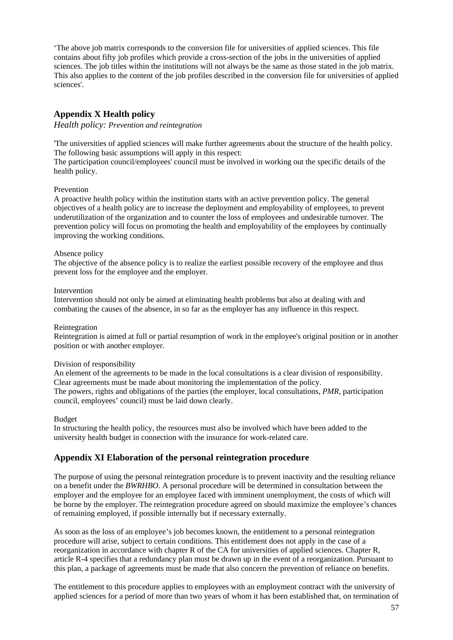'The above job matrix corresponds to the conversion file for universities of applied sciences. This file contains about fifty job profiles which provide a cross-section of the jobs in the universities of applied sciences. The job titles within the institutions will not always be the same as those stated in the job matrix. This also applies to the content of the job profiles described in the conversion file for universities of applied sciences'.

# **Appendix X Health policy**

*Health policy: Prevention and reintegration*

'The universities of applied sciences will make further agreements about the structure of the health policy. The following basic assumptions will apply in this respect:

The participation council/employees' council must be involved in working out the specific details of the health policy.

### Prevention

A proactive health policy within the institution starts with an active prevention policy. The general objectives of a health policy are to increase the deployment and employability of employees, to prevent underutilization of the organization and to counter the loss of employees and undesirable turnover. The prevention policy will focus on promoting the health and employability of the employees by continually improving the working conditions.

### Absence policy

The objective of the absence policy is to realize the earliest possible recovery of the employee and thus prevent loss for the employee and the employer.

#### Intervention

Intervention should not only be aimed at eliminating health problems but also at dealing with and combating the causes of the absence, in so far as the employer has any influence in this respect.

#### Reintegration

Reintegration is aimed at full or partial resumption of work in the employee's original position or in another position or with another employer.

#### Division of responsibility

An element of the agreements to be made in the local consultations is a clear division of responsibility. Clear agreements must be made about monitoring the implementation of the policy. The powers, rights and obligations of the parties (the employer, local consultations, *PMR*, participation council, employees' council) must be laid down clearly.

#### Budget

In structuring the health policy, the resources must also be involved which have been added to the university health budget in connection with the insurance for work-related care.

### **Appendix XI Elaboration of the personal reintegration procedure**

The purpose of using the personal reintegration procedure is to prevent inactivity and the resulting reliance on a benefit under the *BWRHBO*. A personal procedure will be determined in consultation between the employer and the employee for an employee faced with imminent unemployment, the costs of which will be borne by the employer. The reintegration procedure agreed on should maximize the employee's chances of remaining employed, if possible internally but if necessary externally.

As soon as the loss of an employee's job becomes known, the entitlement to a personal reintegration procedure will arise, subject to certain conditions. This entitlement does not apply in the case of a reorganization in accordance with chapter R of the CA for universities of applied sciences. Chapter R, article R-4 specifies that a redundancy plan must be drawn up in the event of a reorganization. Pursuant to this plan, a package of agreements must be made that also concern the prevention of reliance on benefits.

The entitlement to this procedure applies to employees with an employment contract with the university of applied sciences for a period of more than two years of whom it has been established that, on termination of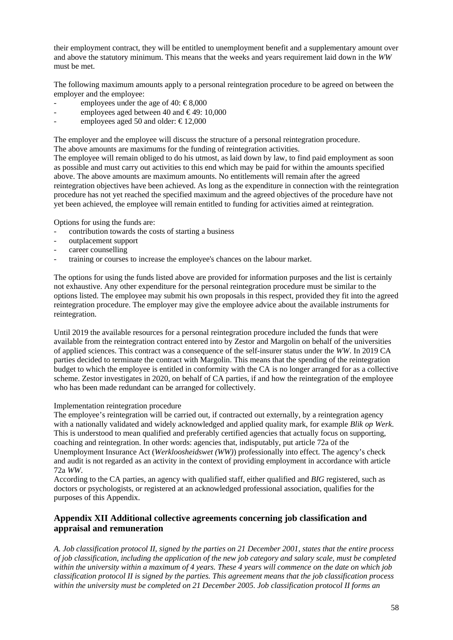their employment contract, they will be entitled to unemployment benefit and a supplementary amount over and above the statutory minimum. This means that the weeks and years requirement laid down in the *WW* must be met.

The following maximum amounts apply to a personal reintegration procedure to be agreed on between the employer and the employee:

- employees under the age of 40:  $\text{\textsterling}8.000$
- employees aged between 40 and  $\epsilon$ 49: 10,000
- employees aged 50 and older:  $\text{\textsterling}12,000$

The employer and the employee will discuss the structure of a personal reintegration procedure. The above amounts are maximums for the funding of reintegration activities.

The employee will remain obliged to do his utmost, as laid down by law, to find paid employment as soon as possible and must carry out activities to this end which may be paid for within the amounts specified above. The above amounts are maximum amounts. No entitlements will remain after the agreed reintegration objectives have been achieved. As long as the expenditure in connection with the reintegration procedure has not yet reached the specified maximum and the agreed objectives of the procedure have not yet been achieved, the employee will remain entitled to funding for activities aimed at reintegration.

Options for using the funds are:

- contribution towards the costs of starting a business
- outplacement support
- career counselling
- training or courses to increase the employee's chances on the labour market.

The options for using the funds listed above are provided for information purposes and the list is certainly not exhaustive. Any other expenditure for the personal reintegration procedure must be similar to the options listed. The employee may submit his own proposals in this respect, provided they fit into the agreed reintegration procedure. The employer may give the employee advice about the available instruments for reintegration.

Until 2019 the available resources for a personal reintegration procedure included the funds that were available from the reintegration contract entered into by Zestor and Margolin on behalf of the universities of applied sciences. This contract was a consequence of the self-insurer status under the *WW*. In 2019 CA parties decided to terminate the contract with Margolin. This means that the spending of the reintegration budget to which the employee is entitled in conformity with the CA is no longer arranged for as a collective scheme. Zestor investigates in 2020, on behalf of CA parties, if and how the reintegration of the employee who has been made redundant can be arranged for collectively.

#### Implementation reintegration procedure

The employee's reintegration will be carried out, if contracted out externally, by a reintegration agency with a nationally validated and widely acknowledged and applied quality mark, for example *Blik op Werk*. This is understood to mean qualified and preferably certified agencies that actually focus on supporting, coaching and reintegration. In other words: agencies that, indisputably, put article 72a of the Unemployment Insurance Act (*Werkloosheidswet (WW)*) professionally into effect. The agency's check and audit is not regarded as an activity in the context of providing employment in accordance with article 72a *WW*.

According to the CA parties, an agency with qualified staff, either qualified and *BIG* registered, such as doctors or psychologists, or registered at an acknowledged professional association, qualifies for the purposes of this Appendix.

# **Appendix XII Additional collective agreements concerning job classification and appraisal and remuneration**

*A. Job classification protocol II, signed by the parties on 21 December 2001, states that the entire process of job classification, including the application of the new job category and salary scale, must be completed within the university within a maximum of 4 years. These 4 years will commence on the date on which job classification protocol II is signed by the parties. This agreement means that the job classification process within the university must be completed on 21 December 2005. Job classification protocol II forms an*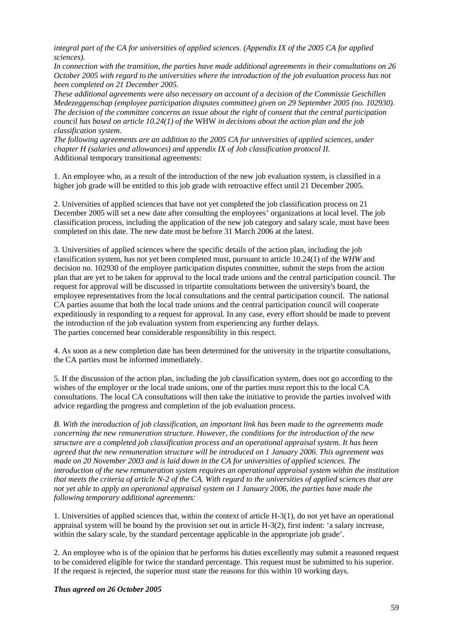*integral part of the CA for universities of applied sciences. (Appendix IX of the 2005 CA for applied sciences).*

*In connection with the transition, the parties have made additional agreements in their consultations on 26 October 2005 with regard to the universities where the introduction of the job evaluation process has not been completed on 21 December 2005.*

*These additional agreements were also necessary on account of a decision of the Commissie Geschillen Medezeggenschap (employee participation disputes committee) given on 29 September 2005 (no. 102930). The decision of the committee concerns an issue about the right of consent that the central participation council has based on article 10.24(1) of the* WHW *in decisions about the action plan and the job classification system.* 

*The following agreements are an addition to the 2005 CA for universities of applied sciences, under chapter H (salaries and allowances) and appendix IX of Job classification protocol II.*  Additional temporary transitional agreements:

1. An employee who, as a result of the introduction of the new job evaluation system, is classified in a higher job grade will be entitled to this job grade with retroactive effect until 21 December 2005.

2. Universities of applied sciences that have not yet completed the job classification process on 21 December 2005 will set a new date after consulting the employees' organizations at local level. The job classification process, including the application of the new job category and salary scale, must have been completed on this date. The new date must be before 31 March 2006 at the latest.

3. Universities of applied sciences where the specific details of the action plan, including the job classification system, has not yet been completed must, pursuant to article 10.24(1) of the *WHW* and decision no. 102930 of the employee participation disputes committee, submit the steps from the action plan that are yet to be taken for approval to the local trade unions and the central participation council. The request for approval will be discussed in tripartite consultations between the university's board, the employee representatives from the local consultations and the central participation council. The national CA parties assume that both the local trade unions and the central participation council will cooperate expeditiously in responding to a request for approval. In any case, every effort should be made to prevent the introduction of the job evaluation system from experiencing any further delays. The parties concerned bear considerable responsibility in this respect.

4. As soon as a new completion date has been determined for the university in the tripartite consultations, the CA parties must be informed immediately.

5. If the discussion of the action plan, including the job classification system, does not go according to the wishes of the employer or the local trade unions, one of the parties must report this to the local CA consultations. The local CA consultations will then take the initiative to provide the parties involved with advice regarding the progress and completion of the job evaluation process.

*B. With the introduction of job classification, an important link has been made to the agreements made concerning the new remuneration structure. However, the conditions for the introduction of the new structure are a completed job classification process and an operational appraisal system. It has been agreed that the new remuneration structure will be introduced on 1 January 2006. This agreement was made on 20 November 2003 and is laid down in the CA for universities of applied sciences. The introduction of the new remuneration system requires an operational appraisal system within the institution that meets the criteria of article N-2 of the CA. With regard to the universities of applied sciences that are not yet able to apply an operational appraisal system on 1 January 2006, the parties have made the following temporary additional agreements:* 

1. Universities of applied sciences that, within the context of article H-3(1), do not yet have an operational appraisal system will be bound by the provision set out in article H-3(2), first indent: 'a salary increase, within the salary scale, by the standard percentage applicable in the appropriate job grade'.

2. An employee who is of the opinion that he performs his duties excellently may submit a reasoned request to be considered eligible for twice the standard percentage. This request must be submitted to his superior. If the request is rejected, the superior must state the reasons for this within 10 working days.

*Thus agreed on 26 October 2005*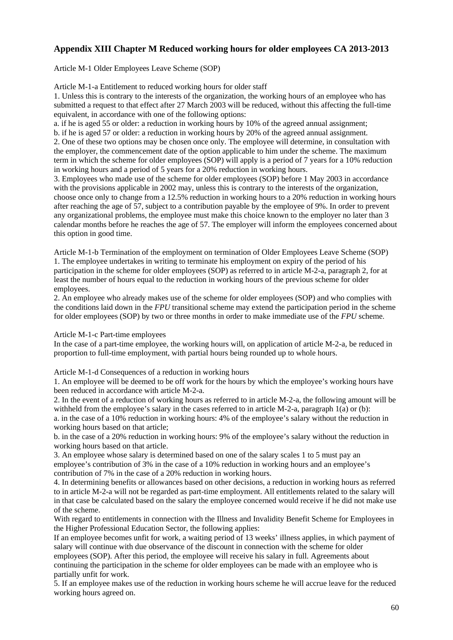# **Appendix XIII Chapter M Reduced working hours for older employees CA 2013-2013**

Article M-1 Older Employees Leave Scheme (SOP)

Article M-1-a Entitlement to reduced working hours for older staff

1. Unless this is contrary to the interests of the organization, the working hours of an employee who has submitted a request to that effect after 27 March 2003 will be reduced, without this affecting the full-time equivalent, in accordance with one of the following options:

a. if he is aged 55 or older: a reduction in working hours by 10% of the agreed annual assignment;

b. if he is aged 57 or older: a reduction in working hours by 20% of the agreed annual assignment. 2. One of these two options may be chosen once only. The employee will determine, in consultation with the employer, the commencement date of the option applicable to him under the scheme. The maximum term in which the scheme for older employees (SOP) will apply is a period of 7 years for a 10% reduction in working hours and a period of 5 years for a 20% reduction in working hours.

3. Employees who made use of the scheme for older employees (SOP) before 1 May 2003 in accordance with the provisions applicable in 2002 may, unless this is contrary to the interests of the organization, choose once only to change from a 12.5% reduction in working hours to a 20% reduction in working hours after reaching the age of 57, subject to a contribution payable by the employee of 9%. In order to prevent any organizational problems, the employee must make this choice known to the employer no later than 3 calendar months before he reaches the age of 57. The employer will inform the employees concerned about this option in good time.

Article M-1-b Termination of the employment on termination of Older Employees Leave Scheme (SOP) 1. The employee undertakes in writing to terminate his employment on expiry of the period of his participation in the scheme for older employees (SOP) as referred to in article M-2-a, paragraph 2, for at least the number of hours equal to the reduction in working hours of the previous scheme for older employees.

2. An employee who already makes use of the scheme for older employees (SOP) and who complies with the conditions laid down in the *FPU* transitional scheme may extend the participation period in the scheme for older employees (SOP) by two or three months in order to make immediate use of the *FPU* scheme.

Article M-1-c Part-time employees

In the case of a part-time employee, the working hours will, on application of article M-2-a, be reduced in proportion to full-time employment, with partial hours being rounded up to whole hours.

Article M-1-d Consequences of a reduction in working hours

1. An employee will be deemed to be off work for the hours by which the employee's working hours have been reduced in accordance with article M-2-a.

2. In the event of a reduction of working hours as referred to in article M-2-a, the following amount will be withheld from the employee's salary in the cases referred to in article  $M-2-a$ , paragraph  $1(a)$  or (b):

a. in the case of a 10% reduction in working hours: 4% of the employee's salary without the reduction in working hours based on that article;

b. in the case of a 20% reduction in working hours: 9% of the employee's salary without the reduction in working hours based on that article.

3. An employee whose salary is determined based on one of the salary scales 1 to 5 must pay an employee's contribution of 3% in the case of a 10% reduction in working hours and an employee's contribution of 7% in the case of a 20% reduction in working hours.

4. In determining benefits or allowances based on other decisions, a reduction in working hours as referred to in article M-2-a will not be regarded as part-time employment. All entitlements related to the salary will in that case be calculated based on the salary the employee concerned would receive if he did not make use of the scheme.

With regard to entitlements in connection with the Illness and Invalidity Benefit Scheme for Employees in the Higher Professional Education Sector, the following applies:

If an employee becomes unfit for work, a waiting period of 13 weeks' illness applies, in which payment of salary will continue with due observance of the discount in connection with the scheme for older employees (SOP). After this period, the employee will receive his salary in full. Agreements about continuing the participation in the scheme for older employees can be made with an employee who is partially unfit for work.

5. If an employee makes use of the reduction in working hours scheme he will accrue leave for the reduced working hours agreed on.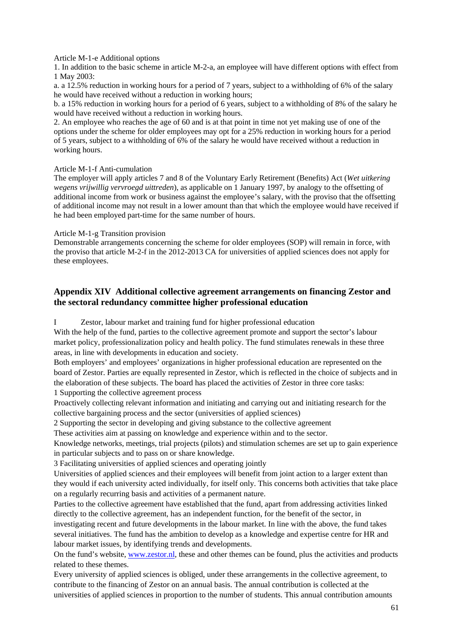### Article M-1-e Additional options

1. In addition to the basic scheme in article M-2-a, an employee will have different options with effect from 1 May 2003:

a. a 12.5% reduction in working hours for a period of 7 years, subject to a withholding of 6% of the salary he would have received without a reduction in working hours;

b. a 15% reduction in working hours for a period of 6 years, subject to a withholding of 8% of the salary he would have received without a reduction in working hours.

2. An employee who reaches the age of 60 and is at that point in time not yet making use of one of the options under the scheme for older employees may opt for a 25% reduction in working hours for a period of 5 years, subject to a withholding of 6% of the salary he would have received without a reduction in working hours.

### Article M-1-f Anti-cumulation

The employer will apply articles 7 and 8 of the Voluntary Early Retirement (Benefits) Act (*Wet uitkering wegens vrijwillig vervroegd uittreden*), as applicable on 1 January 1997, by analogy to the offsetting of additional income from work or business against the employee's salary, with the proviso that the offsetting of additional income may not result in a lower amount than that which the employee would have received if he had been employed part-time for the same number of hours.

### Article M-1-g Transition provision

Demonstrable arrangements concerning the scheme for older employees (SOP) will remain in force, with the proviso that article M-2-f in the 2012-2013 CA for universities of applied sciences does not apply for these employees.

# **Appendix XIV Additional collective agreement arrangements on financing Zestor and the sectoral redundancy committee higher professional education**

I Zestor, labour market and training fund for higher professional education With the help of the fund, parties to the collective agreement promote and support the sector's labour market policy, professionalization policy and health policy. The fund stimulates renewals in these three areas, in line with developments in education and society.

Both employers' and employees' organizations in higher professional education are represented on the board of Zestor. Parties are equally represented in Zestor, which is reflected in the choice of subjects and in the elaboration of these subjects. The board has placed the activities of Zestor in three core tasks:

1 Supporting the collective agreement process

Proactively collecting relevant information and initiating and carrying out and initiating research for the collective bargaining process and the sector (universities of applied sciences)

2 Supporting the sector in developing and giving substance to the collective agreement

These activities aim at passing on knowledge and experience within and to the sector.

Knowledge networks, meetings, trial projects (pilots) and stimulation schemes are set up to gain experience in particular subjects and to pass on or share knowledge.

3 Facilitating universities of applied sciences and operating jointly

Universities of applied sciences and their employees will benefit from joint action to a larger extent than they would if each university acted individually, for itself only. This concerns both activities that take place on a regularly recurring basis and activities of a permanent nature.

Parties to the collective agreement have established that the fund, apart from addressing activities linked directly to the collective agreement, has an independent function, for the benefit of the sector, in

investigating recent and future developments in the labour market. In line with the above, the fund takes several initiatives. The fund has the ambition to develop as a knowledge and expertise centre for HR and labour market issues, by identifying trends and developments.

On the fund's website, [www.zestor.nl,](http://www.zestor.nl/) these and other themes can be found, plus the activities and products related to these themes.

Every university of applied sciences is obliged, under these arrangements in the collective agreement, to contribute to the financing of Zestor on an annual basis. The annual contribution is collected at the universities of applied sciences in proportion to the number of students. This annual contribution amounts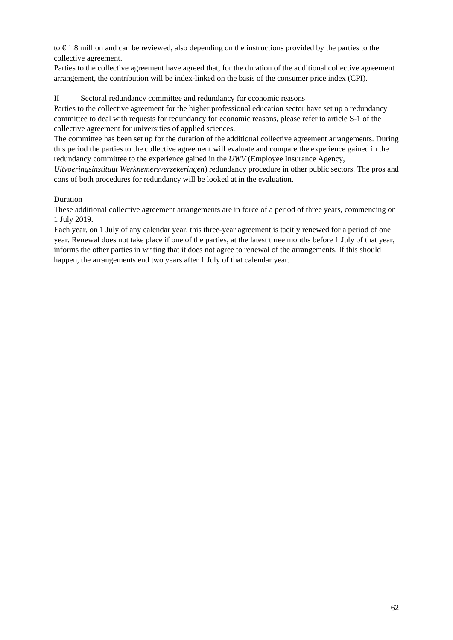to € 1.8 million and can be reviewed, also depending on the instructions provided by the parties to the collective agreement.

Parties to the collective agreement have agreed that, for the duration of the additional collective agreement arrangement, the contribution will be index-linked on the basis of the consumer price index (CPI).

II Sectoral redundancy committee and redundancy for economic reasons

Parties to the collective agreement for the higher professional education sector have set up a redundancy committee to deal with requests for redundancy for economic reasons, please refer to article S-1 of the collective agreement for universities of applied sciences.

The committee has been set up for the duration of the additional collective agreement arrangements. During this period the parties to the collective agreement will evaluate and compare the experience gained in the redundancy committee to the experience gained in the *UWV* (Employee Insurance Agency,

*Uitvoeringsinstituut Werknemersverzekeringen*) redundancy procedure in other public sectors. The pros and cons of both procedures for redundancy will be looked at in the evaluation.

### **Duration**

These additional collective agreement arrangements are in force of a period of three years, commencing on 1 July 2019.

Each year, on 1 July of any calendar year, this three-year agreement is tacitly renewed for a period of one year. Renewal does not take place if one of the parties, at the latest three months before 1 July of that year, informs the other parties in writing that it does not agree to renewal of the arrangements. If this should happen, the arrangements end two years after 1 July of that calendar year.